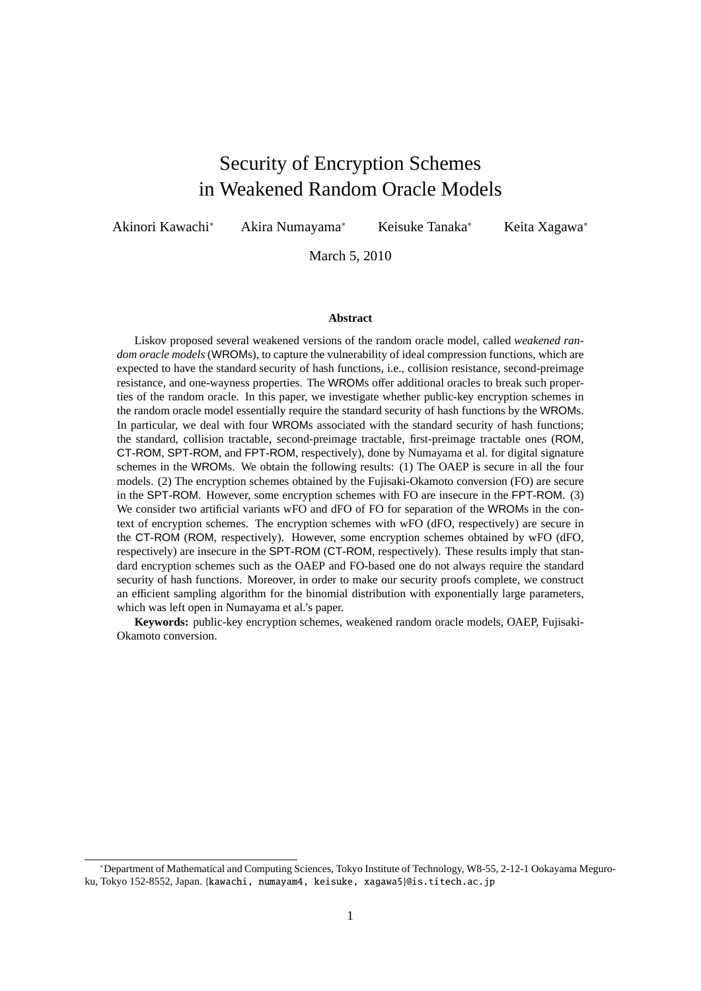# Security of Encryption Schemes in Weakened Random Oracle Models

Akinori Kawachi<sup>∗</sup> Akira Numayama<sup>∗</sup> Keisuke Tanaka<sup>∗</sup> Keita Xagawa<sup>∗</sup>

March 5, 2010

#### **Abstract**

Liskov proposed several weakened versions of the random oracle model, called *weakened random oracle models* (WROMs), to capture the vulnerability of ideal compression functions, which are expected to have the standard security of hash functions, i.e., collision resistance, second-preimage resistance, and one-wayness properties. The WROMs offer additional oracles to break such properties of the random oracle. In this paper, we investigate whether public-key encryption schemes in the random oracle model essentially require the standard security of hash functions by the WROMs. In particular, we deal with four WROMs associated with the standard security of hash functions; the standard, collision tractable, second-preimage tractable, first-preimage tractable ones (ROM, CT-ROM, SPT-ROM, and FPT-ROM, respectively), done by Numayama et al. for digital signature schemes in the WROMs. We obtain the following results: (1) The OAEP is secure in all the four models. (2) The encryption schemes obtained by the Fujisaki-Okamoto conversion (FO) are secure in the SPT-ROM. However, some encryption schemes with FO are insecure in the FPT-ROM. (3) We consider two artificial variants wFO and dFO of FO for separation of the WROMs in the context of encryption schemes. The encryption schemes with wFO (dFO, respectively) are secure in the CT-ROM (ROM, respectively). However, some encryption schemes obtained by wFO (dFO, respectively) are insecure in the SPT-ROM (CT-ROM, respectively). These results imply that standard encryption schemes such as the OAEP and FO-based one do not always require the standard security of hash functions. Moreover, in order to make our security proofs complete, we construct an efficient sampling algorithm for the binomial distribution with exponentially large parameters, which was left open in Numayama et al.'s paper.

**Keywords:** public-key encryption schemes, weakened random oracle models, OAEP, Fujisaki-Okamoto conversion.

<sup>∗</sup>Department of Mathematical and Computing Sciences, Tokyo Institute of Technology, W8-55, 2-12-1 Ookayama Meguroku, Tokyo 152-8552, Japan. {kawachi, numayam4, keisuke, xagawa5}@is.titech.ac.jp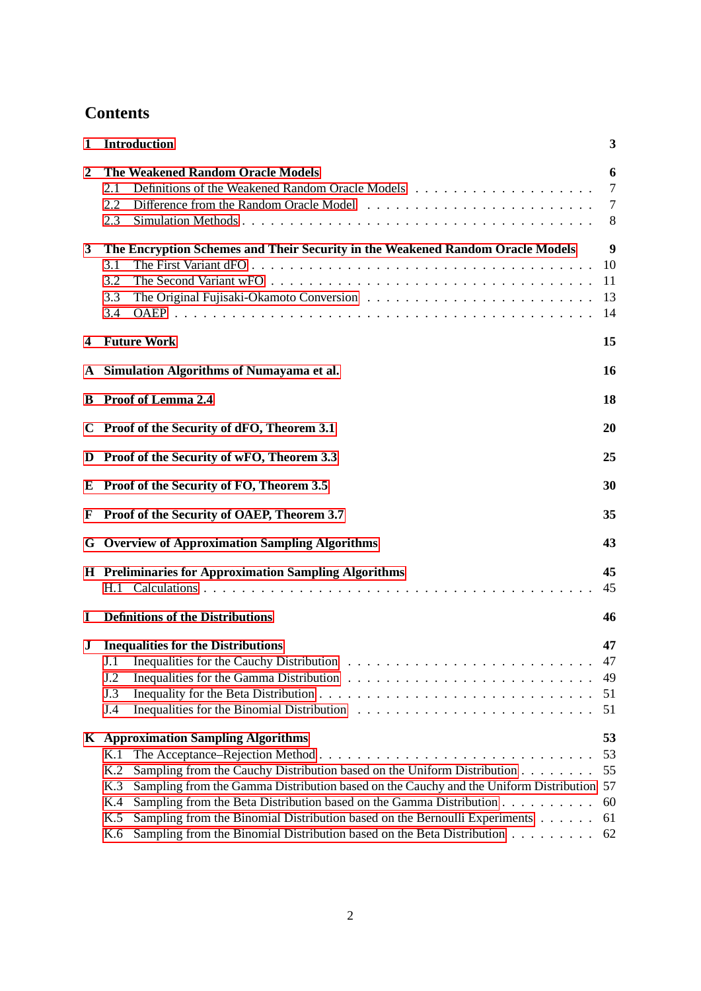# **Contents**

| 1            | <b>Introduction</b>                                                                                                                                                                                                                                                                                                                                                                                                                          | 3                                          |
|--------------|----------------------------------------------------------------------------------------------------------------------------------------------------------------------------------------------------------------------------------------------------------------------------------------------------------------------------------------------------------------------------------------------------------------------------------------------|--------------------------------------------|
| $\mathbf{2}$ | The Weakened Random Oracle Models<br>2.1<br>2.2<br>2.3                                                                                                                                                                                                                                                                                                                                                                                       | 6<br>$\overline{7}$<br>$\overline{7}$<br>8 |
| 3            | The Encryption Schemes and Their Security in the Weakened Random Oracle Models<br>3.1<br>3.2<br>3.3<br>3.4                                                                                                                                                                                                                                                                                                                                   | 9<br>10<br>11<br>13<br>14                  |
| 4            | <b>Future Work</b>                                                                                                                                                                                                                                                                                                                                                                                                                           | 15                                         |
| A            | Simulation Algorithms of Numayama et al.                                                                                                                                                                                                                                                                                                                                                                                                     | 16                                         |
| В            | Proof of Lemma 2.4                                                                                                                                                                                                                                                                                                                                                                                                                           | 18                                         |
|              | C Proof of the Security of dFO, Theorem 3.1                                                                                                                                                                                                                                                                                                                                                                                                  | 20                                         |
| D            | Proof of the Security of wFO, Theorem 3.3                                                                                                                                                                                                                                                                                                                                                                                                    | 25                                         |
| E            | Proof of the Security of FO, Theorem 3.5                                                                                                                                                                                                                                                                                                                                                                                                     | 30                                         |
| F            | Proof of the Security of OAEP, Theorem 3.7                                                                                                                                                                                                                                                                                                                                                                                                   | 35                                         |
|              | <b>G</b> Overview of Approximation Sampling Algorithms                                                                                                                                                                                                                                                                                                                                                                                       | 43                                         |
|              | <b>H</b> Preliminaries for Approximation Sampling Algorithms<br>H.1                                                                                                                                                                                                                                                                                                                                                                          | 45<br>45                                   |
| 1            | <b>Definitions of the Distributions</b>                                                                                                                                                                                                                                                                                                                                                                                                      | 46                                         |
| ${\bf J}$    | <b>Inequalities for the Distributions</b><br>J.2<br>J.3<br>J.4                                                                                                                                                                                                                                                                                                                                                                               | 47<br>47<br>49<br>51<br>51                 |
|              | <b>K</b> Approximation Sampling Algorithms                                                                                                                                                                                                                                                                                                                                                                                                   | 53                                         |
|              | K.1<br>Sampling from the Cauchy Distribution based on the Uniform Distribution<br>K.2<br>Sampling from the Gamma Distribution based on the Cauchy and the Uniform Distribution 57<br>K.3<br>Sampling from the Beta Distribution based on the Gamma Distribution<br>K.4<br>Sampling from the Binomial Distribution based on the Bernoulli Experiments<br>K.5<br>Sampling from the Binomial Distribution based on the Beta Distribution<br>K.6 | 53<br>55<br>60<br>61<br>62                 |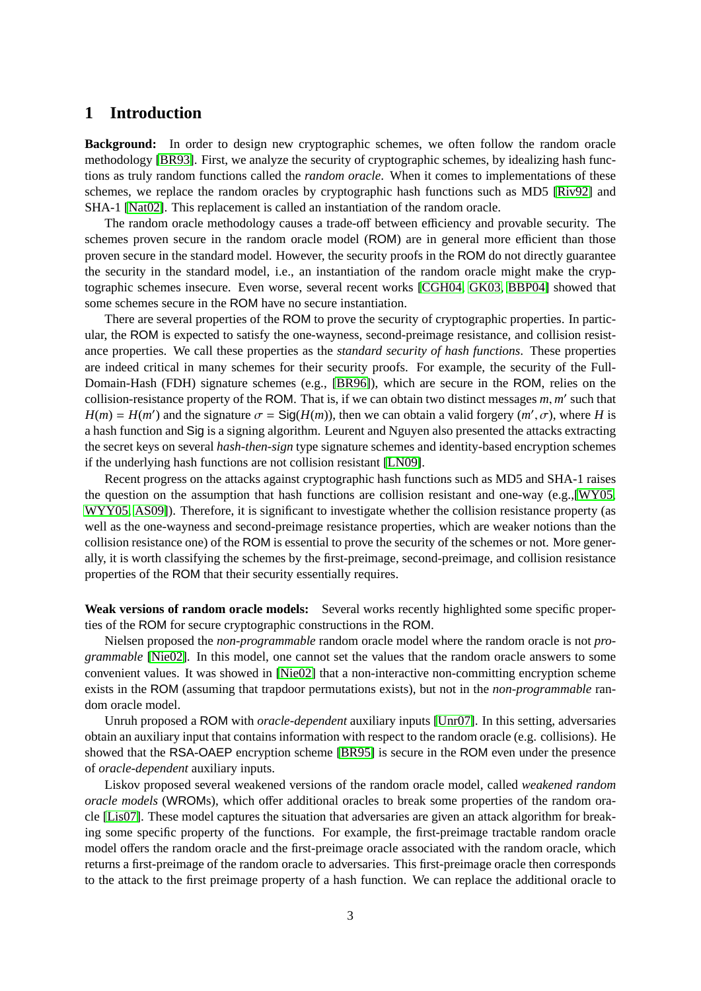## **1 Introduction**

<span id="page-2-0"></span>**Background:** In order to design new cryptographic schemes, we often follow the random oracle methodology [BR93]. First, we analyze the security of cryptographic schemes, by idealizing hash functions as truly random functions called the *random oracle*. When it comes to implementations of these schemes, we replace the random oracles by cryptographic hash functions such as MD5 [Riv92] and SHA-1 [Nat02]. This replacement is called an instantiation of the random oracle.

The rando[m orac](#page-64-0)le methodology causes a trade-off between efficiency and provable security. The schemes proven secure in the random oracle model (ROM) are in general more efficient than those proven secure in the standard model. However, the security proofs in the ROM do not direct[ly guara](#page-66-0)ntee the sec[urity in](#page-65-0) the standard model, i.e., an instantiation of the random oracle might make the cryptographic schemes insecure. Even worse, several recent works [CGH04, GK03, BBP04] showed that some schemes secure in the ROM have no secure instantiation.

There are several properties of the ROM to prove the security of cryptographic properties. In particular, the ROM is expected to satisfy the one-wayness, second-preimage resistance, and collision resistance properties. We call these properties as the *standard securi[ty of has](#page-64-1)[h functi](#page-64-2)ons*[. The](#page-64-3)se properties are indeed critical in many schemes for their security proofs. For example, the security of the Full-Domain-Hash (FDH) signature schemes (e.g., [BR96]), which are secure in the ROM, relies on the collision-resistance property of the ROM. That is, if we can obtain two distinct messages *m*, *m* ′ such that  $H(m) = H(m')$  and the signature  $\sigma = \text{Sig}(H(m))$ , then we can obtain a valid forgery  $(m', \sigma)$ , where *H* is a hash function and Sig is a signing algorithm. Leurent and Nguyen also presented the attacks extracting the secret keys on several *hash-then-sign* type si[gnature](#page-64-4) schemes and identity-based encryption schemes if the underlying hash functions are not collision resistant [LN09].

Recent progress on the attacks against cryptographic hash functions such as MD5 and SHA-1 raises the question on the assumption that hash functions are collision resistant and one-way (e.g.,[WY05, WYY05, AS09]). Therefore, it is significant to investigate whether the collision resistance property (as well as the one-wayness and second-preimage resistance [properti](#page-65-1)es, which are weaker notions than the collision resistance one) of the ROM is essential to prove the security of the schemes or not. More generally, it is worth classifying the schemes by the first-preimage, second-preimage, and collision re[sistance](#page-66-1) [propertie](#page-66-2)[s of the](#page-64-5) ROM that their security essentially requires.

**Weak versions of random oracle models:** Several works recently highlighted some specific properties of the ROM for secure cryptographic constructions in the ROM.

Nielsen proposed the *non-programmable* random oracle model where the random oracle is not *programmable* [Nie02]. In this model, one cannot set the values that the random oracle answers to some convenient values. It was showed in [Nie02] that a non-interactive non-committing encryption scheme exists in the ROM (assuming that trapdoor permutations exists), but not in the *non-programmable* random oracle model.

Unruh p[roposed](#page-65-2) a ROM with *oracle-dependent* auxiliary inputs [Unr07]. In this setting, adversaries obtain an auxiliary input that contains [inform](#page-65-2)ation with respect to the random oracle (e.g. collisions). He showed that the RSA-OAEP encryption scheme [BR95] is secure in the ROM even under the presence of *oracle-dependent* auxiliary inputs.

Liskov proposed several weakened versions of the random orac[le mode](#page-66-3)l, called *weakened random oracle models* (WROMs), which offer additional oracles to break some properties of the random oracle [Lis07]. These model captures the situation t[hat adve](#page-64-6)rsaries are given an attack algorithm for breaking some specific property of the functions. For example, the first-preimage tractable random oracle model offers the random oracle and the first-preimage oracle associated with the random oracle, which returns a first-preimage of the random oracle to adversaries. This first-preimage oracle then corresponds to t[he attac](#page-65-3)k to the first preimage property of a hash function. We can replace the additional oracle to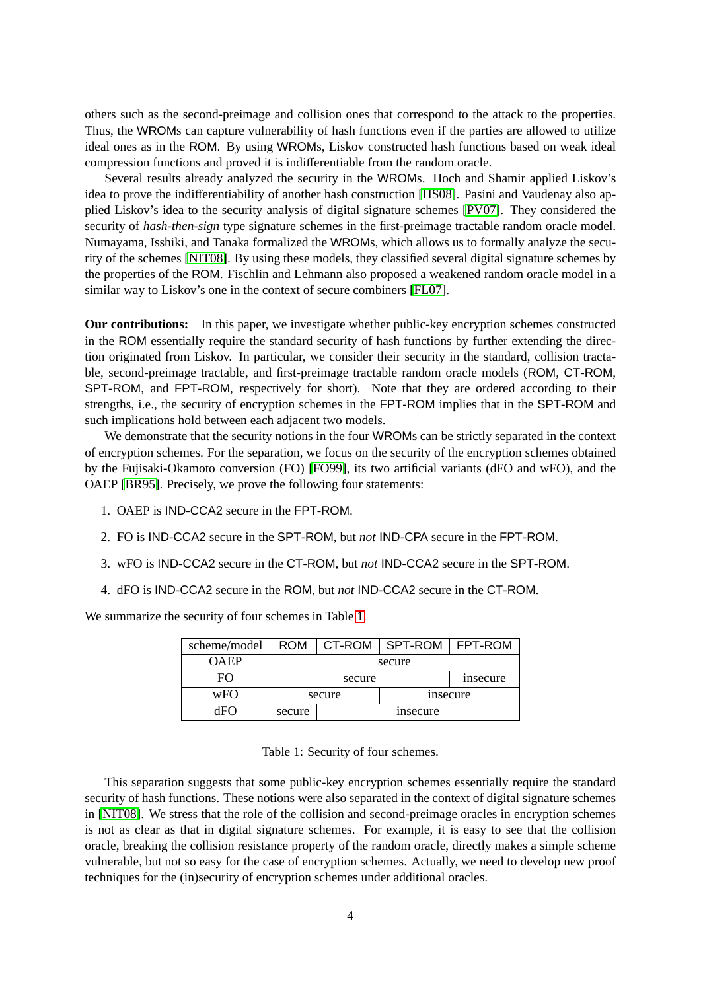others such as the second-preimage and collision ones that correspond to the attack to the properties. Thus, the WROMs can capture vulnerability of hash functions even if the parties are allowed to utilize ideal ones as in the ROM. By using WROMs, Liskov constructed hash functions based on weak ideal compression functions and proved it is indifferentiable from the random oracle.

Several results already analyzed the security in the WROMs. Hoch and Shamir applied Liskov's idea to prove the indifferentiability of another hash construction [HS08]. Pasini and Vaudenay also applied Liskov's idea to the security analysis of digital signature schemes [PV07]. They considered the security of *hash-then-sign* type signature schemes in the first-preimage tractable random oracle model. Numayama, Isshiki, and Tanaka formalized the WROMs, which allows us to formally analyze the security of the schemes [NIT08]. By using these models, they classifi[ed seve](#page-65-4)ral digital signature schemes by the properties of the ROM. Fischlin and Lehmann also proposed a weake[ned ran](#page-66-4)dom oracle model in a similar way to Liskov's one in the context of secure combiners [FL07].

**Our contributions:** [In th](#page-65-5)is paper, we investigate whether public-key encryption schemes constructed in the ROM essentially require the standard security of hash f[unction](#page-64-7)s by further extending the direction originated from Liskov. In particular, we consider their security in the standard, collision tractable, second-preimage tractable, and first-preimage tractable random oracle models (ROM, CT-ROM, SPT-ROM, and FPT-ROM, respectively for short). Note that they are ordered according to their strengths, i.e., the security of encryption schemes in the FPT-ROM implies that in the SPT-ROM and such implications hold between each adjacent two models.

We demonstrate that the security notions in the four WROMs can be strictly separated in the context of encryption schemes. For the separation, we focus on the security of the encryption schemes obtained by the Fujisaki-Okamoto conversion (FO) [FO99], its two artificial variants (dFO and wFO), and the OAEP [BR95]. Precisely, we prove the following four statements:

- 1. OAEP is IND-CCA2 secure in the FPT-ROM.
- 2. [FO is](#page-64-6) IND-CCA2 secure in the SPT-[ROM](#page-64-8), but *not* IND-CPA secure in the FPT-ROM.
- 3. wFO is IND-CCA2 secure in the CT-ROM, but *not* IND-CCA2 secure in the SPT-ROM.
- 4. dFO is IND-CCA2 secure in the ROM, but *not* IND-CCA2 secure in the CT-ROM.

We summarize the security of four schemes in Table 1.

| scheme/model    | <b>ROM</b> |        | CT-ROM   SPT-ROM   FPT-ROM |                   |
|-----------------|------------|--------|----------------------------|-------------------|
| <b>OAEP</b>     | secure     |        |                            |                   |
| FΟ              |            | secure |                            | <i>s</i> insecure |
| <sub>W</sub> FO | secure     |        | <i>s</i> insecure          |                   |
| dFO             | secure     |        | <i>s</i> insecure          |                   |

<span id="page-3-0"></span>Table 1: Security of four schemes.

This separation suggests that some public-key encryption schemes essentially require the standard security of hash functions. These notions were also separated in the context of digital signature schemes in [NIT08]. We stress that the role of the collision and second-preimage oracles in encryption schemes is not as clear as that in digital signature schemes. For example, it is easy to see that the collision oracle, breaking the collision resistance property of the random oracle, directly makes a simple scheme vulnerable, but not so easy for the case of encryption schemes. Actually, we need to develop new proof tec[hniques](#page-65-5) for the (in)security of encryption schemes under additional oracles.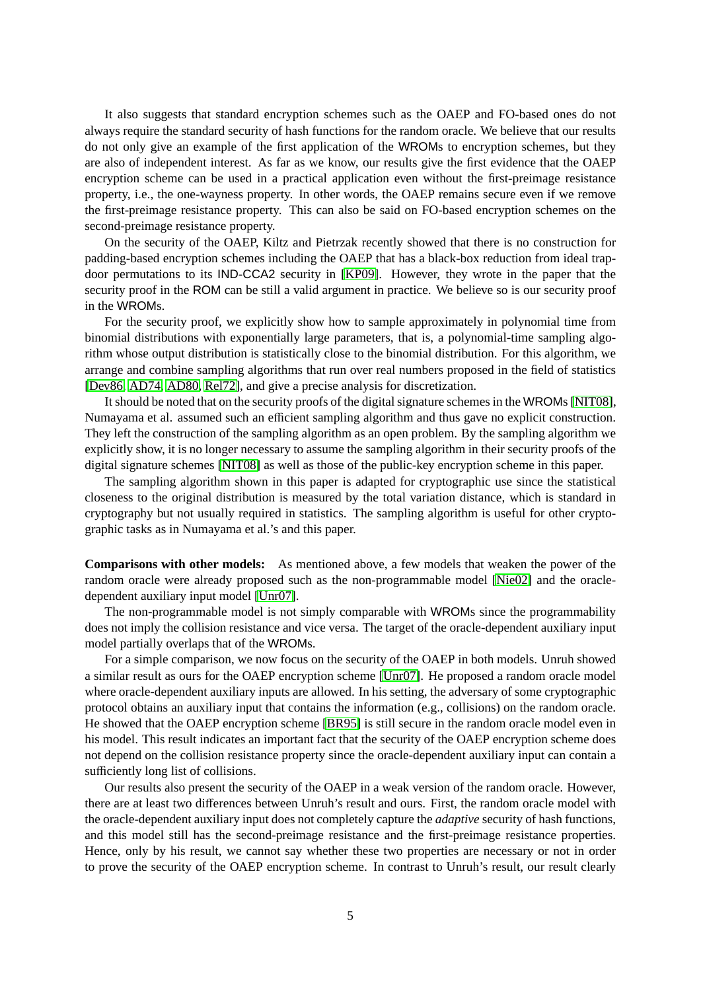It also suggests that standard encryption schemes such as the OAEP and FO-based ones do not always require the standard security of hash functions for the random oracle. We believe that our results do not only give an example of the first application of the WROMs to encryption schemes, but they are also of independent interest. As far as we know, our results give the first evidence that the OAEP encryption scheme can be used in a practical application even without the first-preimage resistance property, i.e., the one-wayness property. In other words, the OAEP remains secure even if we remove the first-preimage resistance property. This can also be said on FO-based encryption schemes on the second-preimage resistance property.

On the security of the OAEP, Kiltz and Pietrzak recently showed that there is no construction for padding-based encryption schemes including the OAEP that has a black-box reduction from ideal trapdoor permutations to its IND-CCA2 security in [KP09]. However, they wrote in the paper that the security proof in the ROM can be still a valid argument in practice. We believe so is our security proof in the WROMs.

For the security proof, we explicitly show how to sample approximately in polynomial time from binomial distributions with exponentially large p[aramete](#page-65-6)rs, that is, a polynomial-time sampling algorithm whose output distribution is statistically close to the binomial distribution. For this algorithm, we arrange and combine sampling algorithms that run over real numbers proposed in the field of statistics [Dev86, AD74, AD80, Rel72], and give a precise analysis for discretization.

It should be noted that on the security proofs of the digital signature schemes in the WROMs [NIT08], Numayama et al. assumed such an efficient sampling algorithm and thus gave no explicit construction. They left the construction of the sampling algorithm as an open problem. By the sampling algorithm we [explicitl](#page-64-9)[y show,](#page-64-10) [it is no](#page-64-11) [longer](#page-66-5) necessary to assume the sampling algorithm in their security proofs of the digital signature schemes [NIT08] as well as those of the public-key encryption scheme in this [paper.](#page-65-5)

The sampling algorithm shown in this paper is adapted for cryptographic use since the statistical closeness to the original distribution is measured by the total variation distance, which is standard in cryptography but not usually required in statistics. The sampling algorithm is useful for other cryptographic tasks as in Numay[ama et a](#page-65-5)l.'s and this paper.

**Comparisons with other models:** As mentioned above, a few models that weaken the power of the random oracle were already proposed such as the non-programmable model [Nie02] and the oracledependent auxiliary input model [Unr07].

The non-programmable model is not simply comparable with WROMs since the programmability does not imply the collision resistance and vice versa. The target of the oracle-d[ependen](#page-65-2)t auxiliary input model partially overlaps that of the WROMs.

For a simple comparison, we [now foc](#page-66-3)us on the security of the OAEP in both models. Unruh showed a similar result as ours for the OAEP encryption scheme [Unr07]. He proposed a random oracle model where oracle-dependent auxiliary inputs are allowed. In his setting, the adversary of some cryptographic protocol obtains an auxiliary input that contains the information (e.g., collisions) on the random oracle. He showed that the OAEP encryption scheme [BR95] is still secure in the random oracle model even in his model. This result indicates an important fact that the [security](#page-66-3) of the OAEP encryption scheme does not depend on the collision resistance property since the oracle-dependent auxiliary input can contain a sufficiently long list of collisions.

Our results also present the security of the [OAEP](#page-64-6) in a weak version of the random oracle. However, there are at least two differences between Unruh's result and ours. First, the random oracle model with the oracle-dependent auxiliary input does not completely capture the *adaptive* security of hash functions, and this model still has the second-preimage resistance and the first-preimage resistance properties. Hence, only by his result, we cannot say whether these two properties are necessary or not in order to prove the security of the OAEP encryption scheme. In contrast to Unruh's result, our result clearly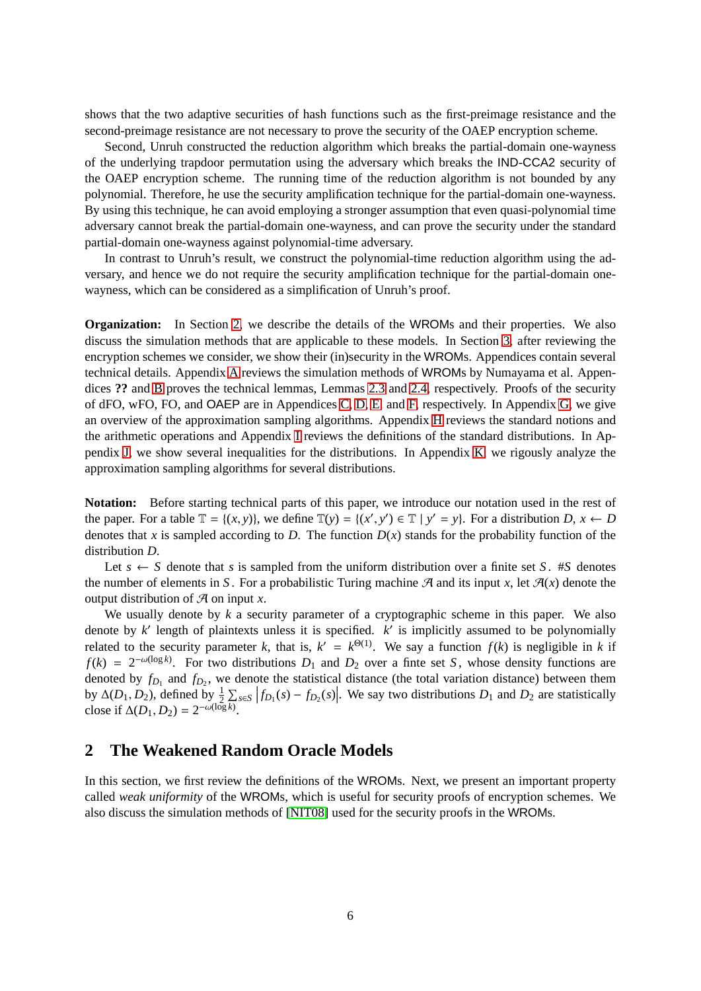shows that the two adaptive securities of hash functions such as the first-preimage resistance and the second-preimage resistance are not necessary to prove the security of the OAEP encryption scheme.

Second, Unruh constructed the reduction algorithm which breaks the partial-domain one-wayness of the underlying trapdoor permutation using the adversary which breaks the IND-CCA2 security of the OAEP encryption scheme. The running time of the reduction algorithm is not bounded by any polynomial. Therefore, he use the security amplification technique for the partial-domain one-wayness. By using this technique, he can avoid employing a stronger assumption that even quasi-polynomial time adversary cannot break the partial-domain one-wayness, and can prove the security under the standard partial-domain one-wayness against polynomial-time adversary.

In contrast to Unruh's result, we construct the polynomial-time reduction algorithm using the adversary, and hence we do not require the security amplification technique for the partial-domain onewayness, which can be considered as a simplification of Unruh's proof.

**Organization:** In Section 2, we describe the details of the WROMs and their properties. We also discuss the simulation methods that are applicable to these models. In Section 3, after reviewing the encryption schemes we consider, we show their (in)security in the WROMs. Appendices contain several technical details. Appendix A reviews the simulation methods of WROMs by Numayama et al. Appendices **??** and B proves the t[ech](#page-5-0)nical lemmas, Lemmas 2.3 and 2.4, respectively. Proofs of the security of dFO, wFO, FO, and OAEP are in Appendices C, D, E, and F, respectively. In [A](#page-8-0)ppendix G, we give an overview of the approximation sampling algorithms. Appendix H reviews the standard notions and the arithmetic operations a[nd](#page-15-0) Appendix I reviews the definitions of the standard distributions. In Appendix J, we [sh](#page-17-0)ow several inequalities for the distrib[ution](#page-6-2)s. [I](#page-34-0)[n A](#page-7-1)ppendix K, we rigously [ana](#page-42-0)lyze the approximation sampling algorithms for several di[str](#page-19-0)[ibu](#page-24-0)[tion](#page-29-0)s.

**Notati[on](#page-46-0):** Before sta[rt](#page-45-0)ing technical parts of this paper, we introduce our [no](#page-52-0)tation used in the rest of the paper. For a table  $\mathbb{T} = \{(x, y)\}\)$ , we define  $\mathbb{T}(y) = \{(x', y') \in \mathbb{T} \mid y' = y\}$ . For a distribution *D*,  $x \leftarrow D$ denotes that *x* is sampled according to *D*. The function  $D(x)$  stands for the probability function of the distribution *D*.

Let  $s \leftarrow S$  denote that *s* is sampled from the uniform distribution over a finite set *S*. #*S* denotes the number of elements in *S*. For a probabilistic Turing machine  $\mathcal{A}$  and its input *x*, let  $\mathcal{A}(x)$  denote the output distribution of  $\mathcal A$  on input  $x$ .

We usually denote by *k* a security parameter of a cryptographic scheme in this paper. We also denote by  $k'$  length of plaintexts unless it is specified.  $k'$  is implicitly assumed to be polynomially related to the security parameter *k*, that is,  $k' = k^{\Theta(1)}$ . We say a function  $f(k)$  is negligible in *k* if  $f(k) = 2^{-\omega(\log k)}$ . For two distributions  $D_1$  and  $D_2$  over a finte set *S*, whose density functions are denoted by  $f_{D_1}$  and  $f_{D_2}$ , we denote the statistical distance (the total variation distance) between them by  $\Delta(D_1, D_2)$ , defined by  $\frac{1}{2} \sum_{s \in S} |f_{D_1}(s) - f_{D_2}(s)|$ . We say two distributions  $D_1$  and  $D_2$  are statistically close if  $\Delta(D_1, D_2) = 2^{-\omega(\log k)}$ .

## **2 The Weakened Random Oracle Models**

<span id="page-5-0"></span>In this section, we first review the definitions of the WROMs. Next, we present an important property called *weak uniformity* of the WROMs, which is useful for security proofs of encryption schemes. We also discuss the simulation methods of [NIT08] used for the security proofs in the WROMs.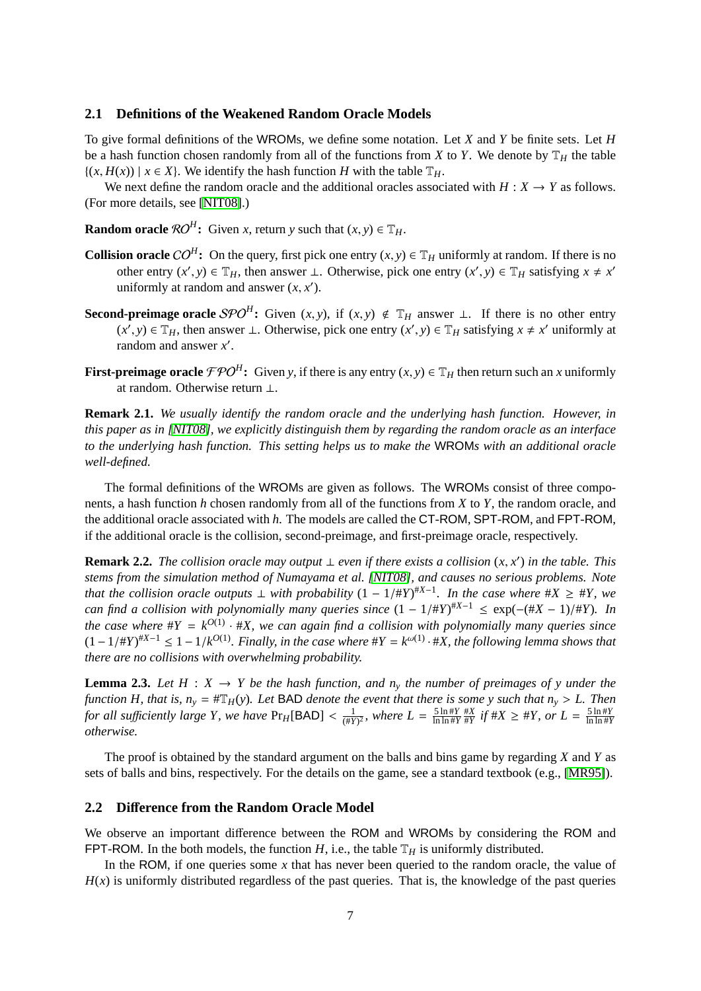#### **2.1 Definitions of the Weakened Random Oracle Models**

To give formal definitions of the WROMs, we define some notation. Let *X* and *Y* be finite sets. Let *H* be a hash function chosen randomly from all of the functions from *X* to *Y*. We denote by  $T_H$  the table  $\{(x, H(x)) \mid x \in X\}$ . We identify the hash function *H* with the table  $\mathbb{T}_H$ .

<span id="page-6-0"></span>We next define the random oracle and the additional oracles associated with  $H : X \to Y$  as follows. (For more details, see [NIT08].)

**Random oracle**  $RO^H$ : Given *x*, return *y* such that  $(x, y) \in T_H$ .

- **Collision oracle**  $CO^H$ : [On the](#page-65-5) query, first pick one entry  $(x, y) \in \mathbb{T}_H$  uniformly at random. If there is no other entry  $(x', y) \in \mathbb{T}_H$ , then answer  $\perp$ . Otherwise, pick one entry  $(x', y) \in \mathbb{T}_H$  satisfying  $x \neq x'$ uniformly at random and answer  $(x, x')$ .
- **Second-preimage oracle**  $SPO<sup>H</sup>$ : Given  $(x, y)$ , if  $(x, y) \notin T_H$  answer ⊥. If there is no other entry  $(x', y)$  ∈  $\mathbb{T}_H$ , then answer ⊥. Otherwise, pick one entry  $(x', y)$  ∈  $\mathbb{T}_H$  satisfying  $x \neq x'$  uniformly at random and answer *x* ′ .
- **First-preimage oracle**  $\mathcal{FPO}^H$ : Given *y*, if there is any entry  $(x, y) \in \mathbb{T}_H$  then return such an *x* uniformly at random. Otherwise return ⊥.

**Remark 2.1.** *We usually identify the random oracle and the underlying hash function. However, in this paper as in [NIT08], we explicitly distinguish them by regarding the random oracle as an interface to the underlying hash function. This setting helps us to make the* WROM*s with an additional oracle well-defined.*

The formal [definitio](#page-65-5)ns of the WROMs are given as follows. The WROMs consist of three components, a hash function *h* chosen randomly from all of the functions from *X* to *Y*, the random oracle, and the additional oracle associated with *h*. The models are called the CT-ROM, SPT-ROM, and FPT-ROM, if the additional oracle is the collision, second-preimage, and first-preimage oracle, respectively.

**Remark 2.2.** *The collision oracle may output* ⊥ *even if there exists a collision* (*x*, *x* ′ ) *in the table. This stems from the simulation method of Numayama et al. [NIT08], and causes no serious problems. Note that the collision oracle outputs* ⊥ *with probability* (1 − 1/#*Y*) #*X*−1 *. In the case where* #*X* ≥ #*Y, we can find a collision with polynomially many queries since*  $(1 - 1/#Y)^{#X-1}$  ≤ exp(- $(HX - 1)/#Y$ ). In *the case where* #*Y* = *k O*(1) · #*X, we can again find a [collision](#page-65-5) with polynomially many queries since*  $(1-1/#Y)^{#X-1}$  ≤  $1-1/k^{O(1)}$ . Finally, in the case where  $#Y = k^{O(1)} \cdot #X$ , the following lemma shows that *there are no collisions with overwhelming probability.*

**Lemma 2.3.** Let  $H : X \rightarrow Y$  be the hash function, and  $n<sub>y</sub>$  the number of preimages of y under the *function H, that is,*  $n_y = #T_H(y)$ *. Let* BAD *denote the event that there is some y such that*  $n_y > L$ *. Then for all sufficiently large Y, we have*  $Pr_H[BAD] < \frac{1}{(4)k}$  $\frac{1}{(\#Y)^2}$ , where  $L = \frac{5 \ln \#Y}{\ln \ln \#Y}$ ln ln #*Y* #*X*  $\frac{\#X}{\#Y}$  *if*  $\#X \geq \#Y$ , *or*  $L = \frac{5 \ln \#Y}{\ln \ln \#Y}$ ln ln #*Y otherwise.*

<span id="page-6-2"></span>The proof is obtained by the standard argument on the balls and bins game by regarding *X* and *Y* as sets of balls and bins, respectively. For the details on the game, see a standard textbook (e.g., [MR95]).

#### **2.2 Di**ff**erence from the Random Oracle Model**

We observe an important difference between the ROM and WROMs by considering the [ROM](#page-65-7) and FPT-ROM. In the both models, the function  $H$ , i.e., the table  $\mathbb{T}_H$  is uniformly distributed.

<span id="page-6-1"></span>In the ROM, if one queries some *x* that has never been queried to the random oracle, the value of  $H(x)$  is uniformly distributed regardless of the past queries. That is, the knowledge of the past queries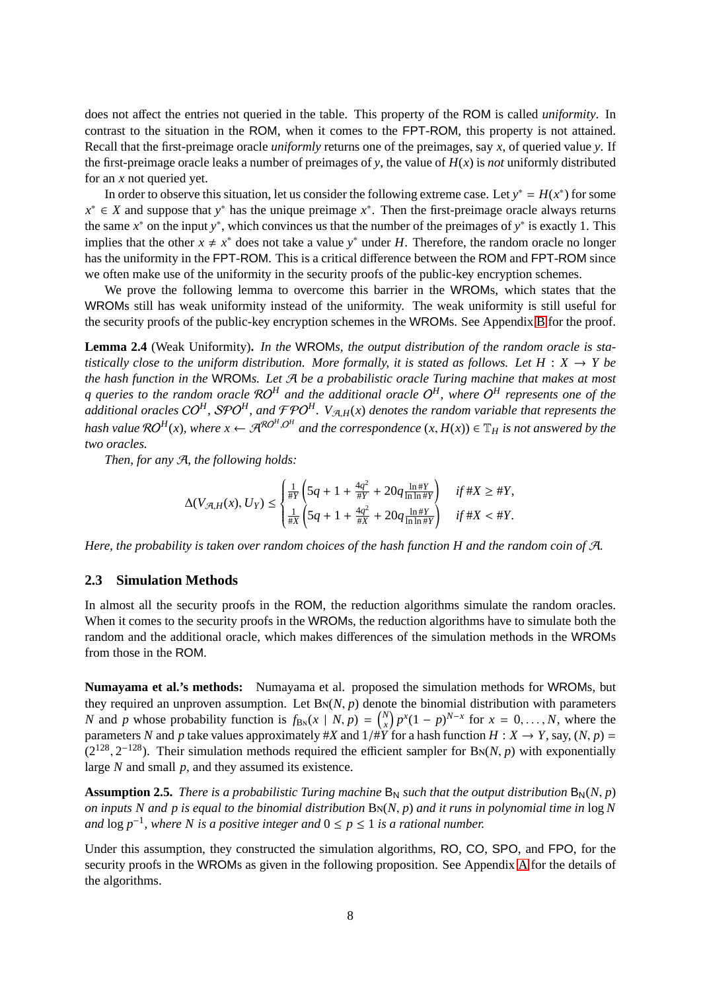does not affect the entries not queried in the table. This property of the ROM is called *uniformity*. In contrast to the situation in the ROM, when it comes to the FPT-ROM, this property is not attained. Recall that the first-preimage oracle *uniformly* returns one of the preimages, say *x*, of queried value *y*. If the first-preimage oracle leaks a number of preimages of *y*, the value of  $H(x)$  is *not* uniformly distributed for an *x* not queried yet.

In order to observe this situation, let us consider the following extreme case. Let  $y^* = H(x^*)$  for some  $x^* \in X$  and suppose that *y*<sup>\*</sup> has the unique preimage  $x^*$ . Then the first-preimage oracle always returns the same  $x^*$  on the input  $y^*$ , which convinces us that the number of the preimages of  $y^*$  is exactly 1. This implies that the other  $x \neq x^*$  does not take a value  $y^*$  under *H*. Therefore, the random oracle no longer has the uniformity in the FPT-ROM. This is a critical difference between the ROM and FPT-ROM since we often make use of the uniformity in the security proofs of the public-key encryption schemes.

We prove the following lemma to overcome this barrier in the WROMs, which states that the WROMs still has weak uniformity instead of the uniformity. The weak uniformity is still useful for the security proofs of the public-key encryption schemes in the WROMs. See Appendix B for the proof.

<span id="page-7-1"></span>**Lemma 2.4** (Weak Uniformity)**.** *In the* WROM*s, the output distribution of the random oracle is statistically close to the uniform distribution. More formally, it is stated as follows. Let*  $H : X \rightarrow Y$  *be the hash function in the* WROM*s. Let* A *be a probabilistic oracle Turing machine tha[t m](#page-17-0)akes at most q queries to the random oracle* RO*<sup>H</sup> and the additional oracle* O *<sup>H</sup>, where* O *<sup>H</sup> represents one of the additional oracles* CO*<sup>H</sup> ,* SPO*<sup>H</sup> , and* F PO*<sup>H</sup> . V*A,*H*(*x*) *denotes the random variable that represents the hash value*  $RO^H(x)$ , where  $x \leftarrow \mathcal{A}^{RO^H, O^H}$  and the correspondence  $(x, H(x)) \in \mathbb{T}_H$  is not answered by the *two oracles.*

*Then, for any* A*, the following holds:*

$$
\Delta(V_{\mathcal{A},H}(x),U_Y) \leq \begin{cases} \frac{1}{\#Y} \left(5q + 1 + \frac{4q^2}{\#Y} + 20q \frac{\ln \#Y}{\ln \ln \#Y}\right) & \text{if } \#X \geq \#Y, \\ \frac{1}{\#X} \left(5q + 1 + \frac{4q^2}{\#X} + 20q \frac{\ln \#Y}{\ln \ln \#Y}\right) & \text{if } \#X < \#Y. \end{cases}
$$

*Here, the probability is taken over random choices of the hash function H and the random coin of* A*.*

#### **2.3 Simulation Methods**

<span id="page-7-0"></span>In almost all the security proofs in the ROM, the reduction algorithms simulate the random oracles. When it comes to the security proofs in the WROMs, the reduction algorithms have to simulate both the random and the additional oracle, which makes differences of the simulation methods in the WROMs from those in the ROM.

**Numayama et al.'s methods:** Numayama et al. proposed the simulation methods for WROMs, but they required an unproven assumption. Let  $B_N(N, p)$  denote the binomial distribution with parameters *N* and *p* whose probability function is  $f_{B_N}(x \mid N, p) = {N \choose x}$  $\int_{x}^{N} p^{x}(1-p)^{N-x}$  for  $x = 0, \ldots, N$ , where the parameters *N* and *p* take values approximately #*X* and  $1/\hat{H}$  for a hash function  $H: X \to Y$ , say,  $(N, p) =$  $(2^{128}, 2^{-128})$ . Their simulation methods required the efficient sampler for B<sub>N</sub>(*N*, *p*) with exponentially large *N* and small *p*, and they assumed its existence.

**Assumption 2.5.** *There is a probabilistic Turing machine*  $B_N$  *such that the output distribution*  $B_N(N, p)$ *on inputs N and p is equal to the binomial distribution* Bn(*N*, *p*) *and it runs in polynomial time in* log *N and* log  $p^{-1}$ , where *N* is a positive integer and 0 ≤  $p$  ≤ 1 is a rational number.

<span id="page-7-3"></span><span id="page-7-2"></span>Under this assumption, they constructed the simulation algorithms, RO, CO, SPO, and FPO, for the security proofs in the WROMs as given in the following proposition. See Appendix A for the details of the algorithms.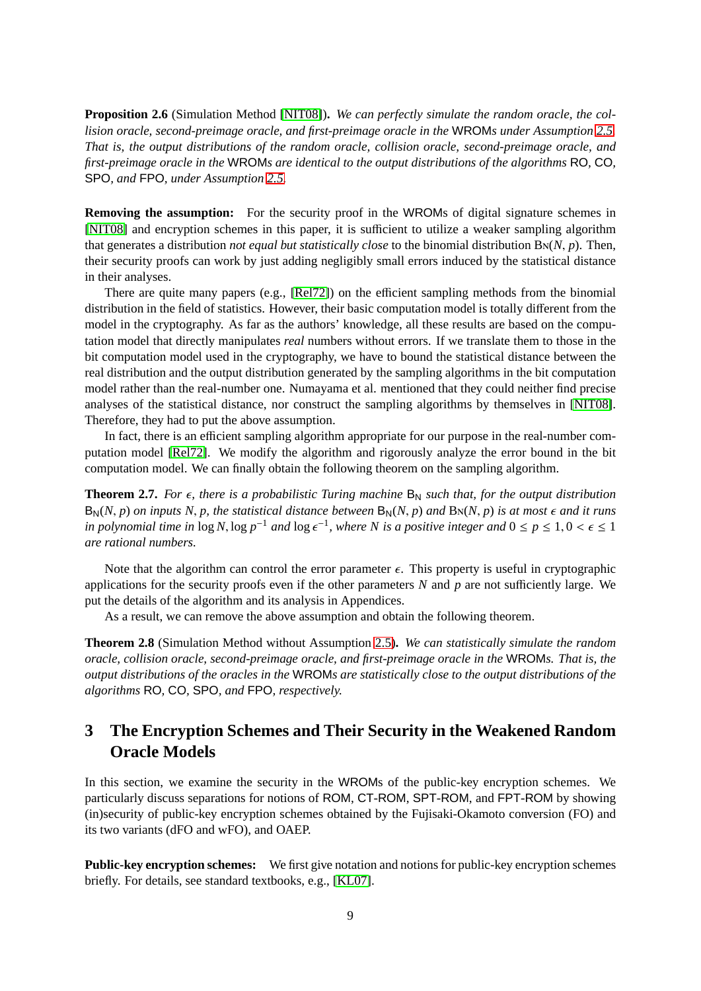**Proposition 2.6** (Simulation Method [NIT08])**.** *We can perfectly simulate the random oracle, the collision oracle, second-preimage oracle, and first-preimage oracle in the* WROM*s under Assumption 2.5. That is, the output distributions of the random oracle, collision oracle, second-preimage oracle, and first-preimage oracle in the* WROM*s a[re ident](#page-65-5)ical to the output distributions of the algorithms* RO*,* CO*,* SPO*, and* FPO*, under Assumption 2.5.*

**Removing the assumption:** For the security proof in the WROMs of digital signature schemes in [NIT08] and encryption schemes i[n th](#page-7-2)is paper, it is sufficient to utilize a weaker sampling algorithm that generates a distribution *not equal but statistically close* to the binomial distribution Bn(*N*, *p*). Then, their security proofs can work by just adding negligibly small errors induced by the statistical distance in their analyses.

[Ther](#page-65-5)e are quite many papers (e.g., [Rel72]) on the efficient sampling methods from the binomial distribution in the field of statistics. However, their basic computation model is totally different from the model in the cryptography. As far as the authors' knowledge, all these results are based on the computation model that directly manipulates *real* numbers without errors. If we translate them to those in the bit computation model used in the crypt[ograph](#page-66-5)y, we have to bound the statistical distance between the real distribution and the output distribution generated by the sampling algorithms in the bit computation model rather than the real-number one. Numayama et al. mentioned that they could neither find precise analyses of the statistical distance, nor construct the sampling algorithms by themselves in [NIT08]. Therefore, they had to put the above assumption.

In fact, there is an efficient sampling algorithm appropriate for our purpose in the real-number computation model [Rel72]. We modify the algorithm and rigorously analyze the error bound i[n the bi](#page-65-5)t computation model. We can finally obtain the following theorem on the sampling algorithm.

**Theorem 2.7.** For  $\epsilon$ , there is a probabilistic Turing machine  $B_N$  such that, for the output distribution  $B_N(N, p)$  *on inp[uts N](#page-66-5), p, the statistical distance between*  $B_N(N, p)$  *and*  $B_N(N, p)$  *is at most*  $\epsilon$  *and it runs in polynomial time in* log *N*, log  $p^{-1}$  and log  $\epsilon^{-1}$ , where *N* is a positive integer and  $0 \le p \le 1, 0 < \epsilon \le 1$ *are rational numbers.*

Note that the algorithm can control the error parameter  $\epsilon$ . This property is useful in cryptographic applications for the security proofs even if the other parameters *N* and *p* are not sufficiently large. We put the details of the algorithm and its analysis in Appendices.

As a result, we can remove the above assumption and obtain the following theorem.

**Theorem 2.8** (Simulation Method without Assumption 2.5)**.** *We can statistically simulate the random oracle, collision oracle, second-preimage oracle, and first-preimage oracle in the* WROM*s. That is, the output distributions of the oracles in the* WROM*s are statistically close to the output distributions of the algorithms* RO*,* CO*,* SPO*, and* FPO*, respectively.*

## **3 The Encryption Schemes and Their Security in the Weakened Random Oracle Models**

<span id="page-8-0"></span>In this section, we examine the security in the WROMs of the public-key encryption schemes. We particularly discuss separations for notions of ROM, CT-ROM, SPT-ROM, and FPT-ROM by showing (in)security of public-key encryption schemes obtained by the Fujisaki-Okamoto conversion (FO) and its two variants (dFO and wFO), and OAEP.

**Public-key encryption schemes:** We first give notation and notions for public-key encryption schemes briefly. For details, see standard textbooks, e.g., [KL07].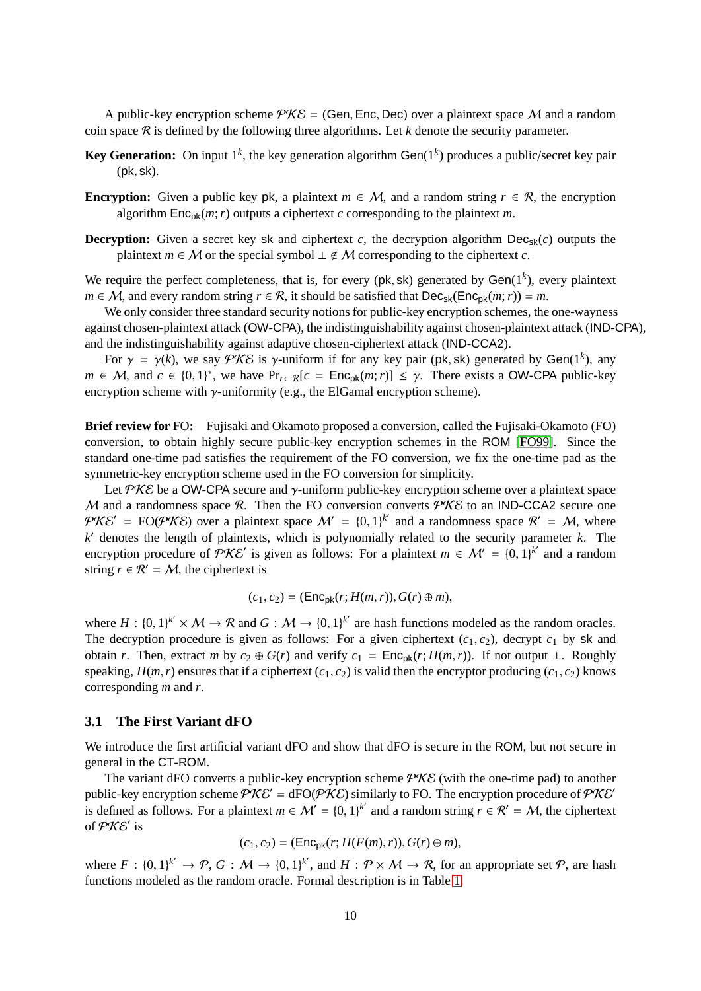A public-key encryption scheme  $PKE = (Gen, Enc, Dec)$  over a plaintext space M and a random coin space  $R$  is defined by the following three algorithms. Let  $k$  denote the security parameter.

- **Key Generation:** On input  $1^k$ , the key generation algorithm Gen( $1^k$ ) produces a public/secret key pair (pk, sk).
- **Encryption:** Given a public key pk, a plaintext  $m \in M$ , and a random string  $r \in \mathcal{R}$ , the encryption algorithm  $Enc_{nk}(m; r)$  outputs a ciphertext *c* corresponding to the plaintext *m*.
- **Decryption:** Given a secret key sk and ciphertext *c*, the decryption algorithm  $\text{Dec}_{\text{sk}}(c)$  outputs the plaintext  $m \in M$  or the special symbol  $\perp \notin M$  corresponding to the ciphertext *c*.

We require the perfect completeness, that is, for every (pk, sk) generated by Gen(1<sup>k</sup>), every plaintext  $m \in \mathcal{M}$ , and every random string  $r \in \mathcal{R}$ , it should be satisfied that  $Dec_{sk}(Enc_{ok}(m; r)) = m$ .

We only consider three standard security notions for public-key encryption schemes, the one-wayness against chosen-plaintext attack (OW-CPA), the indistinguishability against chosen-plaintext attack (IND-CPA), and the indistinguishability against adaptive chosen-ciphertext attack (IND-CCA2).

For  $\gamma = \gamma(k)$ , we say PKE is  $\gamma$ -uniform if for any key pair (pk, sk) generated by Gen(1<sup>k</sup>), any  $m \in M$ , and  $c \in \{0, 1\}^*$ , we have  $Pr_{r \leftarrow R}[c] = Enc_{pk}(m; r)] \leq \gamma$ . There exists a OW-CPA public-key encryption scheme with  $\gamma$ -uniformity (e.g., the ElGamal encryption scheme).

**Brief review for** FO**:** Fujisaki and Okamoto proposed a conversion, called the Fujisaki-Okamoto (FO) conversion, to obtain highly secure public-key encryption schemes in the ROM [FO99]. Since the standard one-time pad satisfies the requirement of the FO conversion, we fix the one-time pad as the symmetric-key encryption scheme used in the FO conversion for simplicity.

Let PKE be a OW-CPA secure and  $\gamma$ -uniform public-key encryption scheme over a plaintext space M and a randomness space R. Then the FO conversion converts  $PKE$  to an IND-[CCA2](#page-64-8) secure one PKE' = FO(PKE) over a plaintext space  $M' = \{0, 1\}^{k'}$  and a randomness space  $R' = M$ , where *k* ′ denotes the length of plaintexts, which is polynomially related to the security parameter *k*. The encryption procedure of  $\mathcal{PKE}'$  is given as follows: For a plaintext  $m \in \mathcal{M}' = \{0, 1\}^{k'}$  and a random string  $r \in \mathcal{R}' = \mathcal{M}$ , the ciphertext is

$$
(c_1, c_2) = (\mathsf{Enc}_{\mathsf{pk}}(r; H(m, r)), G(r) \oplus m),
$$

where  $H: \{0,1\}^{k'} \times \mathcal{M} \to \mathcal{R}$  and  $G: \mathcal{M} \to \{0,1\}^{k'}$  are hash functions modeled as the random oracles. The decryption procedure is given as follows: For a given ciphertext  $(c_1, c_2)$ , decrypt  $c_1$  by sk and obtain *r*. Then, extract *m* by  $c_2 \oplus G(r)$  and verify  $c_1 = \text{Enc}_{ok}(r; H(m,r))$ . If not output ⊥. Roughly speaking,  $H(m, r)$  ensures that if a ciphertext  $(c_1, c_2)$  is valid then the encryptor producing  $(c_1, c_2)$  knows corresponding *m* and *r*.

### **3.1 The First Variant dFO**

We introduce the first artificial variant dFO and show that dFO is secure in the ROM, but not secure in general in the CT-ROM.

<span id="page-9-0"></span>The variant dFO converts a public-key encryption scheme  $PKE$  (with the one-time pad) to another public-key encryption scheme  $PKE' = dFO(PKE)$  similarly to FO. The encryption procedure of  $PKE'$ is defined as follows. For a plaintext  $m \in \mathcal{M}' = \{0, 1\}^{k'}$  and a random string  $r \in \mathcal{R}' = \mathcal{M}$ , the ciphertext of PKE' is

$$
(c_1, c_2) = (\mathsf{Enc}_{\mathsf{pk}}(r; H(F(m), r)), G(r) \oplus m),
$$

where  $F : \{0,1\}^{k'} \to \mathcal{P}, G : \mathcal{M} \to \{0,1\}^{k'}$ , and  $H : \mathcal{P} \times \mathcal{M} \to \mathcal{R}$ , for an appropriate set  $\mathcal{P}$ , are hash functions modeled as the random oracle. Formal description is in Table 1.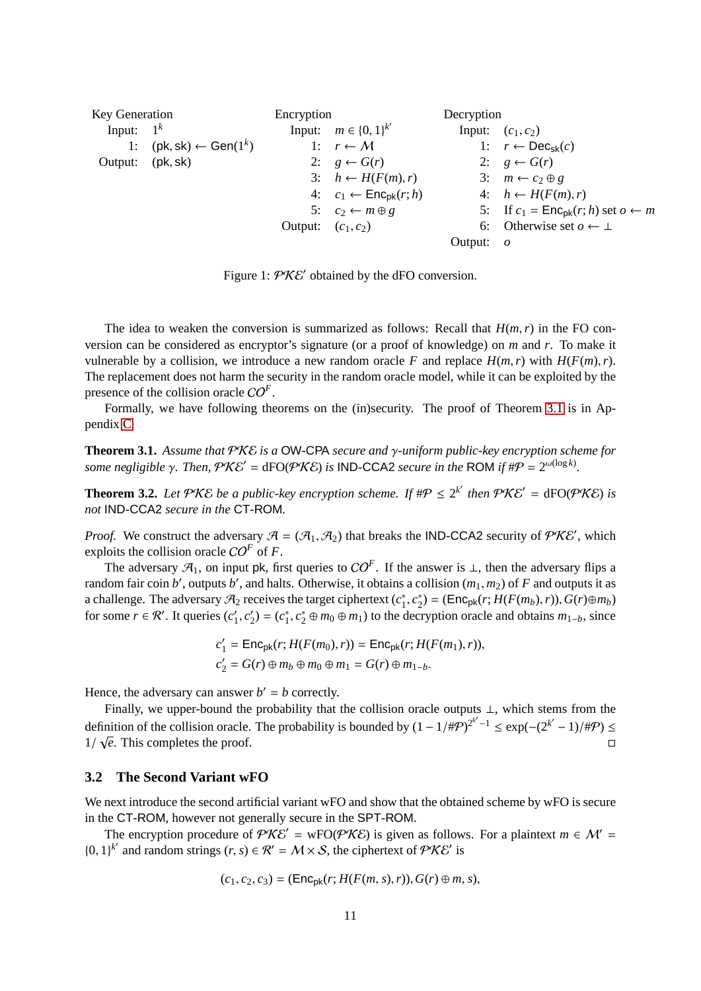

Figure 1:  $PKE'$  obtained by the dFO conversion.

The idea to weaken the conversion is summarized as follows: Recall that  $H(m, r)$  in the FO conversion can be considered as encryptor's signature (or a proof of knowledge) on *m* and *r*. To make it vulnerable by a collision, we introduce a new random oracle *F* and replace  $H(m,r)$  with  $H(F(m),r)$ . The replacement does not harm the security in the random oracle model, while it can be exploited by the presence of the collision oracle CO*<sup>F</sup>* .

Formally, we have following theorems on the (in)security. The proof of Theorem 3.1 is in Appendix C.

**Theorem 3.1.** *Assume that* PKE *is a* OW-CPA *secure and* γ*-uniform public-key encryption scheme for some negligible*  $\gamma$ *. Then,*  $\mathcal{PKE}' = \text{dFO}(\mathcal{PKE})$  *is* IND-CCA2 *secure in the* ROM *if*  $\sharp \mathcal{P} = 2^{\omega(\log k)}$ *.* 

<span id="page-10-1"></span>**Theor[em](#page-19-0) 3.2.** Let PKE be a public-key encryption scheme. If  $\sharp P \leq 2^{k'}$  then PKE' = dFO(PKE) is *not* IND-CCA2 *secure in the* CT-ROM*.*

*Proof.* We construct the adversary  $A = (A_1, A_2)$  that breaks the IND-CCA2 security of  $PKE'$ , which exploits the collision oracle  $CO<sup>F</sup>$  of *F*.

The adversary  $\mathcal{A}_1$ , on input pk, first queries to  $CO^F$ . If the answer is  $\perp$ , then the adversary flips a random fair coin *b'*, outputs *b'*, and halts. Otherwise, it obtains a collision  $(m_1, m_2)$  of *F* and outputs it as a challenge. The adversary  $\mathcal{A}_2$  receives the target ciphertext  $(c_1^*, c_2^*)$  = (Enc<sub>pk</sub>(*r*;  $H(F(m_b), r)$ ),  $G(r) \oplus m_b$ ) for some  $r \in \mathcal{R}'$ . It queries  $(c'_1, c'_2) = (c_1^*, c_2^* \oplus m_0 \oplus m_1)$  to the decryption oracle and obtains  $m_1 - b$ , since

> $c'_1$  = Enc<sub>pk</sub>(*r*; *H*(*F*(*m*<sub>0</sub>), *r*)) = Enc<sub>pk</sub>(*r*; *H*(*F*(*m*<sub>1</sub>), *r*)),  $c'_{2} = G(r) \oplus m_{b} \oplus m_{0} \oplus m_{1} = G(r) \oplus m_{1-b}.$

Hence, the adversary can answer  $b' = b$  correctly.

Finally, we upper-bound the probability that the collision oracle outputs ⊥, which stems from the definition of the collision oracle. The probability is bounded by  $(1 - 1/#p)^{2^{k'}-1}$  ≤ exp(−(2<sup>k'</sup> − 1)/#P) ≤  $1/\sqrt{e}$ . This completes the proof.

### **3.2 The Second Variant wFO**

We next introduce the second artificial variant wFO and show that the obtained scheme by wFO is secure in the CT-ROM, however not generally secure in the SPT-ROM.

<span id="page-10-0"></span>The encryption procedure of  $PKE' = wFO(PKE)$  is given as follows. For a plaintext  $m \in M' =$ {0, 1}<sup>k'</sup> and random strings  $(r, s) \in \mathcal{R}' = \mathcal{M} \times \mathcal{S}$ , the ciphertext of  $\mathcal{P} \mathcal{K} \mathcal{E}'$  is

$$
(c_1, c_2, c_3) = (\mathsf{Enc}_{\mathsf{pk}}(r; H(F(m, s), r)), G(r) \oplus m, s),
$$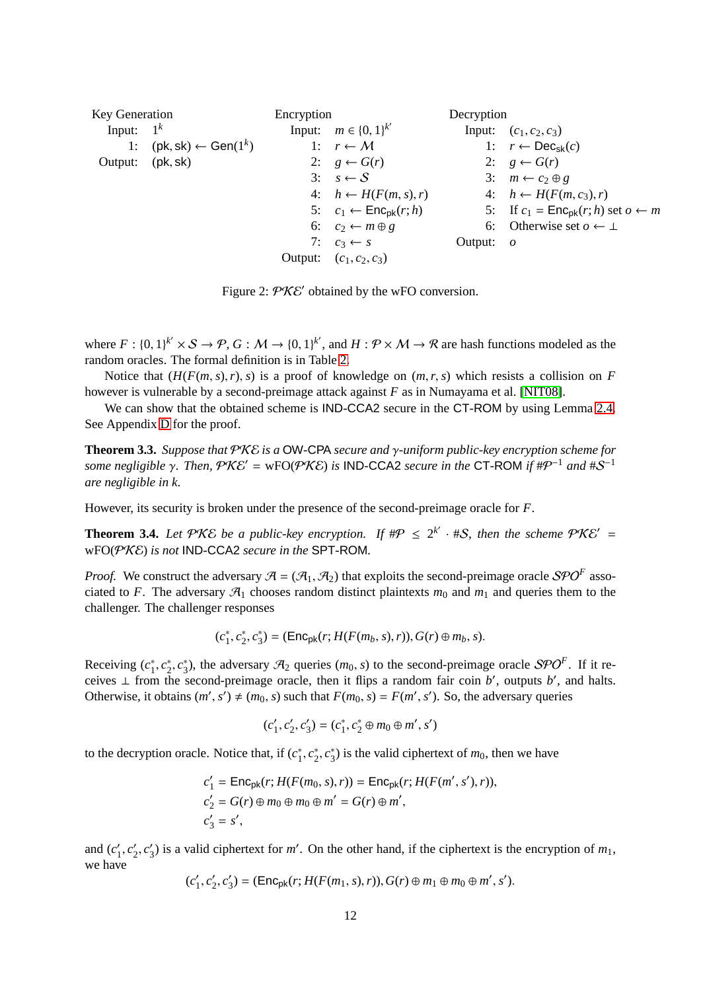| <b>Key Generation</b> |                                   | Encryption |                                                  | Decryption       |                                                                 |
|-----------------------|-----------------------------------|------------|--------------------------------------------------|------------------|-----------------------------------------------------------------|
| Input: $1^k$          |                                   |            | Input: $m \in \{0, 1\}^{k'}$                     |                  | Input: $(c_1, c_2, c_3)$                                        |
|                       | 1: $(pk, sk) \leftarrow Gen(1^k)$ |            | 1: $r \leftarrow M$                              |                  | 1: $r \leftarrow \text{Dec}_{\text{sk}}(c)$                     |
|                       | Output: (pk, sk)                  |            | 2: $g \leftarrow G(r)$                           |                  | 2: $g \leftarrow G(r)$                                          |
|                       |                                   |            | 3: $s \leftarrow S$                              |                  | 3: $m \leftarrow c_2 \oplus g$                                  |
|                       |                                   |            | 4: $h \leftarrow H(F(m, s), r)$                  |                  | 4: $h \leftarrow H(F(m, c_3), r)$                               |
|                       |                                   |            | 5: $c_1 \leftarrow \text{Enc}_{\text{pk}}(r; h)$ |                  | 5: If $c_1 = \text{Enc}_{\text{pk}}(r; h)$ set $o \leftarrow m$ |
|                       |                                   |            | 6: $c_2 \leftarrow m \oplus g$                   |                  | 6: Otherwise set $o \leftarrow \perp$                           |
|                       |                                   |            | 7: $c_3 \leftarrow s$                            | Output: $\theta$ |                                                                 |
|                       |                                   |            | Output: $(c_1, c_2, c_3)$                        |                  |                                                                 |

<span id="page-11-0"></span>Figure 2:  $PKE'$  obtained by the wFO conversion.

where  $F: \{0,1\}^k \times S \to P$ ,  $G: \mathcal{M} \to \{0,1\}^k$ , and  $H: \mathcal{P} \times \mathcal{M} \to \mathcal{R}$  are hash functions modeled as the random oracles. The formal definition is in Table 2.

Notice that  $(H(F(m, s), r), s)$  is a proof of knowledge on  $(m, r, s)$  which resists a collision on *F* however is vulnerable by a second-preimage attack against *F* as in Numayama et al. [NIT08].

We can show that the obtained scheme is IND[-](#page-11-0)CCA2 secure in the CT-ROM by using Lemma 2.4. See Appendix D for the proof.

**Theorem 3.3.** *Suppose that* PKE *is a* OW-CPA *secure and* γ*-uniform public-key enc[ryption](#page-65-5) scheme for some negligible* γ. Then, PKE' = wFO(PKE) *is* IND-CCA2 *secure in the* CT-ROM *if* #P<sup>-1</sup> and #[S](#page-7-1)<sup>-1</sup> *are negligible [in](#page-24-0) k.*

<span id="page-11-1"></span>However, its security is broken under the presence of the second-preimage oracle for *F*.

**Theorem 3.4.** Let PKE be a public-key encryption. If  $\sharp \mathcal{P} \leq 2^{k'} \cdot \sharp S$ , then the scheme PKE' = wFO(PKE) *is not* IND-CCA2 *secure in the* SPT-ROM*.*

*Proof.* We construct the adversary  $A = (A_1, A_2)$  that exploits the second-preimage oracle *SPO<sup>F</sup>* associated to *F*. The adversary  $\mathcal{A}_1$  chooses random distinct plaintexts  $m_0$  and  $m_1$  and queries them to the challenger. The challenger responses

$$
(c_1^*, c_2^*, c_3^*) = (\mathsf{Enc}_{\mathsf{pk}}(r; H(F(m_b, s), r)), G(r) \oplus m_b, s).
$$

Receiving  $(c_1^*, c_2^*, c_3^*)$ , the adversary  $\mathcal{A}_2$  queries  $(m_0, s)$  to the second-preimage oracle  $\mathcal{SPO}^F$ . If it receives  $\bot$  from the second-preimage oracle, then it flips a random fair coin *b*', outputs *b*', and halts. Otherwise, it obtains  $(m', s') \neq (m_0, s)$  such that  $F(m_0, s) = F(m', s')$ . So, the adversary queries

$$
(c'_1, c'_2, c'_3) = (c_1^*, c_2^* \oplus m_0 \oplus m', s')
$$

to the decryption oracle. Notice that, if  $(c_1^*, c_2^*, c_3^*)$  is the valid ciphertext of  $m_0$ , then we have

$$
c'_1 = \text{Enc}_{\text{pk}}(r; H(F(m_0, s), r)) = \text{Enc}_{\text{pk}}(r; H(F(m', s'), r)),
$$
  
\n
$$
c'_2 = G(r) \oplus m_0 \oplus m_0 \oplus m' = G(r) \oplus m',
$$
  
\n
$$
c'_3 = s',
$$

and  $(c'_1, c'_2, c'_3)$  is a valid ciphertext for *m'*. On the other hand, if the ciphertext is the encryption of  $m_1$ , we have

$$
(c'_1, c'_2, c'_3) = (\mathsf{Enc}_{\mathsf{pk}}(r; H(F(m_1, s), r)), G(r) \oplus m_1 \oplus m_0 \oplus m', s').
$$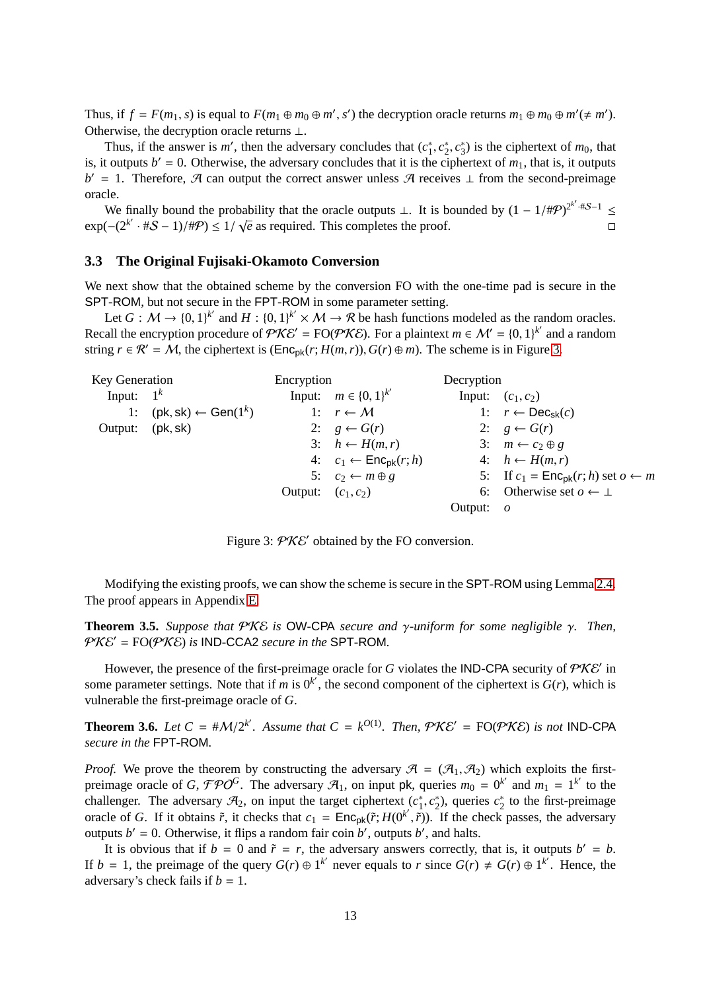Thus, if  $f = F(m_1, s)$  is equal to  $F(m_1 \oplus m_0 \oplus m', s')$  the decryption oracle returns  $m_1 \oplus m_0 \oplus m' (\neq m')$ . Otherwise, the decryption oracle returns ⊥.

Thus, if the answer is *m'*, then the adversary concludes that  $(c_1^*, c_2^*, c_3^*)$  is the ciphertext of  $m_0$ , that is, it outputs  $b' = 0$ . Otherwise, the adversary concludes that it is the ciphertext of  $m_1$ , that is, it outputs  $b' = 1$ . Therefore, A can output the correct answer unless A receives  $\perp$  from the second-preimage oracle.

We finally bound the probability that the oracle outputs ⊥. It is bounded by  $(1 - 1/#p)^{2^{k'}+S-1}$  ≤  $exp(-(2^{k'} \cdot \#S - 1)/\#P) \le 1/\sqrt{e}$  as required. This completes the proof. □

### **3.3 The Original Fujisaki-Okamoto Conversion**

We next show that the obtained scheme by the conversion FO with the one-time pad is secure in the SPT-ROM, but not secure in the FPT-ROM in some parameter setting.

Let  $G : \mathcal{M} \to \{0,1\}^{k'}$  and  $H : \{0,1\}^{k'} \times \mathcal{M} \to \mathcal{R}$  be hash functions modeled as the random oracles. Recall the encryption procedure of  $PKE' = FO(PKE)$ . For a plaintext  $m \in M' = \{0, 1\}^{k'}$  and a random string  $r \in \mathcal{R}' = \mathcal{M}$ , the ciphertext is  $(Enc_{pk}(r; H(m, r)), G(r) \oplus m)$ . The scheme is in Figure 3.

| Key Generation   |                                            | Encryption           |                                                  | Decryption       |                                                                 |
|------------------|--------------------------------------------|----------------------|--------------------------------------------------|------------------|-----------------------------------------------------------------|
| Input: $1^k$     |                                            |                      | Input: $m \in \{0, 1\}^{k'}$                     |                  | Input: $(c_1, c_2)$                                             |
| 1:               | (pk, sk) $\leftarrow$ Gen(1 <sup>k</sup> ) |                      | 1: $r \leftarrow M$                              |                  | 1: $r \leftarrow \mathsf{Dec}_{\mathsf{sk}}(c)$                 |
| Output: (pk, sk) |                                            |                      | 2: $g \leftarrow G(r)$                           |                  | 2: $g \leftarrow G(r)$                                          |
|                  |                                            |                      | 3: $h \leftarrow H(m,r)$                         |                  | 3: $m \leftarrow c_2 \oplus g$                                  |
|                  |                                            |                      | 4: $c_1 \leftarrow \text{Enc}_{\text{ok}}(r; h)$ |                  | 4: $h \leftarrow H(m,r)$                                        |
|                  |                                            |                      | 5: $c_2 \leftarrow m \oplus g$                   |                  | 5: If $c_1 = \text{Enc}_{\text{pk}}(r; h)$ set $o \leftarrow m$ |
|                  |                                            | Output: $(c_1, c_2)$ |                                                  |                  | 6: Otherwise set $o \leftarrow \perp$                           |
|                  |                                            |                      |                                                  | Output: $\theta$ |                                                                 |

<span id="page-12-0"></span>Figure 3: PKE' obtained by the FO conversion.

Modifying the existing proofs, we can show the scheme is secure in the SPT-ROM using Lemma 2.4. The proof appears in Appendix E.

**Theorem 3.5.** *Suppose that* PKE *is* OW-CPA *secure and* γ*-uniform for some negligible* γ*. Then,* PKE′ = FO(PKE) *is* IND-CCA2 *secure in the* SPT-ROM*.*

<span id="page-12-1"></span>However, the presence of t[he fi](#page-29-0)rst-preimage oracle for *G* violates the IND-CPA security of  $PKE'$  in some parameter settings. Note that if *m* is  $0^{k'}$ , the second component of the ciphertext is  $G(r)$ , which is vulnerable the first-preimage oracle of *G*.

**Theorem 3.6.** *Let*  $C = #M/2^{k'}$ . *Assume that*  $C = k^{O(1)}$ . *Then,*  $PK\mathcal{E}' = \text{FO}(\mathcal{PK}\mathcal{E})$  *is not* IND-CPA *secure in the* FPT-ROM*.*

*Proof.* We prove the theorem by constructing the adversary  $\mathcal{A} = (\mathcal{A}_1, \mathcal{A}_2)$  which exploits the firstpreimage oracle of *G*,  $\mathcal{FPO}^G$ . The adversary  $\mathcal{A}_1$ , on input pk, queries  $m_0 = 0^{k'}$  and  $m_1 = 1^{k'}$  to the challenger. The adversary  $\mathcal{A}_2$ , on input the target ciphertext  $(c_1^*, c_2^*)$ , queries  $c_2^*$  to the first-preimage oracle of *G*. If it obtains  $\tilde{r}$ , it checks that  $c_1 = \text{Enc}_{pk}(\tilde{r}; H(0^{k'}, \tilde{r}))$ . If the check passes, the adversary outputs  $b' = 0$ . Otherwise, it flips a random fair coin  $b'$ , outputs  $b'$ , and halts.

It is obvious that if  $b = 0$  and  $\tilde{r} = r$ , the adversary answers correctly, that is, it outputs  $b' = b$ . If  $b = 1$ , the preimage of the query  $G(r) \oplus 1^{k'}$  never equals to *r* since  $G(r) \neq G(r) \oplus 1^{k'}$ . Hence, the adversary's check fails if  $b = 1$ .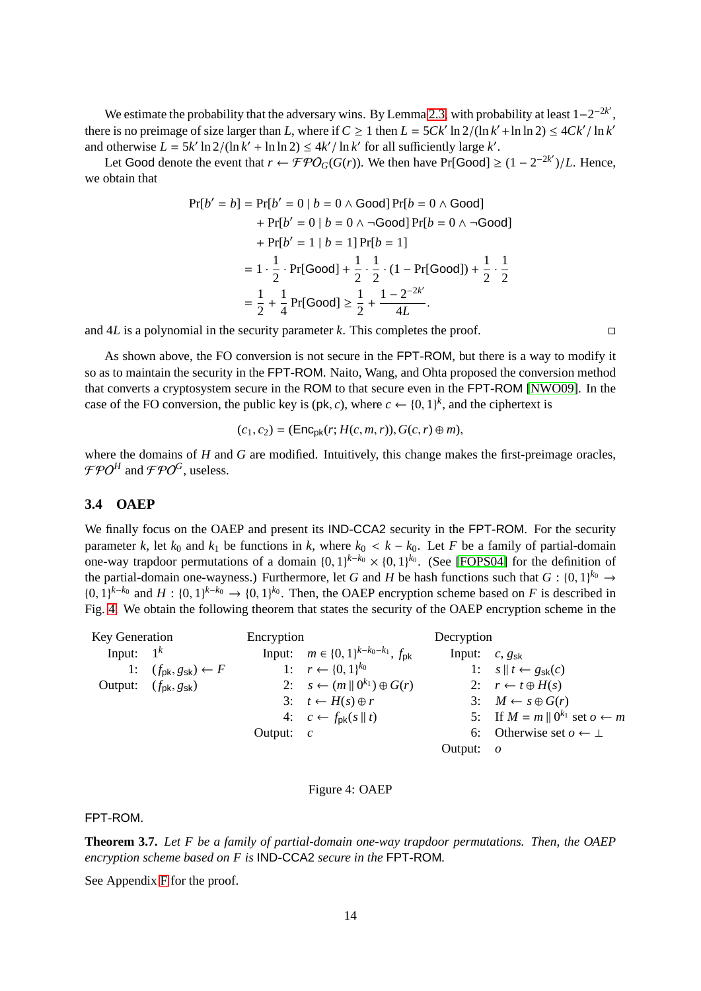We estimate the probability that the adversary wins. By Lemma 2.3, with probability at least  $1-2^{-2k'}$ , there is no preimage of size larger than *L*, where if  $C \ge 1$  then  $L = 5Ck' \ln 2/(\ln k' + \ln \ln 2) \le 4Ck'/\ln k'$ and otherwise  $L = 5k' \ln 2/(\ln k' + \ln \ln 2) \le 4k'/\ln k'$  for all sufficiently large k'.

Let Good denote the event that  $r \leftarrow \mathcal{FPO}_G(G(r))$ . We then have  $Pr[\text{Good}] \ge (1 - 2^{-2k'})/L$ . Hence, we obtain that

$$
Pr[b' = b] = Pr[b' = 0 | b = 0 \land Good] Pr[b = 0 \land Good]
$$
  
+ 
$$
Pr[b' = 0 | b = 0 \land \neg Good] Pr[b = 0 \land \neg Good]
$$
  
+ 
$$
Pr[b' = 1 | b = 1] Pr[b = 1]
$$
  
= 
$$
1 \cdot \frac{1}{2} \cdot Pr[Good] + \frac{1}{2} \cdot \frac{1}{2} \cdot (1 - Pr[Good]) + \frac{1}{2} \cdot \frac{1}{2}
$$
  
= 
$$
\frac{1}{2} + \frac{1}{4} Pr[Good] \ge \frac{1}{2} + \frac{1 - 2^{-2k'}}{4L}.
$$

and 4*L* is a polynomial in the security parameter *k*. This completes the proof.

As shown above, the FO conversion is not secure in the FPT-ROM, but there is a way to modify it so as to maintain the security in the FPT-ROM. Naito, Wang, and Ohta proposed the conversion method that converts a cryptosystem secure in the ROM to that secure even in the FPT-ROM [NWO09]. In the case of the FO conversion, the public key is (pk, *c*), where  $c \leftarrow \{0, 1\}^k$ , and the ciphertext is

 $(c_1, c_2) = (\text{Enc}_{\text{nk}}(r; H(c, m, r)), G(c, r) \oplus m),$ 

where the domains of *H* and *G* are modified. Intuitively, this change makes the first-[preimage](#page-65-8) oracles,  $\mathcal{FPO}^{H}$  and  $\mathcal{FPO}^{G}$ , useless.

### **3.4 OAEP**

<span id="page-13-0"></span>We finally focus on the OAEP and present its IND-CCA2 security in the FPT-ROM. For the security parameter *k*, let  $k_0$  and  $k_1$  be functions in *k*, where  $k_0 < k - k_0$ . Let *F* be a family of partial-domain one-way trapdoor permutations of a domain  $\{0, 1\}^{k-k_0} \times \{0, 1\}^{k_0}$ . (See [FOPS04] for the definition of the partial-domain one-wayness.) Furthermore, let *G* and *H* be hash functions such that  $G: \{0, 1\}^{k_0} \to$ {0, 1}<sup>k−k<sub>0</sub></sub> and *H* : {0, 1}<sup>k−k<sub>0</sub> → {0, 1}<sup>k<sub>0</sub></sup>. Then, the OAEP encryption scheme based on *F* is described in</sup></sup> Fig. 4. We obtain the following theorem that states the security of the O[AEP encr](#page-64-12)yption scheme in the

| Key Generation |                                                  | Encryption  |                                                     | Decryption         |                                                      |
|----------------|--------------------------------------------------|-------------|-----------------------------------------------------|--------------------|------------------------------------------------------|
| Input: $1^k$   |                                                  |             | Input: $m \in \{0, 1\}^{k-k_0-k_1}, f_{\text{pk}}$  | Input: $c, g_{sk}$ |                                                      |
|                | 1: $(f_{\text{pk}}, g_{\text{sk}}) \leftarrow F$ |             | 1: $r \leftarrow \{0, 1\}^{k_0}$                    |                    | 1: $s \parallel t \leftarrow g_{\rm sk}(c)$          |
|                | Output: $(f_{\rm pk}, g_{\rm sk})$               |             | 2: $s \leftarrow (m \parallel 0^{k_1}) \oplus G(r)$ |                    | 2: $r \leftarrow t \oplus H(s)$                      |
|                |                                                  |             | 3: $t \leftarrow H(s) \oplus r$                     |                    | 3: $M \leftarrow s \oplus G(r)$                      |
|                |                                                  |             | 4: $c \leftarrow f_{\text{pk}}(s \parallel t)$      |                    | 5: If $M = m    0^{k_1} \text{ set } o \leftarrow m$ |
|                |                                                  | Output: $c$ |                                                     |                    | 6: Otherwise set $o \leftarrow \perp$                |
|                |                                                  |             |                                                     | Output: $\theta$   |                                                      |

#### Figure 4: OAEP

#### FPT-ROM.

**Theorem 3.7.** *Let F be a family of partial-domain one-way trapdoor permutations. Then, the OAEP encryption scheme based on F is* IND-CCA2 *secure in the* FPT-ROM*.*

<span id="page-13-1"></span>See Appendix F for the proof.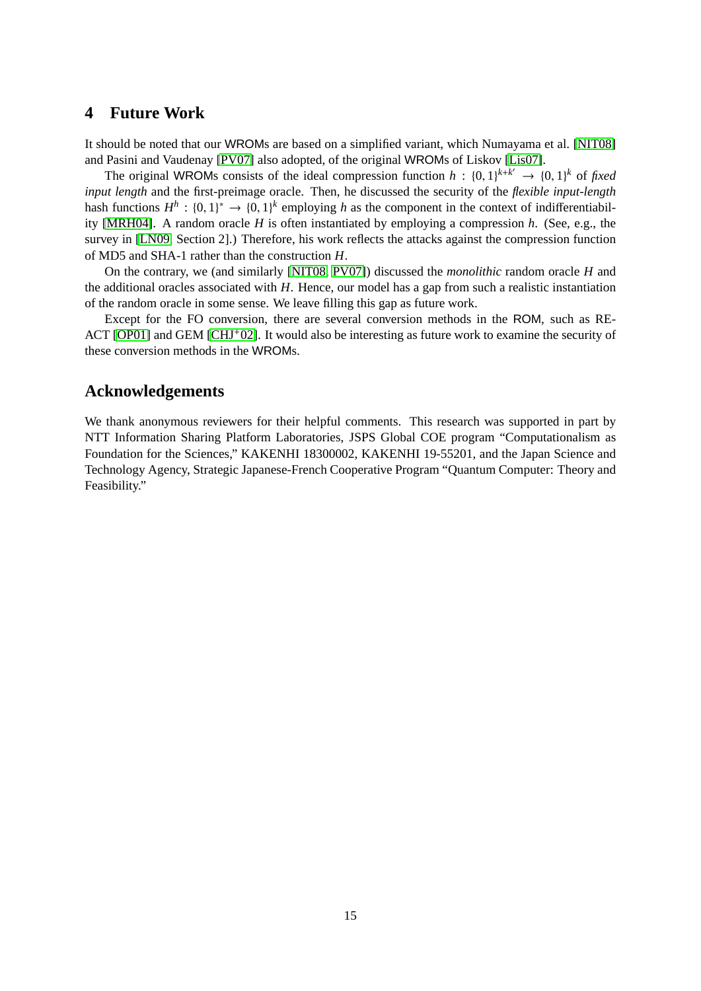## **4 Future Work**

It should be noted that our WROMs are based on a simplified variant, which Numayama et al. [NIT08] and Pasini and Vaudenay [PV07] also adopted, of the original WROMs of Liskov [Lis07].

<span id="page-14-0"></span>The original WROMs consists of the ideal compression function  $h : \{0, 1\}^{k+k'} \rightarrow \{0, 1\}^k$  of *fixed input length* and the first-preimage oracle. Then, he discussed the security of the *flexible input-length* hash functions  $H^h: \{0,1\}^k \to \{0,1\}^k$  employing h as the component in the context of indiffer[entiabil](#page-65-5)ity [MRH04]. A random [oracle](#page-66-4) *H* is often instantiated by employing a compress[ion](#page-65-3) *h*. (See, e.g., the survey in [LN09, Section 2].) Therefore, his work reflects the attacks against the compression function of MD5 and SHA-1 rather than the construction *H*.

On the contrary, we (and similarly [NIT08, PV07]) discussed the *monolithic* random oracle *H* and the [additiona](#page-65-9)l oracles associated with *H*. Hence, our model has a gap from such a realistic instantiation of the ran[dom or](#page-65-1)acle in some sense. We leave filling this gap as future work.

Except for the FO conversion, there are several conversion methods in the ROM, such as REACT [OP01] and GEM [CHJ<sup>+</sup>02]. It w[ould also](#page-65-5) [be inte](#page-66-4)resting as future work to examine the security of these conversion methods in the WROMs.

## **Ack[nowl](#page-65-10)edgeme[nts](#page-64-13)**

We thank anonymous reviewers for their helpful comments. This research was supported in part by NTT Information Sharing Platform Laboratories, JSPS Global COE program "Computationalism as Foundation for the Sciences," KAKENHI 18300002, KAKENHI 19-55201, and the Japan Science and Technology Agency, Strategic Japanese-French Cooperative Program "Quantum Computer: Theory and Feasibility."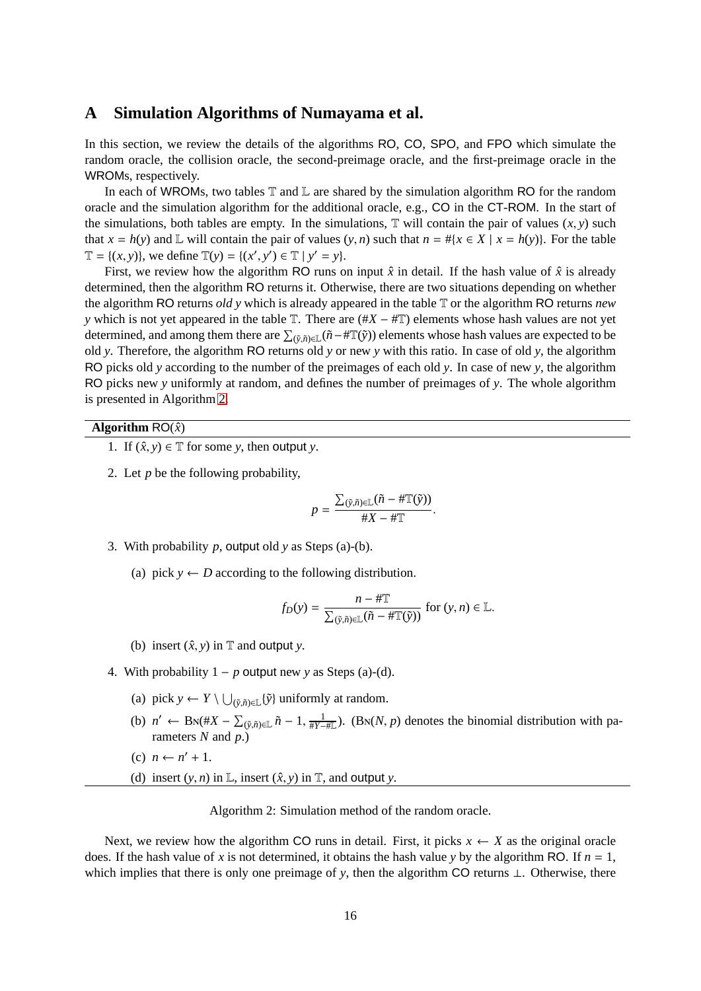## **A Simulation Algorithms of Numayama et al.**

In this section, we review the details of the algorithms RO, CO, SPO, and FPO which simulate the random oracle, the collision oracle, the second-preimage oracle, and the first-preimage oracle in the WROMs, respectively.

<span id="page-15-0"></span>In each of WROMs, two tables  $\mathbb T$  and  $\mathbb L$  are shared by the simulation algorithm RO for the random oracle and the simulation algorithm for the additional oracle, e.g., CO in the CT-ROM. In the start of the simulations, both tables are empty. In the simulations,  $T$  will contain the pair of values  $(x, y)$  such that  $x = h(y)$  and  $\mathbb{L}$  will contain the pair of values  $(y, n)$  such that  $n = \# \{x \in X \mid x = h(y)\}\)$ . For the table  $\mathbb{T} = \{(x, y)\}\)$ , we define  $\mathbb{T}(y) = \{(x', y') \in \mathbb{T} \mid y' = y\}.$ 

First, we review how the algorithm RO runs on input  $\hat{x}$  in detail. If the hash value of  $\hat{x}$  is already determined, then the algorithm RO returns it. Otherwise, there are two situations depending on whether the algorithm RO returns *old y* which is already appeared in the table T or the algorithm RO returns *new y* which is not yet appeared in the table  $\mathbb{T}$ . There are (#*X* − # $\mathbb{T}$ ) elements whose hash values are not yet determined, and among them there are  $\sum_{(\tilde{y}, \tilde{n}) \in \mathbb{L}} (\tilde{n} - \# \mathbb{T}(\tilde{y}))$  elements whose hash values are expected to be old *y*. Therefore, the algorithm RO returns old *y* or new *y* with this ratio. In case of old *y*, the algorithm RO picks old *y* according to the number of the preimages of each old *y*. In case of new *y*, the algorithm RO picks new *y* uniformly at random, and defines the number of preimages of *y*. The whole algorithm is presented in Algorithm 2.

**Algorithm**  $RO(\hat{x})$ 

- 1. If  $(\hat{x}, y) \in \mathbb{T}$  $(\hat{x}, y) \in \mathbb{T}$  $(\hat{x}, y) \in \mathbb{T}$  for some *y*, then output *y*.
- 2. Let *p* be the following probability,

$$
p = \frac{\sum_{(\tilde{y}, \tilde{n}) \in \mathbb{L}} (\tilde{n} - #\mathbb{T}(\tilde{y}))}{#X - #\mathbb{T}}
$$

.

- 3. With probability *p*, output old *y* as Steps (a)-(b).
	- (a) pick  $y \leftarrow D$  according to the following distribution.

$$
f_D(y) = \frac{n - \mathbb{H} \mathbb{T}}{\sum_{(\tilde{y}, \tilde{n}) \in \mathbb{L}} (\tilde{n} - \mathbb{H} \mathbb{T}(\tilde{y}))} \text{ for } (y, n) \in \mathbb{L}.
$$

- (b) insert  $(\hat{x}, y)$  in  $\mathbb T$  and output *y*.
- 4. With probability 1 − *p* output new *y* as Steps (a)-(d).
	- (a) pick  $y \leftarrow Y \setminus \bigcup_{(\tilde{y}, \tilde{n}) \in \mathbb{L}} {\tilde{y}}$  uniformly at random.
	- (b)  $n' \leftarrow B_N(\#X \sum_{(\tilde{y}, \tilde{n}) \in \mathbb{L}} \tilde{n} 1, \frac{1}{\#Y \# \mathbb{L}})$ . (BN(*N*, *p*) denotes the binomial distribution with parameters *N* and *p*.)
	- (c)  $n \leftarrow n' + 1$ .
	- (d) insert  $(y, n)$  in  $\mathbb{L}$ , insert  $(\hat{x}, y)$  in  $\mathbb{T}$ , and output *y*.

<span id="page-15-1"></span>Algorithm 2: Simulation method of the random oracle.

Next, we review how the algorithm CO runs in detail. First, it picks  $x \leftarrow X$  as the original oracle does. If the hash value of *x* is not determined, it obtains the hash value *y* by the algorithm RO. If  $n = 1$ , which implies that there is only one preimage of *y*, then the algorithm CO returns ⊥. Otherwise, there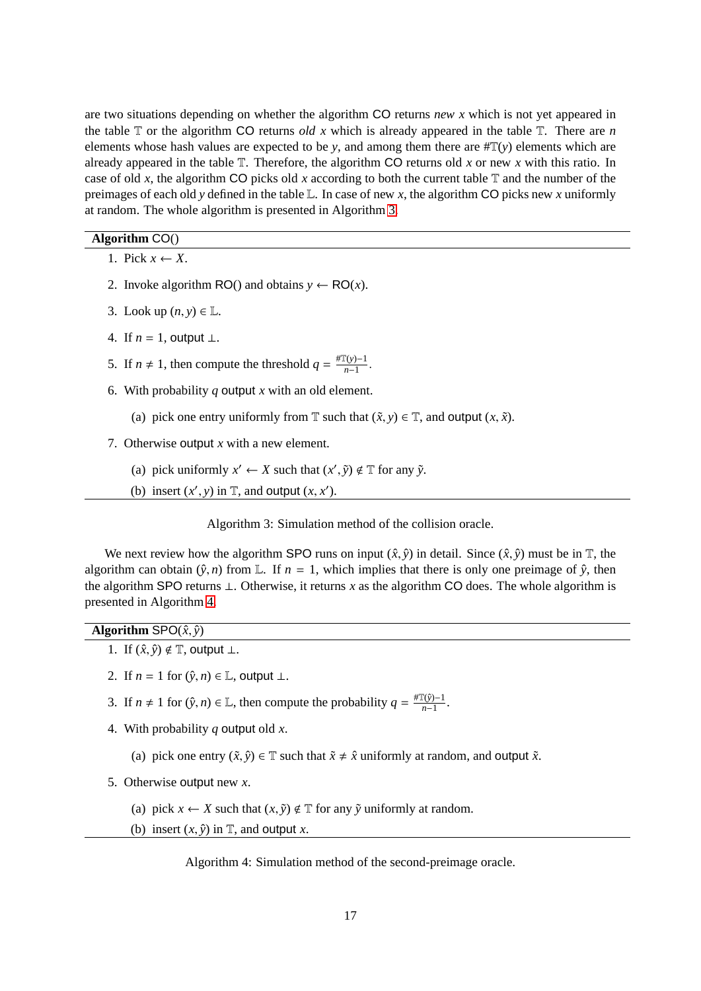are two situations depending on whether the algorithm CO returns *new x* which is not yet appeared in the table T or the algorithm CO returns *old x* which is already appeared in the table T. There are *n* elements whose hash values are expected to be *y*, and among them there are  $\#T(y)$  elements which are already appeared in the table T. Therefore, the algorithm CO returns old *x* or new *x* with this ratio. In case of old *x*, the algorithm CO picks old *x* according to both the current table T and the number of the preimages of each old *y* defined in the table L. In case of new *x*, the algorithm CO picks new *x* uniformly at random. The whole algorithm is presented in Algorithm 3.

### **Algorithm** CO()

1. Pick  $x \leftarrow X$ .

- 2. Invoke algorithm RO() and obtains  $y \leftarrow \text{RO}(x)$ .
- 3. Look up  $(n, y) \in \mathbb{L}$ .
- 4. If  $n = 1$ , output  $\perp$ .
- 5. If *n*  $\neq$  1, then compute the threshold  $q = \frac{\#T(y)-1}{n-1}$  $\frac{(y)-1}{n-1}$ .
- 6. With probability *q* output *x* with an old element.
	- (a) pick one entry uniformly from  $\mathbb T$  such that  $(\tilde x, y) \in \mathbb T$ , and output  $(x, \tilde x)$ .
- 7. Otherwise output *x* with a new element.
	- (a) pick uniformly  $x' \leftarrow X$  such that  $(x', \tilde{y}) \notin \mathbb{T}$  for any  $\tilde{y}$ .
	- (b) insert  $(x', y)$  in  $\mathbb{T}$ , and output  $(x, x')$ .

Algorithm 3: Simulation method of the collision oracle.

We next review how the algorithm SPO runs on input  $(\hat{x}, \hat{y})$  in detail. Since  $(\hat{x}, \hat{y})$  must be in T, the algorithm can obtain  $(\hat{y}, n)$  from L. If  $n = 1$ , which implies that there is only one preimage of  $\hat{y}$ , then the algorithm SPO returns ⊥. Otherwise, it returns *x* as the algorithm CO does. The whole algorithm is presented in Algorithm 4.

## **Algorithm** SPO $(\hat{x}, \hat{y})$

- 1. If  $(\hat{x}, \hat{y}) \notin \mathbb{T}$ , ou[tpu](#page-16-0)t  $\perp$ .
- 2. If  $n = 1$  for  $(\hat{y}, n) \in \mathbb{L}$ , output  $\perp$ .
- 3. If  $n \neq 1$  for  $(\hat{y}, n) \in \mathbb{L}$ , then compute the probability  $q = \frac{\#T(\hat{y})-1}{n-1}$  $\frac{(y)-1}{n-1}$ .
- 4. With probability *q* output old *x*.
	- (a) pick one entry  $(\tilde{x}, \hat{y}) \in \mathbb{T}$  such that  $\tilde{x} \neq \hat{x}$  uniformly at random, and output  $\tilde{x}$ .
- 5. Otherwise output new *x*.
	- (a) pick  $x \leftarrow X$  such that  $(x, \tilde{y}) \notin \mathbb{T}$  for any  $\tilde{y}$  uniformly at random.
	- (b) insert  $(x, \hat{y})$  in  $\mathbb{T}$ , and output *x*.

<span id="page-16-0"></span>Algorithm 4: Simulation method of the second-preimage oracle.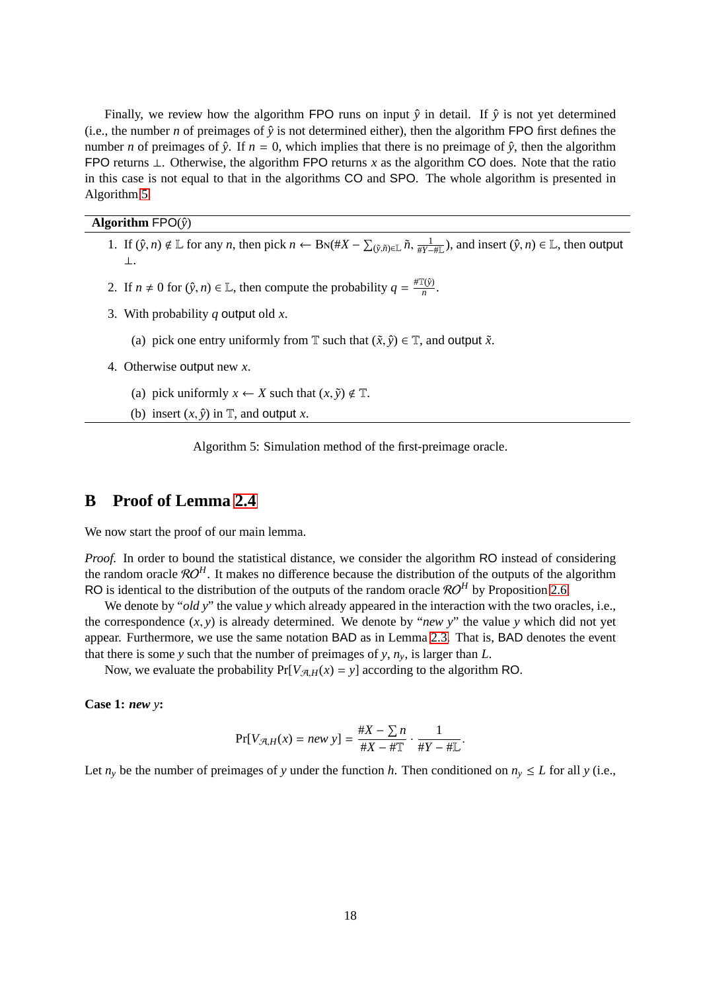Finally, we review how the algorithm FPO runs on input  $\hat{y}$  in detail. If  $\hat{y}$  is not yet determined (i.e., the number *n* of preimages of  $\hat{y}$  is not determined either), then the algorithm FPO first defines the number *n* of preimages of  $\hat{y}$ . If  $n = 0$ , which implies that there is no preimage of  $\hat{y}$ , then the algorithm FPO returns ⊥. Otherwise, the algorithm FPO returns *x* as the algorithm CO does. Note that the ratio in this case is not equal to that in the algorithms CO and SPO. The whole algorithm is presented in Algorithm 5.

#### **Algorithm** FPO(ˆ*y*)

- 1. If  $(\hat{y}, n) \notin \mathbb{L}$  $(\hat{y}, n) \notin \mathbb{L}$  $(\hat{y}, n) \notin \mathbb{L}$  for any *n*, then pick  $n \leftarrow B_N(\#X \sum_{(\tilde{y}, \tilde{n}) \in \mathbb{L}} \tilde{n}, \frac{1}{\#Y \# \mathbb{L}})$ , and insert  $(\hat{y}, n) \in \mathbb{L}$ , then output ⊥.
- 2. If  $n \neq 0$  for  $(\hat{y}, n) \in \mathbb{L}$ , then compute the probability  $q = \frac{\#T(\hat{y})}{n}$  $\frac{y}{n}$ .
- 3. With probability *q* output old *x*.
	- (a) pick one entry uniformly from  $\mathbb T$  such that  $(\tilde{x}, \hat{y}) \in \mathbb T$ , and output  $\tilde{x}$ .
- 4. Otherwise output new *x*.
	- (a) pick uniformly  $x \leftarrow X$  such that  $(x, \tilde{y}) \notin \mathbb{T}$ .
	- (b) insert  $(x, \hat{y})$  in  $\mathbb{T}$ , and output *x*.

<span id="page-17-1"></span>Algorithm 5: Simulation method of the first-preimage oracle.

## **B Proof of Lemma 2.4**

We now start the proof of our main lemma.

<span id="page-17-0"></span>*Proof.* In order to bound the [stati](#page-7-1)stical distance, we consider the algorithm RO instead of considering the random oracle RO*<sup>H</sup>* . It makes no difference because the distribution of the outputs of the algorithm RO is identical to the distribution of the outputs of the random oracle  $RO<sup>H</sup>$  by Proposition 2.6.

We denote by "*old y*" the value *y* which already appeared in the interaction with the two oracles, i.e., the correspondence  $(x, y)$  is already determined. We denote by "*new y*" the value *y* which did not yet appear. Furthermore, we use the same notation BAD as in Lemma 2.3. That is, BAD den[otes](#page-7-3) the event that there is some *y* such that the number of preimages of *y*, *ny*, is larger than *L*.

Now, we evaluate the probability  $Pr[V_{\mathcal{A},H}(x) = y]$  according to the algorithm RO.

#### **Case 1:** *new y***:**

$$
Pr[V_{\mathcal{A},H}(x) = new \ y] = \frac{\#X - \sum n}{\#X - \#\mathbb{T}} \cdot \frac{1}{\#Y - \#\mathbb{L}}.
$$

Let  $n_y$  be the number of preimages of *y* under the function *h*. Then conditioned on  $n_y \le L$  for all *y* (i.e.,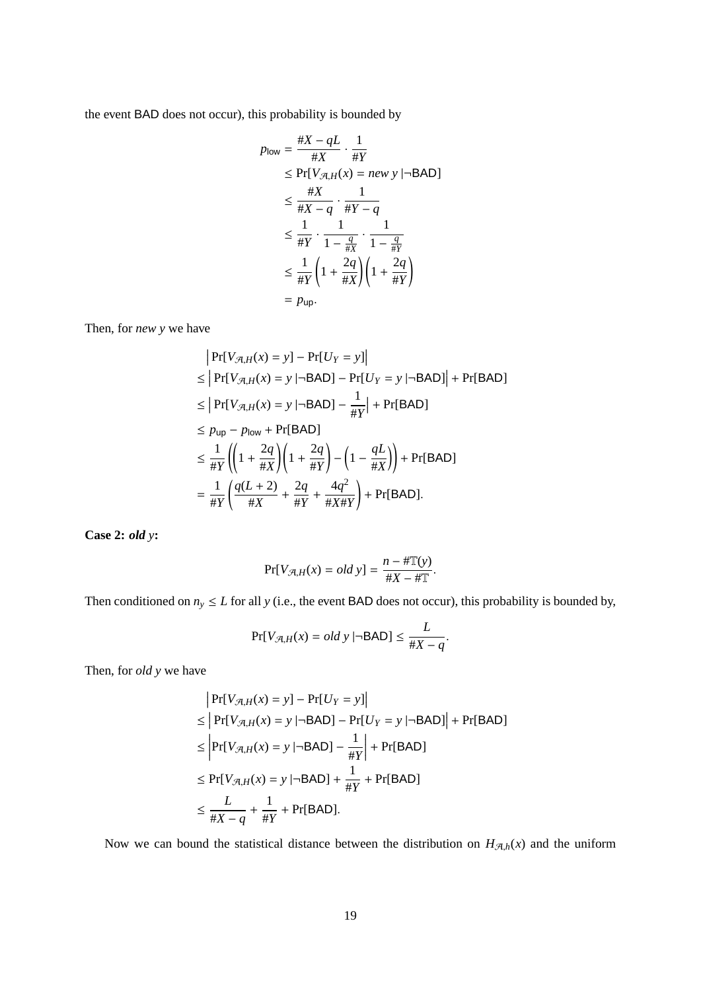the event BAD does not occur), this probability is bounded by

$$
p_{\text{low}} = \frac{\#X - qL}{\#X} \cdot \frac{1}{\#Y}
$$
  
\n
$$
\leq \Pr[V_{\mathcal{A},H}(x) = new \ y | \neg \text{BAD}]
$$
  
\n
$$
\leq \frac{\#X}{\#X - q} \cdot \frac{1}{\#Y - q}
$$
  
\n
$$
\leq \frac{1}{\#Y} \cdot \frac{1}{1 - \frac{q}{\#X}} \cdot \frac{1}{1 - \frac{q}{\#Y}}
$$
  
\n
$$
\leq \frac{1}{\#Y} \left(1 + \frac{2q}{\#X}\right) \left(1 + \frac{2q}{\#Y}\right)
$$
  
\n
$$
= p_{\text{up}}.
$$

Then, for *new y* we have

$$
|\Pr[V_{\mathcal{A},H}(x) = y] - \Pr[U_Y = y]|
$$
  
\n
$$
\leq |\Pr[V_{\mathcal{A},H}(x) = y | \neg BAD] - \Pr[U_Y = y | \neg BAD] | + \Pr[BAD]
$$
  
\n
$$
\leq |\Pr[V_{\mathcal{A},H}(x) = y | \neg BAD] - \frac{1}{\#Y}| + \Pr[BAD]
$$
  
\n
$$
\leq p_{\text{up}} - p_{\text{low}} + \Pr[BAD]
$$
  
\n
$$
\leq \frac{1}{\#Y} \left( \left( 1 + \frac{2q}{\#X} \right) \left( 1 + \frac{2q}{\#Y} \right) - \left( 1 - \frac{qL}{\#X} \right) \right) + \Pr[BAD]
$$
  
\n
$$
= \frac{1}{\#Y} \left( \frac{q(L+2)}{\#X} + \frac{2q}{\#Y} + \frac{4q^2}{\#X \#Y} \right) + \Pr[BAD].
$$

**Case 2:** *old y***:**

$$
\Pr[V_{\mathcal{A},H}(x) = old \text{ y}] = \frac{n - #\mathbb{T}(y)}{\#X - #\mathbb{T}}.
$$

Then conditioned on  $n_y \le L$  for all *y* (i.e., the event BAD does not occur), this probability is bounded by,

$$
\Pr[V_{\mathcal{A},H}(x) = old \mid \neg \text{BAD}] \le \frac{L}{\#X - q}.
$$

Then, for *old y* we have

$$
|\Pr[V_{\mathcal{A},H}(x) = y] - \Pr[U_Y = y]|
$$
  
\n
$$
\leq |\Pr[V_{\mathcal{A},H}(x) = y | \neg BAD] - \Pr[U_Y = y | \neg BAD]\n| + \Pr[BAD]
$$
  
\n
$$
\leq |\Pr[V_{\mathcal{A},H}(x) = y | \neg BAD] - \frac{1}{\#Y} + \Pr[BAD]
$$
  
\n
$$
\leq \Pr[V_{\mathcal{A},H}(x) = y | \neg BAD] + \frac{1}{\#Y} + \Pr[BAD]
$$
  
\n
$$
\leq \frac{L}{\#X - q} + \frac{1}{\#Y} + \Pr[BAD].
$$

Now we can bound the statistical distance between the distribution on  $H_{A,h}(x)$  and the uniform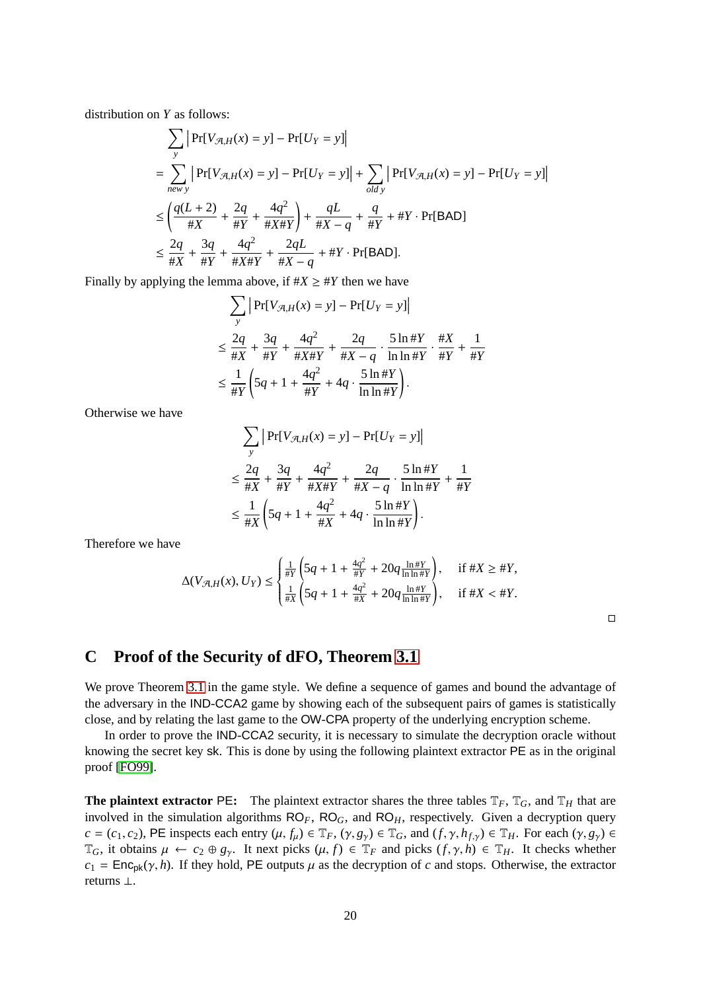distribution on *Y* as follows:

$$
\sum_{y} \left| \Pr[V_{\mathcal{A},H}(x) = y] - \Pr[U_{Y} = y] \right|
$$
\n
$$
= \sum_{new \ y} \left| \Pr[V_{\mathcal{A},H}(x) = y] - \Pr[U_{Y} = y] \right| + \sum_{old \ y} \left| \Pr[V_{\mathcal{A},H}(x) = y] - \Pr[U_{Y} = y] \right|
$$
\n
$$
\leq \left( \frac{q(L+2)}{\#X} + \frac{2q}{\#Y} + \frac{4q^2}{\#X\#Y} \right) + \frac{qL}{\#X - q} + \frac{q}{\#Y} + \#Y \cdot \Pr[\text{BAD}]
$$
\n
$$
\leq \frac{2q}{\#X} + \frac{3q}{\#Y} + \frac{4q^2}{\#X\#Y} + \frac{2qL}{\#X - q} + \#Y \cdot \Pr[\text{BAD}].
$$

Finally by applying the lemma above, if  $#X \geq #Y$  then we have

$$
\sum_{y} \left| \Pr[V_{\mathcal{A},H}(x) = y] - \Pr[U_Y = y] \right|
$$
  
\n
$$
\leq \frac{2q}{\#X} + \frac{3q}{\#Y} + \frac{4q^2}{\#X\#Y} + \frac{2q}{\#X-q} \cdot \frac{5\ln\#Y}{\ln\ln\#Y} \cdot \frac{\#X}{\#Y} + \frac{1}{\#Y}
$$
  
\n
$$
\leq \frac{1}{\#Y} \left( 5q + 1 + \frac{4q^2}{\#Y} + 4q \cdot \frac{5\ln\#Y}{\ln\ln\#Y} \right).
$$

Otherwise we have

$$
\sum_{y} \left| \Pr[V_{\mathcal{A},H}(x) = y] - \Pr[U_{Y} = y] \right|
$$
  
\n
$$
\leq \frac{2q}{\#X} + \frac{3q}{\#Y} + \frac{4q^{2}}{\#X\#Y} + \frac{2q}{\#X-q} \cdot \frac{5\ln\#Y}{\ln\ln\#Y} + \frac{1}{\#Y}
$$
  
\n
$$
\leq \frac{1}{\#X} \left( 5q + 1 + \frac{4q^{2}}{\#X} + 4q \cdot \frac{5\ln\#Y}{\ln\ln\#Y} \right).
$$

Therefore we have

$$
\Delta(V_{\mathcal{A},H}(x),U_Y) \leq \begin{cases} \frac{1}{\#Y} \left(5q + 1 + \frac{4q^2}{\#Y} + 20q \frac{\ln \#Y}{\ln \ln \#Y}\right), & \text{if } \#X \geq \#Y, \\ \frac{1}{\#X} \left(5q + 1 + \frac{4q^2}{\#X} + 20q \frac{\ln \#Y}{\ln \ln \#Y}\right), & \text{if } \#X < \#Y. \end{cases}
$$

## **C Proof of the Security of dFO, Theorem 3.1**

<span id="page-19-0"></span>We prove Theorem 3.1 in the game style. We define a sequence of games and bound the advantage of the adversary in the IND-CCA2 game by showing each of the subsequent pairs of games is statistically close, and by relating the last game to the OW-CPA propert[y of th](#page-10-1)e underlying encryption scheme.

In order to prove the IND-CCA2 security, it is necessary to simulate the decryption oracle without knowing the secret [key](#page-10-1) sk. This is done by using the following plaintext extractor PE as in the original proof [FO99].

**The plaintext extractor** PE: The plaintext extractor shares the three tables  $T_F$ ,  $T_G$ , and  $T_H$  that are involv[ed in t](#page-64-8)he simulation algorithms  $RO_F$ ,  $RO_G$ , and  $RO_H$ , respectively. Given a decryption query *c* = (*c*<sub>1</sub>, *c*<sub>2</sub>), PE inspects each entry (*μ*, *f<sub>μ</sub>*) ∈  $\mathbb{T}_F$ , (γ, *g*<sub>γ</sub>) ∈  $\mathbb{T}_G$ , and (*f*, γ, *h*<sub>*f*,γ</sub>) ∈  $\mathbb{T}_H$ . For each (γ, *g*<sub>γ</sub>) ∈  $\mathbb{T}_G$ , it obtains  $\mu \leftarrow c_2 \oplus g_{\gamma}$ . It next picks  $(\mu, f) \in \mathbb{T}_F$  and picks  $(f, \gamma, h) \in \mathbb{T}_H$ . It checks whether  $c_1$  = Enc<sub>pk</sub>( $\gamma$ , *h*). If they hold, PE outputs  $\mu$  as the decryption of *c* and stops. Otherwise, the extractor returns ⊥.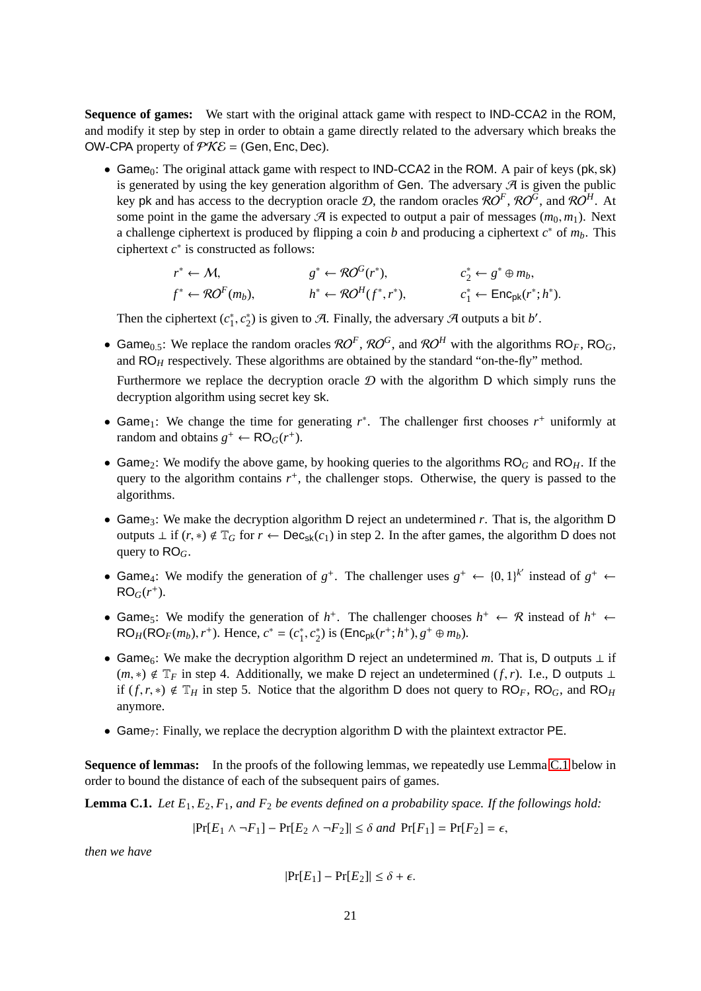**Sequence of games:** We start with the original attack game with respect to IND-CCA2 in the ROM, and modify it step by step in order to obtain a game directly related to the adversary which breaks the OW-CPA property of  $PKE =$  (Gen, Enc, Dec).

• Game<sub>0</sub>: The original attack game with respect to IND-CCA2 in the ROM. A pair of keys (pk, sk) is generated by using the key generation algorithm of Gen. The adversary  $\mathcal A$  is given the public key pk and has access to the decryption oracle *D*, the random oracles  $RO^F$ ,  $RO^G$ , and  $RO^H$ . At some point in the game the adversary  $\mathcal A$  is expected to output a pair of messages  $(m_0, m_1)$ . Next a challenge ciphertext is produced by flipping a coin *b* and producing a ciphertext  $c^*$  of  $m_b$ . This ciphertext  $c^*$  is constructed as follows:

$$
r^* \leftarrow M, \qquad g^* \leftarrow \mathcal{RO}^G(r^*), \qquad c_2^* \leftarrow g^* \oplus m_b, f^* \leftarrow \mathcal{RO}^F(m_b), \qquad h^* \leftarrow \mathcal{RO}^H(f^*, r^*), \qquad c_1^* \leftarrow \text{Enc}_{pk}(r^*; h^*).
$$

Then the ciphertext  $(c_1^*, c_2^*)$  is given to A. Finally, the adversary A outputs a bit *b'*.

• Game<sub>0.5</sub>: We replace the random oracles  $RO^F$ ,  $RO^G$ , and  $RO^H$  with the algorithms  $RO_F$ ,  $RO_G$ , and RO*<sup>H</sup>* respectively. These algorithms are obtained by the standard "on-the-fly" method.

Furthermore we replace the decryption oracle  $D$  with the algorithm D which simply runs the decryption algorithm using secret key sk.

- Game<sub>1</sub>: We change the time for generating  $r^*$ . The challenger first chooses  $r^+$  uniformly at random and obtains  $g^+ \leftarrow \text{RO}_G(r^+).$
- Game2: We modify the above game, by hooking queries to the algorithms RO*<sup>G</sup>* and RO*H*. If the query to the algorithm contains  $r^+$ , the challenger stops. Otherwise, the query is passed to the algorithms.
- Game<sub>3</sub>: We make the decryption algorithm D reject an undetermined *r*. That is, the algorithm D outputs ⊥ if  $(r, *) \notin \mathbb{T}_G$  for  $r \leftarrow \text{Dec}_{\text{sk}}(c_1)$  in step 2. In the after games, the algorithm D does not query to RO*G*.
- Game<sub>4</sub>: We modify the generation of  $g^+$ . The challenger uses  $g^+ \leftarrow \{0,1\}^{k'}$  instead of  $g^+ \leftarrow$  $RO<sub>G</sub>(r<sup>+</sup>)$ .
- Game<sub>5</sub>: We modify the generation of  $h^+$ . The challenger chooses  $h^+ \leftarrow \mathcal{R}$  instead of  $h^+ \leftarrow$ RO<sub>H</sub>(RO<sub>F</sub>( $m_b$ ),  $r^+$ ). Hence,  $c^* = (c_1^*, c_2^*)$  is ( $Enc_{pk}(r^+; h^+), g^+ \oplus m_b$ ).
- Game<sub>6</sub>: We make the decryption algorithm D reject an undetermined *m*. That is, D outputs ⊥ if (*m*, ∗) < T*<sup>F</sup>* in step 4. Additionally, we make D reject an undetermined (*f*,*r*). I.e., D outputs ⊥ if  $(f, r, *)$  ∉  $\mathbb{T}_H$  in step 5. Notice that the algorithm D does not query to RO<sub>F</sub>, RO<sub>G</sub>, and RO<sub>H</sub> anymore.
- Game<sub>7</sub>: Finally, we replace the decryption algorithm D with the plaintext extractor PE.

**Sequence of lemmas:** In the proofs of the following lemmas, we repeatedly use Lemma C.1 below in order to bound the distance of each of the subsequent pairs of games.

**Lemma C.1.** *Let E*1, *E*2, *F*1*, and F*<sup>2</sup> *be events defined on a probability space. If the followings hold:*

$$
|\Pr[E_1 \land \neg F_1] - \Pr[E_2 \land \neg F_2]| \leq \delta
$$
 and  $\Pr[F_1] = \Pr[F_2] = \epsilon$ ,

*then we have*

$$
|\Pr[E_1] - \Pr[E_2]| \le \delta + \epsilon.
$$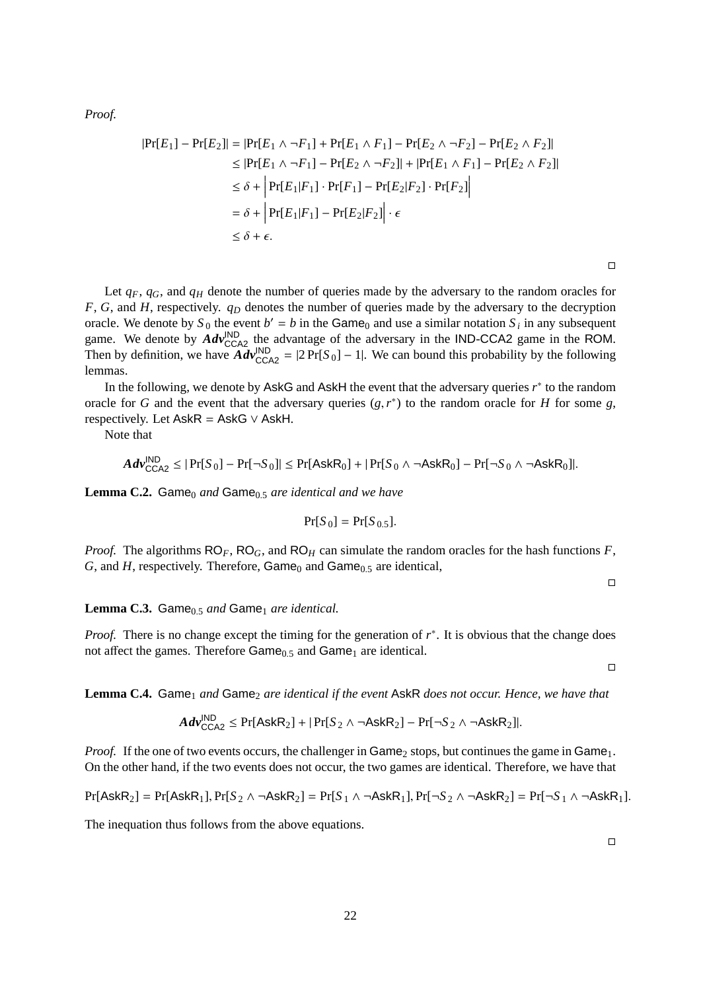*Proof.*

$$
|\Pr[E_1] - \Pr[E_2]| = |\Pr[E_1 \land \neg F_1] + \Pr[E_1 \land F_1] - \Pr[E_2 \land \neg F_2] - \Pr[E_2 \land F_2]|
$$
  
\n
$$
\leq |\Pr[E_1 \land \neg F_1] - \Pr[E_2 \land \neg F_2]| + |\Pr[E_1 \land F_1] - \Pr[E_2 \land F_2]|
$$
  
\n
$$
\leq \delta + |\Pr[E_1|F_1] \cdot \Pr[F_1] - \Pr[E_2|F_2] \cdot \Pr[F_2]|
$$
  
\n
$$
= \delta + |\Pr[E_1|F_1] - \Pr[E_2|F_2]| \cdot \epsilon
$$
  
\n
$$
\leq \delta + \epsilon.
$$

 $\Box$ 

Let  $q_F$ ,  $q_G$ , and  $q_H$  denote the number of queries made by the adversary to the random oracles for *F*, *G*, and *H*, respectively. *q<sup>D</sup>* denotes the number of queries made by the adversary to the decryption oracle. We denote by  $S_0$  the event  $b' = b$  in the Game<sub>0</sub> and use a similar notation  $S_i$  in any subsequent game. We denote by  $Adv_{\text{CCA2}}^{\text{IND}}$  the advantage of the adversary in the IND-CCA2 game in the ROM. Then by definition, we have  $\overline{A}d\overline{v}_{\text{CCA2}}^{\text{IND}} = |2 \Pr[S_0] - 1|$ . We can bound this probability by the following lemmas.

In the following, we denote by AskG and AskH the event that the adversary queries *r*<sup>∗</sup> to the random oracle for *G* and the event that the adversary queries  $(g, r^*)$  to the random oracle for *H* for some *g*, respectively. Let  $AskR = AskG \vee AskH$ .

Note that

$$
Adv_{\mathsf{CCA2}}^{\mathsf{IND}} \leq |\Pr[S_0] - \Pr[\neg S_0]| \leq \Pr[\mathsf{AskR}_0] + |\Pr[S_0 \land \neg \mathsf{AskR}_0] - \Pr[\neg S_0 \land \neg \mathsf{AskR}_0]|.
$$

**Lemma C.2.** Game<sub>0</sub> and Game<sub>0.5</sub> are identical and we have

$$
Pr[S_0] = Pr[S_{0.5}].
$$

*Proof.* The algorithms  $\mathsf{RO}_F$ ,  $\mathsf{RO}_G$ , and  $\mathsf{RO}_H$  can simulate the random oracles for the hash functions F,  $G$ , and  $H$ , respectively. Therefore,  $Game_0$  and  $Game_{0.5}$  are identical,

 $\Box$ 

## Lemma C.3. Game<sub>0.5</sub> and Game<sub>1</sub> are identical.

*Proof.* There is no change except the timing for the generation of  $r^*$ . It is obvious that the change does not affect the games. Therefore  $Game_{0.5}$  and  $Game_1$  are identical.

**Lemma C.4.** Game<sub>1</sub> and Game<sub>2</sub> are identical if the event AskR does not occur. Hence, we have that

$$
Adv_{\mathsf{CCA2}}^{\mathsf{IND}} \leq \Pr[\mathsf{AskR}_2] + |\Pr[\mathsf{S}_2 \land \neg \mathsf{AskR}_2] - \Pr[\neg \mathsf{S}_2 \land \neg \mathsf{AskR}_2]|.
$$

*Proof.* If the one of two events occurs, the challenger in  $Game_2$  stops, but continues the game in  $Game_1$ . On the other hand, if the two events does not occur, the two games are identical. Therefore, we have that

$$
Pr[AskR_2] = Pr[AskR_1], Pr[S_2 \land \neg AskR_2] = Pr[S_1 \land \neg AskR_1], Pr[\neg S_2 \land \neg AskR_2] = Pr[\neg S_1 \land \neg AskR_1].
$$

The inequation thus follows from the above equations.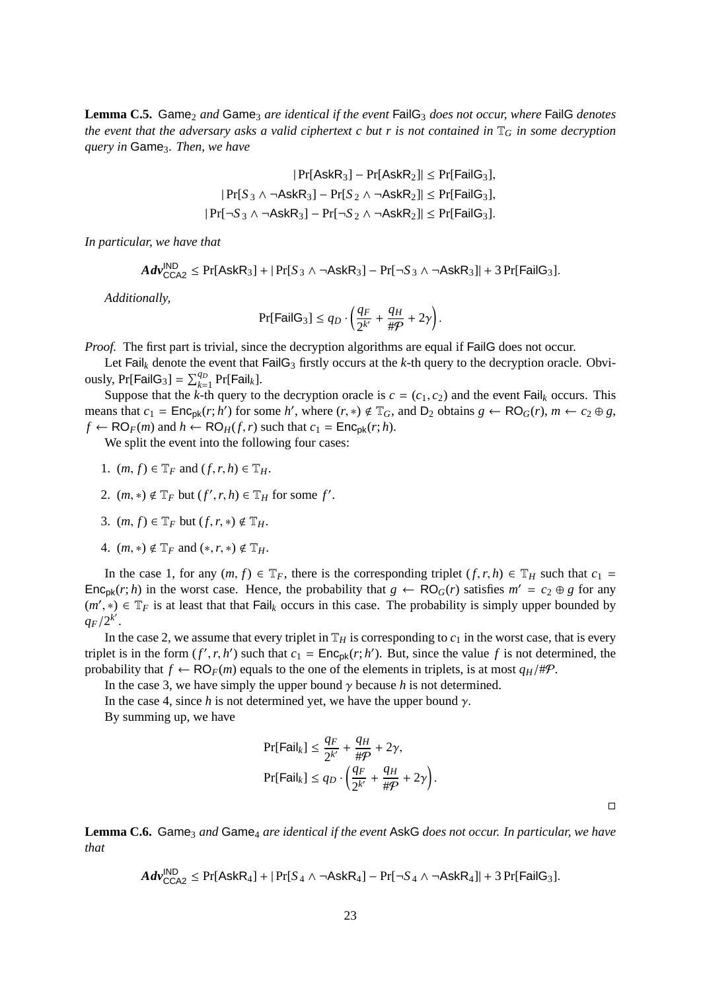**Lemma C.5.** Game<sub>2</sub> *and* Game<sub>3</sub> *are identical if the event* FailG<sub>3</sub> *does not occur, where* FailG *denotes the event that the adversary asks a valid ciphertext c but r is not contained in*  $\mathbb{T}_G$  *in some decryption query in* Game3*. Then, we have*

$$
|\Pr[\mathsf{AskR}_3] - \Pr[\mathsf{AskR}_2]| \le \Pr[\mathsf{FailG}_3],
$$

$$
|\Pr[S_3 \land \neg \mathsf{AskR}_3] - \Pr[S_2 \land \neg \mathsf{AskR}_2]| \le \Pr[\mathsf{FailG}_3],
$$

$$
|\Pr[\neg S_3 \land \neg \mathsf{AskR}_3] - \Pr[\neg S_2 \land \neg \mathsf{AskR}_2]| \le \Pr[\mathsf{FailG}_3].
$$

*In particular, we have that*

$$
Adv_{\text{CCA2}}^{\text{IND}} \le \Pr[\text{AskR}_3] + |\Pr[S_3 \land \neg \text{AskR}_3] - \Pr[\neg S_3 \land \neg \text{AskR}_3]| + 3 \Pr[\text{TailG}_3].
$$

*Additionally,*

$$
Pr[{\sf FailG}_3] \le q_D \cdot \left(\frac{q_F}{2^{k'}} + \frac{q_H}{\#\mathcal{P}} + 2\gamma\right).
$$

*Proof.* The first part is trivial, since the decryption algorithms are equal if FailG does not occur.

Let Fail<sub>k</sub> denote the event that FailG<sub>3</sub> firstly occurs at the  $k$ -th query to the decryption oracle. Obviously,  $Pr[{\sf TailG}_3] = \sum_{k=1}^{q_D} Pr[{\sf Fall}_k].$ 

Suppose that the *k*-th query to the decryption oracle is  $c = (c_1, c_2)$  and the event Fail<sub>k</sub> occurs. This means that  $c_1 = \text{Enc}_{pk}(r; h')$  for some *h'*, where  $(r, *) \notin \mathbb{T}_G$ , and  $D_2$  obtains  $g \leftarrow \text{RO}_G(r)$ ,  $m \leftarrow c_2 \oplus g$ ,  $f \leftarrow \text{RO}_F(m)$  and  $h \leftarrow \text{RO}_H(f, r)$  such that  $c_1 = \text{Enc}_{pk}(r; h)$ .

We split the event into the following four cases:

- 1.  $(m, f) \in \mathbb{T}_F$  and  $(f, r, h) \in \mathbb{T}_H$ .
- 2.  $(m, *) \notin \mathbb{T}_F$  but  $(f', r, h) \in \mathbb{T}_H$  for some  $f'$ .
- 3.  $(m, f) \in \mathbb{T}_F$  but  $(f, r, *) \notin \mathbb{T}_H$ .
- 4.  $(m, *) \notin \mathbb{T}_F$  and  $(*, r, *) \notin \mathbb{T}_H$ .

In the case 1, for any  $(m, f) \in \mathbb{T}_F$ , there is the corresponding triplet  $(f, r, h) \in \mathbb{T}_H$  such that  $c_1 =$ Enc<sub>pk</sub>(*r*; *h*) in the worst case. Hence, the probability that  $g \leftarrow \text{RO}_G(r)$  satisfies  $m' = c_2 \oplus g$  for any  $(m',*)$  ∈  $\mathbb{T}_F$  is at least that that Fail<sub>k</sub> occurs in this case. The probability is simply upper bounded by  $q_F/2^{k'}$ .

In the case 2, we assume that every triplet in  $T_H$  is corresponding to  $c_1$  in the worst case, that is every triplet is in the form  $(f', r, h')$  such that  $c_1 = \text{Enc}_{pk}(r; h')$ . But, since the value f is not determined, the probability that  $f \leftarrow \text{RO}_F(m)$  equals to the one of the elements in triplets, is at most  $q_H/\text{HP}$ .

In the case 3, we have simply the upper bound  $\gamma$  because *h* is not determined.

In the case 4, since *h* is not determined yet, we have the upper bound  $\gamma$ .

By summing up, we have

$$
\Pr[\mathsf{Fail}_k] \le \frac{q_F}{2^{k'}} + \frac{q_H}{\#\mathcal{P}} + 2\gamma,
$$
  

$$
\Pr[\mathsf{Fail}_k] \le q_D \cdot \left(\frac{q_F}{2^{k'}} + \frac{q_H}{\#\mathcal{P}} + 2\gamma\right).
$$

 $\Box$ 

**Lemma C.6.** Game<sub>3</sub> *and* Game<sub>4</sub> *are identical if the event* AskG *does not occur. In particular, we have that*

$$
Adv_{\text{CCA2}}^{\text{IND}} \le \Pr[\text{AskR}_4] + |\Pr[S_4 \wedge \neg \text{AskR}_4] - \Pr[\neg S_4 \wedge \neg \text{AskR}_4]| + 3 \Pr[\text{TailG}_3].
$$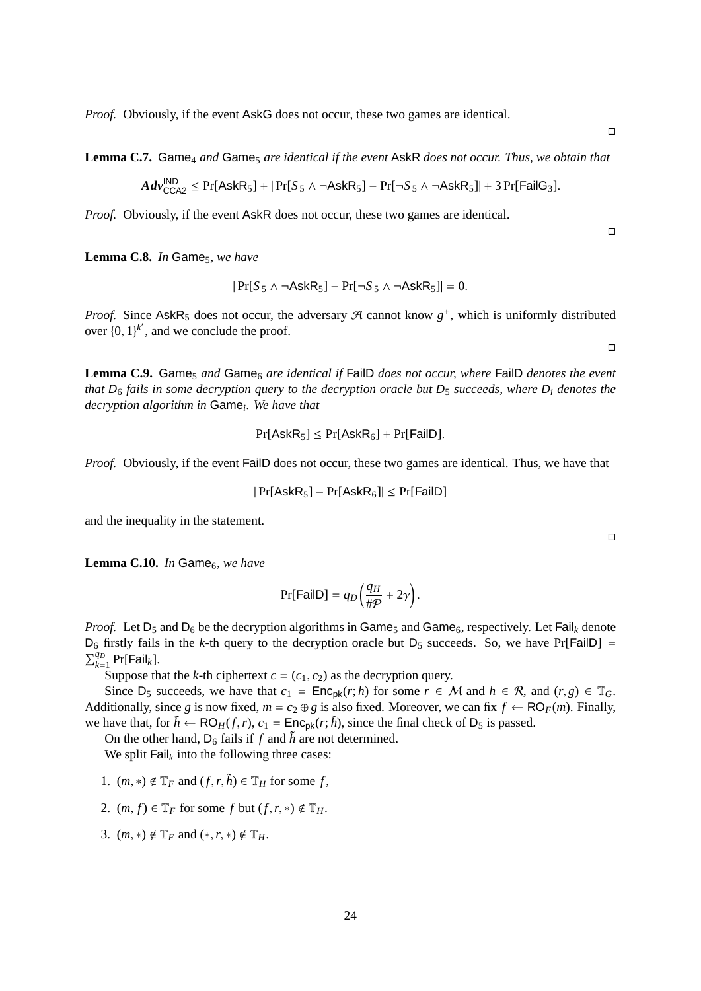*Proof.* Obviously, if the event AskG does not occur, these two games are identical.

**Lemma C.7.** Game<sub>4</sub> and Game<sub>5</sub> are identical if the event AskR does not occur. Thus, we obtain that

$$
Adv_{\mathsf{CCA2}}^{\mathsf{IND}} \leq \Pr[\mathsf{AskR}_5] + |\Pr[\mathsf{S}_5 \land \neg \mathsf{AskR}_5] - \Pr[\neg \mathsf{S}_5 \land \neg \mathsf{AskR}_5]| + 3 \Pr[\mathsf{TailG}_3].
$$

*Proof.* Obviously, if the event AskR does not occur, these two games are identical.

**Lemma C.8.** *In* Game<sub>5</sub>, we have

$$
|\Pr[S_5 \land \neg \mathsf{AskR}_5] - \Pr[\neg S_5 \land \neg \mathsf{AskR}_5]| = 0.
$$

*Proof.* Since AskR<sub>5</sub> does not occur, the adversary  $\mathcal{A}$  cannot know  $g^+$ , which is uniformly distributed over  $\{0, 1\}^{k'}$ , and we conclude the proof.

**Lemma C.9.** Game<sub>5</sub> *and* Game<sub>6</sub> *are identical if* FailD *does not occur, where* FailD *denotes the event that*  $D_6$  *fails in some decryption query to the decryption oracle but*  $D_5$  *succeeds, where*  $D_i$  *denotes the decryption algorithm in* Game*<sup>i</sup> . We have that*

$$
Pr[AskR_5] \leq Pr[AskR_6] + Pr[FallD].
$$

*Proof.* Obviously, if the event FailD does not occur, these two games are identical. Thus, we have that

$$
|\Pr[\mathsf{AskR}_5] - \Pr[\mathsf{AskR}_6]| \leq \Pr[\mathsf{failD}]
$$

and the inequality in the statement.

**Lemma C.10.** *In* Game<sub>6</sub>, we have

$$
Pr[{\sf failD}] = q_D \left(\frac{q_H}{\# \mathcal{P}} + 2\gamma\right).
$$

*Proof.* Let  $D_5$  and  $D_6$  be the decryption algorithms in Game<sub>5</sub> and Game<sub>6</sub>, respectively. Let Fail<sub>k</sub> denote  $D_6$  firstly fails in the *k*-th query to the decryption oracle but  $D_5$  succeeds. So, we have Pr[FailD] =  $\sum_{k=1}^{q_D} \Pr[\textsf{Fall}_k].$ 

Suppose that the *k*-th ciphertext  $c = (c_1, c_2)$  as the decryption query.

Since  $D_5$  succeeds, we have that  $c_1 = \text{Enc}_{ok}(r; h)$  for some  $r \in \mathcal{M}$  and  $h \in \mathcal{R}$ , and  $(r, g) \in \mathbb{T}_G$ . Additionally, since *g* is now fixed,  $m = c_2 \oplus g$  is also fixed. Moreover, we can fix  $f \leftarrow \text{RO}_F(m)$ . Finally, we have that, for  $\tilde{h} \leftarrow \text{RO}_{H}(f, r), c_1 = \text{Enc}_{\text{pk}}(r; \tilde{h})$ , since the final check of  $D_5$  is passed.

On the other hand,  $D_6$  fails if  $f$  and  $\tilde{h}$  are not determined.

We split  $\text{Fall}_k$  into the following three cases:

- 1.  $(m, *) \notin \mathbb{T}_F$  and  $(f, r, \tilde{h}) \in \mathbb{T}_H$  for some  $f$ ,
- 2.  $(m, f) \in \mathbb{T}_F$  for some *f* but  $(f, r, *) \notin \mathbb{T}_H$ .
- 3.  $(m, *) \notin \mathbb{T}_F$  and  $(*, r, *) \notin \mathbb{T}_H$ .

 $\Box$ 

 $\Box$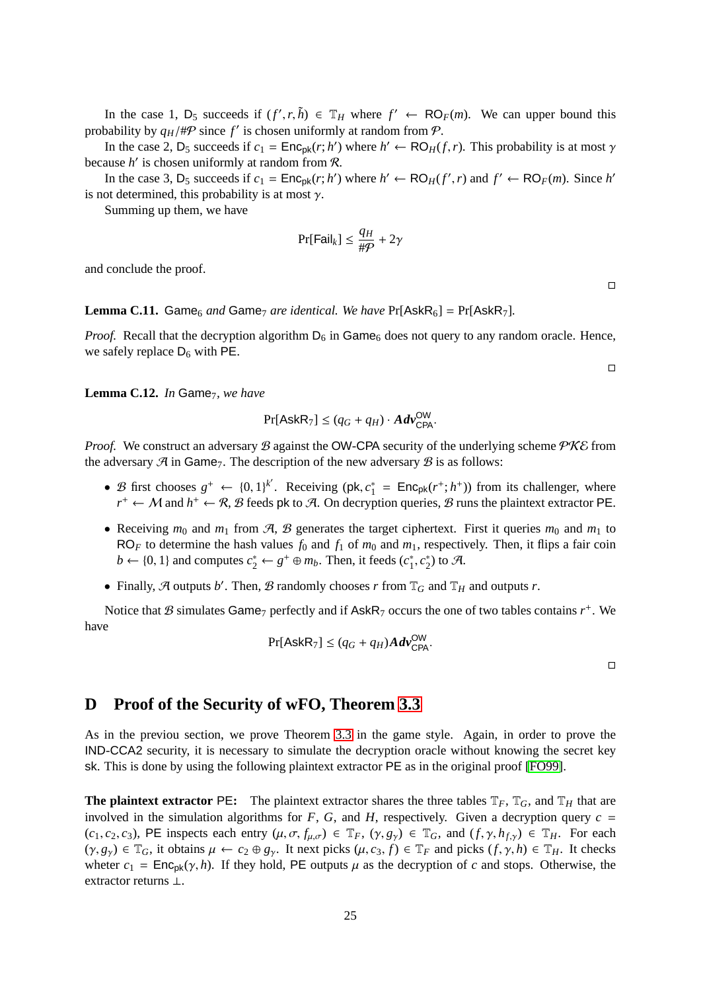In the case 1,  $D_5$  succeeds if  $(f', r, \tilde{h}) \in T_H$  where  $f' \leftarrow RO_F(m)$ . We can upper bound this probability by  $q_H/\#P$  since  $f'$  is chosen uniformly at random from  $P$ .

In the case 2,  $D_5$  succeeds if  $c_1 = \text{Enc}_{pk}(r; h')$  where  $h' \leftarrow \text{RO}_{H}(f, r)$ . This probability is at most  $\gamma$ because *h* ′ is chosen uniformly at random from R.

In the case 3,  $D_5$  succeeds if  $c_1 = \text{Enc}_{pk}(r; h')$  where  $h' \leftarrow \text{RO}_H(f', r)$  and  $f' \leftarrow \text{RO}_F(m)$ . Since  $h'$ is not determined, this probability is at most  $\gamma$ .

Summing up them, we have

$$
\Pr[\mathsf{Fall}_k] \le \frac{q_H}{\#\mathcal{P}} + 2\gamma
$$

and conclude the proof.

**Lemma C.11.** Game<sub>6</sub> and Game<sub>7</sub> are identical. We have  $Pr[AskR_6] = Pr[AskR_7]$ .

*Proof.* Recall that the decryption algorithm  $D_6$  in Game<sub>6</sub> does not query to any random oracle. Hence, we safely replace  $D_6$  with PE.

**Lemma C.12.** *In* Game<sub>7</sub>, we have

$$
\Pr[\mathsf{AskR}_7] \le (q_G + q_H) \cdot A d\mathbf{v}_{\mathsf{CPA}}^{\mathsf{OW}}.
$$

*Proof.* We construct an adversary  $\mathcal{B}$  against the OW-CPA security of the underlying scheme  $\mathcal{PKE}$  from the adversary  $\mathcal A$  in Game<sub>7</sub>. The description of the new adversary  $\mathcal B$  is as follows:

- B first chooses  $g^+ \leftarrow \{0, 1\}^{k'}$ . Receiving (pk,  $c_1^* = \text{Enc}_{pk}(r^+; h^+)$ ) from its challenger, where  $r^+$  ← *M* and  $h^+$  ← *R*, *B* feeds pk to *A*. On decryption queries, *B* runs the plaintext extractor PE.
- Receiving  $m_0$  and  $m_1$  from  $\mathcal{A}, \mathcal{B}$  generates the target ciphertext. First it queries  $m_0$  and  $m_1$  to  $RO<sub>F</sub>$  to determine the hash values  $f<sub>0</sub>$  and  $f<sub>1</sub>$  of  $m<sub>0</sub>$  and  $m<sub>1</sub>$ , respectively. Then, it flips a fair coin  $b \leftarrow \{0, 1\}$  and computes  $c_2^* \leftarrow g^+ \oplus m_b$ . Then, it feeds  $(c_1^*, c_2^*)$  to A.
- Finally,  $\mathcal A$  outputs  $b'$ . Then,  $\mathcal B$  randomly chooses  $r$  from  $\mathbb T_G$  and  $\mathbb T_H$  and outputs  $r$ .

Notice that  $\mathcal B$  simulates Game<sub>7</sub> perfectly and if AskR<sub>7</sub> occurs the one of two tables contains  $r^+$ . We have

$$
Pr[AskR_7] \le (q_G + q_H)Adv_{CPA}^{OW}.
$$

 $\Box$ 

## **D Proof of the Security of wFO, Theorem 3.3**

<span id="page-24-0"></span>As in the previou section, we prove Theorem 3.3 in the game style. Again, in order to prove the IND-CCA2 security, it is necessary to simulate the decryption oracle without knowing the secret key sk. This is done by using the following plaintext extractor PE [as i](#page-11-1)n the original proof [FO99].

**The plaintext e[xtrac](#page-11-1)tor** PE: The plaintext extractor shares the three tables  $T_F$ ,  $T_G$ , and  $T_H$  that are involved in the simulation algorithms for  $F$ ,  $G$ , and  $H$ , respectively. Given a decr[yption](#page-64-8) query  $c =$  $(c_1, c_2, c_3)$ , PE inspects each entry  $(\mu, \sigma, f_{\mu,\sigma}) \in \mathbb{T}_F$ ,  $(\gamma, g_{\gamma}) \in \mathbb{T}_G$ , and  $(f, \gamma, h_{f,\gamma}) \in \mathbb{T}_H$ . For each  $(\gamma, g_\gamma) \in \mathbb{T}_G$ , it obtains  $\mu \leftarrow c_2 \oplus g_\gamma$ . It next picks  $(\mu, c_3, f) \in \mathbb{T}_F$  and picks  $(f, \gamma, h) \in \mathbb{T}_H$ . It checks wheter  $c_1 = \text{Enc}_{pk}(\gamma, h)$ . If they hold, PE outputs  $\mu$  as the decryption of *c* and stops. Otherwise, the extractor returns ⊥.

 $\Box$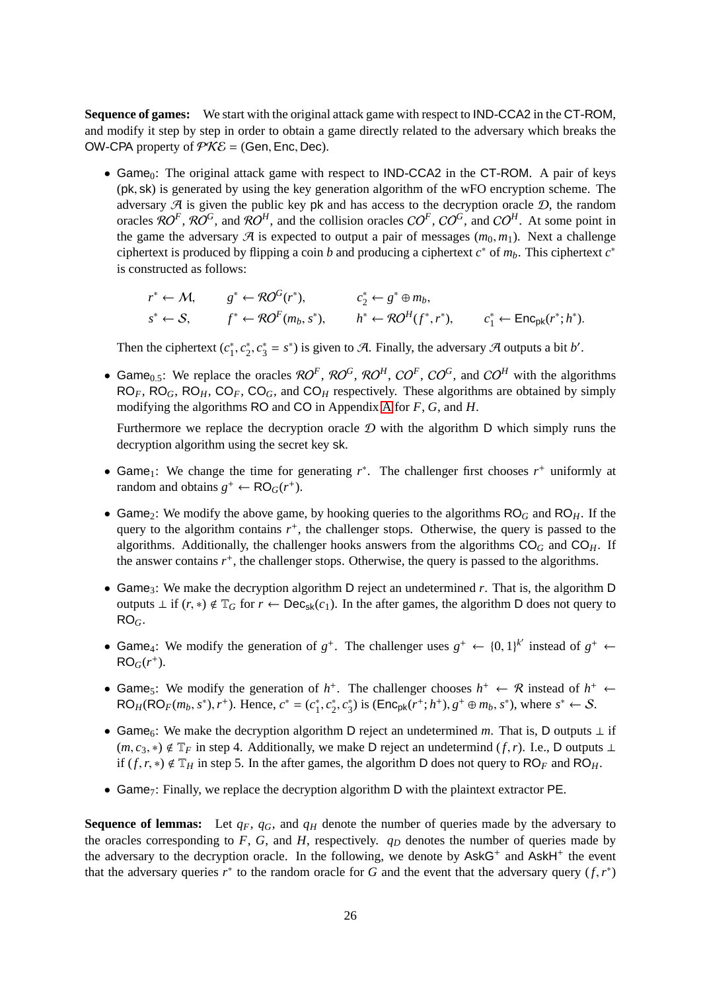**Sequence of games:** We start with the original attack game with respect to IND-CCA2 in the CT-ROM, and modify it step by step in order to obtain a game directly related to the adversary which breaks the OW-CPA property of  $PKE = (Gen, Enc, Dec)$ .

• Game<sub>0</sub>: The original attack game with respect to IND-CCA2 in the CT-ROM. A pair of keys (pk, sk) is generated by using the key generation algorithm of the wFO encryption scheme. The adversary  $\mathcal{A}$  is given the public key pk and has access to the decryption oracle  $\mathcal{D}$ , the random oracles  $RO^F$ ,  $RO^G$ , and  $RO^H$ , and the collision oracles  $CO^F$ ,  $CO^G$ , and  $CO^H$ . At some point in the game the adversary  $\mathcal{A}$  is expected to output a pair of messages  $(m_0, m_1)$ . Next a challenge ciphertext is produced by flipping a coin *b* and producing a ciphertext  $c^*$  of  $m_b$ . This ciphertext  $c^*$ is constructed as follows:

$$
r^* \leftarrow M, \qquad g^* \leftarrow RO^G(r^*), \qquad c_2^* \leftarrow g^* \oplus m_b, s^* \leftarrow S, \qquad f^* \leftarrow RO^F(m_b, s^*), \qquad h^* \leftarrow RO^H(f^*, r^*), \qquad c_1^* \leftarrow \text{Enc}_{pk}(r^*; h^*).
$$

Then the ciphertext  $(c_1^*, c_2^*, c_3^* = s^*)$  is given to A. Finally, the adversary A outputs a bit *b'*.

• Game<sub>0.5</sub>: We replace the oracles  $RO^F$ ,  $RO^G$ ,  $RO^H$ ,  $CO^F$ ,  $CO^G$ , and  $CO^H$  with the algorithms  $RO<sub>F</sub>$ ,  $RO<sub>G</sub>$ ,  $RO<sub>H</sub>$ ,  $CO<sub>F</sub>$ ,  $CO<sub>G</sub>$ , and  $CO<sub>H</sub>$  respectively. These algorithms are obtained by simply modifying the algorithms RO and CO in Appendix A for *F*, *G*, and *H*.

Furthermore we replace the decryption oracle  $D$  with the algorithm D which simply runs the decryption algorithm using the secret key sk.

- Game<sub>1</sub>: We change the time for generating  $r^*$ . [Th](#page-15-0)e challenger first chooses  $r^+$  uniformly at random and obtains  $g^+ \leftarrow \text{RO}_G(r^+).$
- Game<sub>2</sub>: We modify the above game, by hooking queries to the algorithms  $RO<sub>G</sub>$  and  $RO<sub>H</sub>$ . If the query to the algorithm contains  $r^+$ , the challenger stops. Otherwise, the query is passed to the algorithms. Additionally, the challenger hooks answers from the algorithms  $CO<sub>G</sub>$  and  $CO<sub>H</sub>$ . If the answer contains  $r^+$ , the challenger stops. Otherwise, the query is passed to the algorithms.
- Game3: We make the decryption algorithm D reject an undetermined *r*. That is, the algorithm D outputs  $\bot$  if  $(r, *) \notin \mathbb{T}_G$  for  $r \leftarrow \mathsf{Dec}_{\mathsf{sk}}(c_1)$ . In the after games, the algorithm D does not query to RO*G*.
- Game<sub>4</sub>: We modify the generation of  $g^+$ . The challenger uses  $g^+ \leftarrow \{0,1\}^{k'}$  instead of  $g^+ \leftarrow$  $RO<sub>G</sub>(r<sup>+</sup>)$ .
- Game<sub>5</sub>: We modify the generation of  $h^+$ . The challenger chooses  $h^+ \leftarrow \mathcal{R}$  instead of  $h^+ \leftarrow$  $RO<sub>H</sub>(RO<sub>F</sub>(m<sub>b</sub>, s<sup>*</sup>), r<sup>+</sup>)$ . Hence,  $c<sup>*</sup> = (c<sup>*</sup><sub>1</sub>, c<sup>*</sup><sub>2</sub>, c<sup>*</sup><sub>3</sub>)$  is  $(Enc<sub>pk</sub>(r<sup>+</sup>; h<sup>+</sup>), g<sup>+</sup> \oplus m<sub>b</sub>, s<sup>*</sup>)$ , where  $s<sup>*</sup> \leftarrow S$ .
- Game<sub>6</sub>: We make the decryption algorithm D reject an undetermined *m*. That is, D outputs ⊥ if (*m*, *c*3, ∗) < T*<sup>F</sup>* in step 4. Additionally, we make D reject an undetermind (*f*,*r*). I.e., D outputs ⊥ if  $(f, r, *)$  ∉  $\mathbb{T}_H$  in step 5. In the after games, the algorithm D does not query to RO<sub>F</sub> and RO<sub>H</sub>.
- Game7: Finally, we replace the decryption algorithm D with the plaintext extractor PE.

**Sequence of lemmas:** Let  $q_F$ ,  $q_G$ , and  $q_H$  denote the number of queries made by the adversary to the oracles corresponding to  $F$ ,  $G$ , and  $H$ , respectively.  $q<sub>D</sub>$  denotes the number of queries made by the adversary to the decryption oracle. In the following, we denote by AskG<sup>+</sup> and AskH<sup>+</sup> the event that the adversary queries  $r^*$  to the random oracle for  $G$  and the event that the adversary query  $(f, r^*)$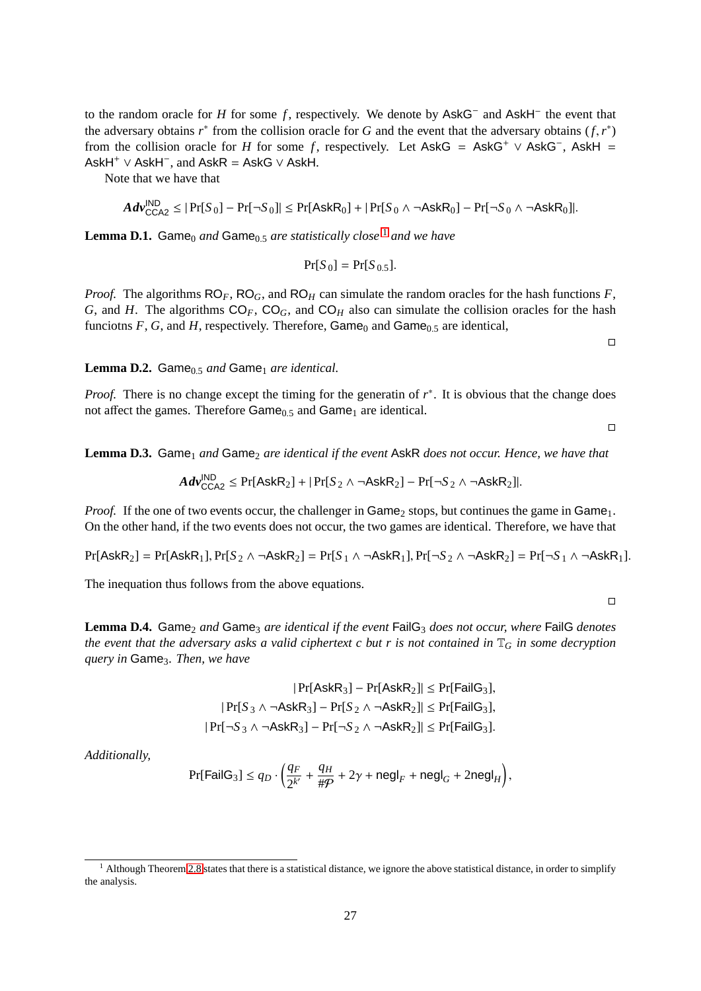to the random oracle for *H* for some *f*, respectively. We denote by AskG<sup>-</sup> and AskH<sup>-</sup> the event that the adversary obtains  $r^*$  from the collision oracle for *G* and the event that the adversary obtains  $(f, r^*)$ from the collision oracle for *H* for some *f*, respectively. Let AskG = AskG<sup>+</sup> ∨ AskG<sup>-</sup>, AskH =  $AskH^+ \vee AskH^-,$  and  $AskR = AskG \vee AskH.$ 

Note that we have that

$$
Adv_{\mathsf{CCA2}}^{\mathsf{IND}} \leq |\Pr[S_0] - \Pr[\neg S_0]| \leq \Pr[\mathsf{AskR}_0] + |\Pr[S_0 \land \neg \mathsf{AskR}_0] - \Pr[\neg S_0 \land \neg \mathsf{AskR}_0]|.
$$

**Lemma D.1.** Game<sub>0</sub> *and* Game<sub>0.5</sub> *are statistically close*<sup>1</sup> *and we have* 

$$
Pr[S_0] = Pr[S_{0.5}].
$$

*Proof.* The algorithms  $\mathsf{RO}_F$ ,  $\mathsf{RO}_G$ , and  $\mathsf{RO}_H$  can simulat[e t](#page-26-0)he random oracles for the hash functions F, *G*, and *H*. The algorithms  $CO_F$ ,  $CO_G$ , and  $CO_H$  also can simulate the collision oracles for the hash funciotns *F*, *G*, and *H*, respectively. Therefore, Game<sub>0</sub> and Game<sub>0.5</sub> are identical,

Lemma D.2. Game<sub>0.5</sub> *and* Game<sub>1</sub> *are identical.* 

*Proof.* There is no change except the timing for the generatin of  $r^*$ . It is obvious that the change does not affect the games. Therefore  $Game_{0.5}$  and  $Game_1$  are identical.

 $\Box$ 

 $\Box$ 

 $\Box$ 

**Lemma D.3.** Game<sub>1</sub> and Game<sub>2</sub> are identical if the event AskR does not occur. Hence, we have that

$$
Adv_{\text{CCA2}}^{\text{IND}} \le \Pr[\text{AskR}_2] + |\Pr[S_2 \land \neg \text{AskR}_2] - \Pr[\neg S_2 \land \neg \text{AskR}_2]|.
$$

*Proof.* If the one of two events occur, the challenger in Game<sub>2</sub> stops, but continues the game in Game<sub>1</sub>. On the other hand, if the two events does not occur, the two games are identical. Therefore, we have that

 $Pr[AskR_2] = Pr[AskR_1], Pr[S_2 \land \neg AskR_2] = Pr[S_1 \land \neg AskR_1], Pr[\neg S_2 \land \neg AskR_2] = Pr[\neg S_1 \land \neg AskR_1].$ 

The inequation thus follows from the above equations.

**Lemma D.4.** Game<sub>2</sub> *and* Game<sub>3</sub> *are identical if the event* FailG<sub>3</sub> *does not occur, where* FailG *denotes the event that the adversary asks a valid ciphertext c but r is not contained in*  $\mathbb{T}_G$  *in some decryption query in* Game3*. Then, we have*

$$
|\Pr[AskR_3] - \Pr[AskR_2]| \le \Pr[TailG_3],
$$

$$
|\Pr[S_3 \land \neg AskR_3] - \Pr[S_2 \land \neg AskR_2]| \le \Pr[TailG_3],
$$

$$
|\Pr[\neg S_3 \land \neg AskR_3] - \Pr[\neg S_2 \land \neg AskR_2]| \le \Pr[TailG_3].
$$

*Additionally,*

$$
\Pr[\mathsf{TailG}_3] \leq q_D \cdot \left(\frac{q_F}{2^{k'}} + \frac{q_H}{\# \mathcal{P}} + 2\gamma + \mathsf{negl}_F + \mathsf{negl}_G + 2\mathsf{negl}_H\right),
$$

<span id="page-26-0"></span> $1$  Although Theorem 2.8 states that there is a statistical distance, we ignore the above statistical distance, in order to simplify the analysis.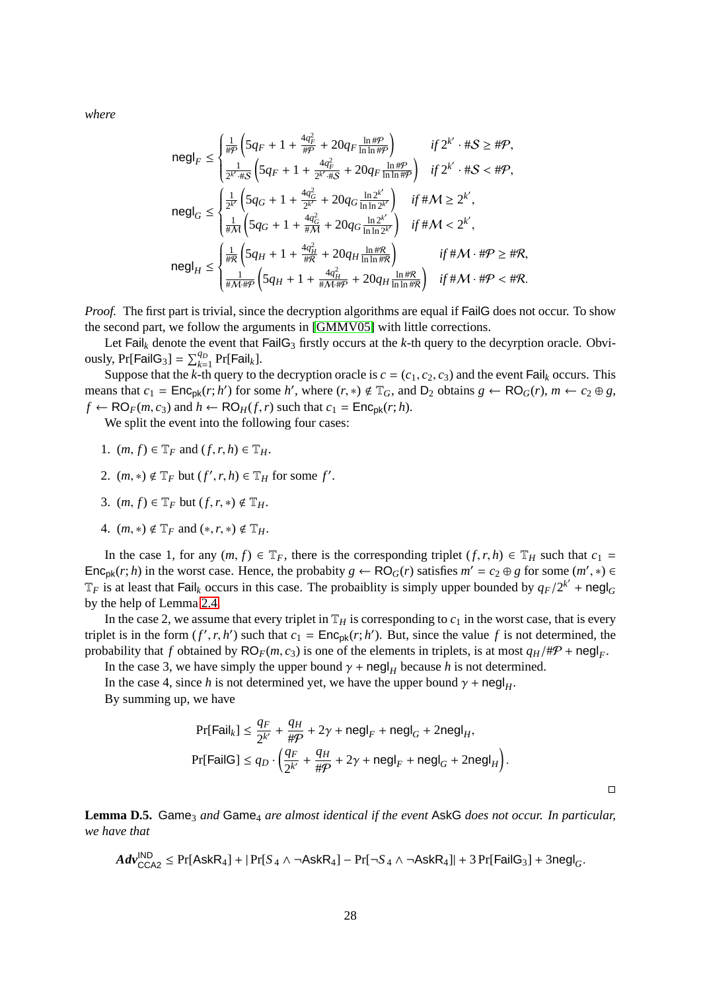*where*

$$
\begin{aligned}\n\text{negl}_{F} &\leq \begin{cases}\n\frac{1}{\# \mathcal{P}} \left(5q_{F}+1+\frac{4q_{F}^{2}}{\# \mathcal{P}}+20q_{F}\frac{\ln\# \mathcal{P}}{\ln\ln\# \mathcal{P}}\right) & \text{if } 2^{k'} \cdot \# S \geq \# \mathcal{P}, \\
\frac{1}{2^{k'}\# S} \left(5q_{F}+1+\frac{4q_{F}^{2}}{2^{k'}\# S}+20q_{F}\frac{\ln\# \mathcal{P}}{\ln\ln\# \mathcal{P}}\right) & \text{if } 2^{k'} \cdot \# S < \# \mathcal{P},\n\end{cases} \\
\text{negl}_{G} &\leq \begin{cases}\n\frac{1}{2^{k'}} \left(5q_{G}+1+\frac{4q_{G}^{2}}{2^{k'}}+20q_{G}\frac{\ln 2^{k'}}{\ln\ln 2^{k'}}\right) & \text{if } \# \mathcal{M} \geq 2^{k'}, \\
\frac{1}{\# \mathcal{M}} \left(5q_{G}+1+\frac{4q_{G}^{2}}{\# \mathcal{M}}+20q_{G}\frac{\ln 2^{k'}}{\ln\ln 2^{k'}}\right) & \text{if } \# \mathcal{M} < 2^{k'}, \\
\end{cases} \\
\text{negl}_{H} &\leq \begin{cases}\n\frac{1}{\# \mathcal{R}} \left(5q_{H}+1+\frac{4q_{H}^{2}}{\# \mathcal{R}}+20q_{H}\frac{\ln\# \mathcal{R}}{\ln\ln\# \mathcal{R}}\right) & \text{if } \# \mathcal{M} \cdot \# \mathcal{P} \geq \# \mathcal{R}, \\
\frac{1}{\# \mathcal{M} \cdot \# \mathcal{P}} \left(5q_{H}+1+\frac{4q_{H}^{2}}{\# \mathcal{M} \cdot \# \mathcal{P}}+20q_{H}\frac{\ln\# \mathcal{R}}{\ln\ln\# \mathcal{R}}\right) & \text{if } \# \mathcal{M} \cdot \# \mathcal{P} < \# \mathcal{R}.\n\end{cases}\n\end{aligned}
$$

*Proof.* The first part is trivial, since the decryption algorithms are equal if FailG does not occur. To show the second part, we follow the arguments in [GMMV05] with little corrections.

Let Fail<sub>k</sub> denote the event that FailG<sub>3</sub> firstly occurs at the  $k$ -th query to the decyrption oracle. Obviously,  $Pr[{\sf FailG}_3] = \sum_{k=1}^{q_D} Pr[{\sf Fail}_k].$ 

Suppose that the *k*-th query to the decryption oracle is  $c = (c_1, c_2, c_3)$  and the event Fail<sub>k</sub> occurs. This means that  $c_1 = \text{Enc}_{pk}(r; h')$  for some *h'*, where  $(r, *) \notin \mathbb{T}_G$ , and  $D_2$  obtains  $g \leftarrow \text{RO}_G(r)$ ,  $m \leftarrow c_2 \oplus g$ ,  $f \leftarrow \text{RO}_F(m, c_3)$  and  $h \leftarrow \text{RO}_H(f, r)$  such that  $c_1 = \text{Enc}_{pk}(r; h)$ .

We split the event into the following four cases:

- 1.  $(m, f) \in \mathbb{T}_F$  and  $(f, r, h) \in \mathbb{T}_H$ .
- 2.  $(m, *) \notin \mathbb{T}_F$  but  $(f', r, h) \in \mathbb{T}_H$  for some  $f'$ .
- 3.  $(m, f) \in \mathbb{T}_F$  but  $(f, r, *) \notin \mathbb{T}_H$ .
- 4.  $(m, *) \notin \mathbb{T}_F$  and  $(*, r, *) \notin \mathbb{T}_H$ .

In the case 1, for any  $(m, f) \in \mathbb{T}_F$ , there is the corresponding triplet  $(f, r, h) \in \mathbb{T}_H$  such that  $c_1 =$ Enc<sub>pk</sub>(*r*; *h*) in the worst case. Hence, the probabity  $g \leftarrow \text{RO}_G(r)$  satisfies  $m' = c_2 \oplus g$  for some  $(m', *) \in$  $T_F$  is at least that Fail<sub>k</sub> occurs in this case. The probaiblity is simply upper bounded by  $q_F/2^{k'}$  + negl<sub>G</sub> by the help of Lemma 2.4.

In the case 2, we assume that every triplet in  $T_H$  is corresponding to  $c_1$  in the worst case, that is every triplet is in the form  $(f', r, h')$  such that  $c_1 = \text{Enc}_{pk}(r; h')$ . But, since the value f is not determined, the probability that *f* obtained by  $\mathsf{RO}_F(m, c_3)$  is one of the elements in triplets, is at most  $q_H/\#P + \mathsf{negl}_F$ .

In the case 3, we [have](#page-7-1) simply the upper bound  $\gamma$  + negl<sub>H</sub> because *h* is not determined.

In the case 4, since *h* is not determined yet, we have the upper bound  $\gamma$  + negl<sub>H</sub>.

By summing up, we have

$$
\Pr[\mathsf{Fall}_k] \le \frac{q_F}{2^{k'}} + \frac{q_H}{\# \mathcal{P}} + 2\gamma + \mathsf{negl}_F + \mathsf{negl}_G + 2\mathsf{negl}_H,
$$
\n
$$
\Pr[\mathsf{TailG}] \le q_D \cdot \left(\frac{q_F}{2^{k'}} + \frac{q_H}{\# \mathcal{P}} + 2\gamma + \mathsf{negl}_F + \mathsf{negl}_G + 2\mathsf{negl}_H\right).
$$

**Lemma D.5.** Game<sub>3</sub> *and* Game<sub>4</sub> *are almost identical if the event* AskG *does not occur. In particular, we have that*

$$
Adv_{\mathsf{CCA2}}^{\mathsf{IND}} \leq \Pr[\mathsf{AskR}_4] + |\Pr[S_4 \land \neg \mathsf{AskR}_4] - \Pr[\neg S_4 \land \neg \mathsf{AskR}_4]| + 3 \Pr[\mathsf{TailG}_3] + 3 \mathsf{negl}_G.
$$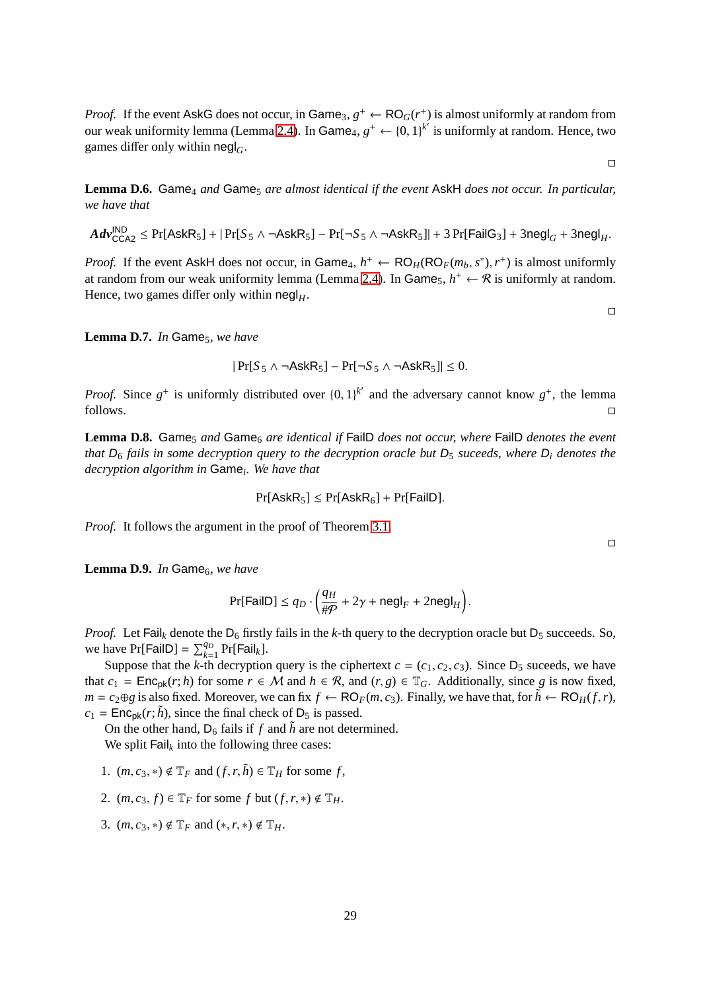*Proof.* If the event AskG does not occur, in Game<sub>3</sub>,  $g^+ \leftarrow \text{RO}_G(r^+)$  is almost uniformly at random from our weak uniformity lemma (Lemma 2.4). In Game<sub>4</sub>,  $g^+ \leftarrow \{0, 1\}^{k'}$  is uniformly at random. Hence, two games differ only within  $\operatorname{negl}_G$ .

**Lemma D.6.** Game<sub>4</sub> *and* Game<sub>5</sub> *a[re al](#page-7-1)most identical if the event* AskH *does not occur. In particular, we have that*

$$
Adv_{\mathsf{CCA2}}^{\mathsf{IND}} \le \Pr[\mathsf{AskR}_5] + |\Pr[S_5 \land \neg \mathsf{AskR}_5] - \Pr[\neg S_5 \land \neg \mathsf{AskR}_5]| + 3\Pr[\mathsf{TailG}_3] + 3\mathsf{negl}_G + 3\mathsf{negl}_H.
$$

*Proof.* If the event AskH does not occur, in Game<sub>4</sub>,  $h^+ \leftarrow \text{RO}_H(\text{RO}_F(m_b, s^*), r^+)$  is almost uniformly at random from our weak uniformity lemma (Lemma 2.4). In Game<sub>5</sub>,  $h^+ \leftarrow \mathcal{R}$  is uniformly at random. Hence, two games differ only within  $\operatorname{negl}_H$ .

**Lemma D.7.** *In* Game<sub>5</sub>, we have

$$
|\Pr[S_5 \land \neg \mathsf{AskR}_5] - \Pr[\neg S_5 \land \neg \mathsf{AskR}_5]| \leq 0.
$$

*Proof.* Since  $g^+$  is uniformly distributed over  $\{0, 1\}^{k'}$  and the adversary cannot know  $g^+$ , the lemma  $\Box$  follows.

**Lemma D.8.** Game<sub>5</sub> *and* Game<sub>6</sub> *are identical if* FailD *does not occur, where* FailD *denotes the event that*  $D_6$  *fails in some decryption query to the decryption oracle but*  $D_5$  *suceeds, where*  $D_i$  *denotes the decryption algorithm in* Game*<sup>i</sup> . We have that*

$$
Pr[AskR_5] \leq Pr[AskR_6] + Pr[FallD].
$$

*Proof.* It follows the argument in the proof of Theorem 3.1.

**Lemma D.9.** *In* Game<sub>6</sub>, we have

$$
\Pr[\mathsf{FallD}] \le q_D \cdot \left(\frac{q_H}{\#\mathcal{P}} + 2\gamma + \mathsf{negl}_F + 2\mathsf{negl}_H\right).
$$

*Proof.* Let Fail<sub>k</sub> denote the  $D_6$  firstly fails in the *k*-th query to the decryption oracle but  $D_5$  succeeds. So, we have Pr[FailD] =  $\sum_{k=1}^{q} Pr[Fall_k]$ .

Suppose that the *k*-th decryption query is the ciphertext  $c = (c_1, c_2, c_3)$ . Since  $D_5$  suceeds, we have that  $c_1 = \text{Enc}_{\text{pk}}(r; h)$  for some  $r \in M$  and  $h \in \mathcal{R}$ , and  $(r, g) \in \mathbb{T}_G$ . Additionally, since g is now fixed, *m* =  $c_2$ ⊕*g* is also fixed. Moreover, we can fix  $f$  ← RO<sub>*F*</sub>(*m*, *c*<sub>3</sub>). Finally, we have that, for  $h$  ← RO<sub>*H*</sub>(*f*,*r*),  $c_1 = \text{Enc}_{\text{DK}}(r; \tilde{h})$ , since the final check of  $D_5$  is passed.

On the other hand,  $D_6$  fails if f and  $\tilde{h}$  are not determined.

We split  $\text{Fall}_k$  into the following three cases:

- 1.  $(m, c_3, *) \notin \mathbb{T}_F$  and  $(f, r, \tilde{h}) \in \mathbb{T}_H$  for some  $f$ ,
- 2.  $(m, c_3, f) \in \mathbb{T}_F$  for some *f* but  $(f, r, *) \notin \mathbb{T}_H$ .
- 3.  $(m, c_3, *) \notin \mathbb{T}_F$  and  $(*, r, *) \notin \mathbb{T}_H$ .

 $\Box$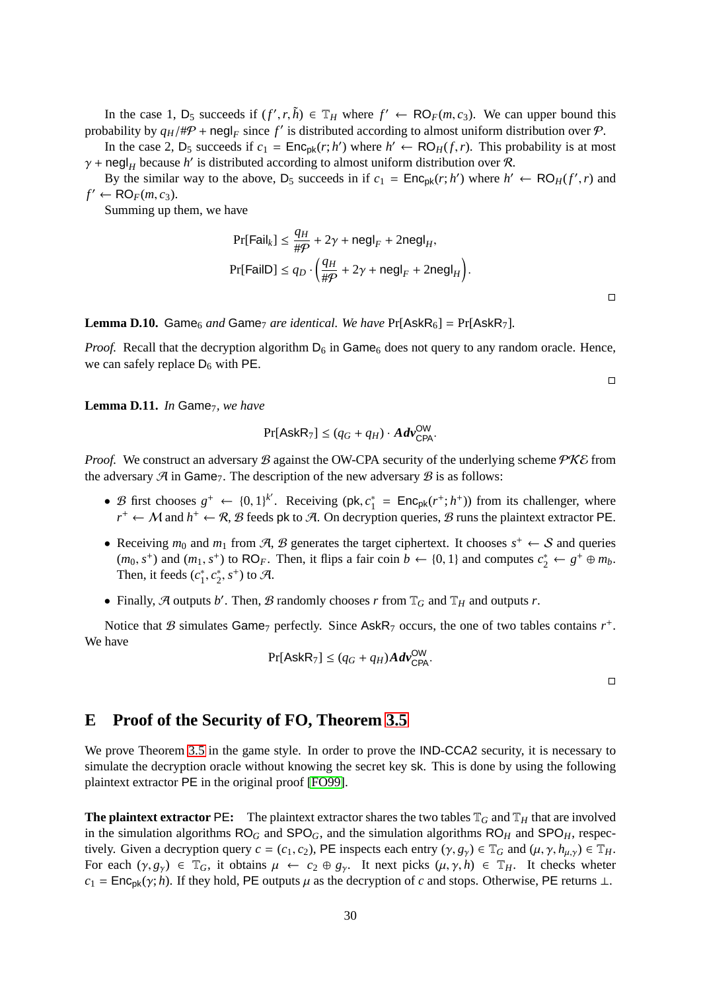In the case 1,  $D_5$  succeeds if  $(f', r, \tilde{h}) \in T_H$  where  $f' \leftarrow RO_F(m, c_3)$ . We can upper bound this probability by  $q_H/\#\mathcal{P}$  + negl<sub>F</sub> since  $f'$  is distributed according to almost uniform distribution over  $\mathcal{P}$ .

In the case 2,  $D_5$  succeeds if  $c_1 = \text{Enc}_{pk}(r; h')$  where  $h' \leftarrow \text{RO}_{H}(f, r)$ . This probability is at most  $\gamma$  + negl<sub>H</sub> because *h*<sup>'</sup> is distributed according to almost uniform distribution over *R*.

By the similar way to the above,  $D_5$  succeeds in if  $c_1 = \text{Enc}_{pk}(r; h')$  where  $h' \leftarrow \text{RO}_{H}(f', r)$  and  $f' \leftarrow \textsf{RO}_F(m, c_3).$ 

Summing up them, we have

$$
\Pr[\mathsf{Fall}_k] \le \frac{q_H}{\#\mathcal{P}} + 2\gamma + \mathsf{negl}_F + 2\mathsf{negl}_H,
$$
  

$$
\Pr[\mathsf{TailD}] \le q_D \cdot \left(\frac{q_H}{\#\mathcal{P}} + 2\gamma + \mathsf{negl}_F + 2\mathsf{negl}_H\right).
$$

 $\Box$ 

 $\Box$ 

**Lemma D.10.** Game<sub>6</sub> and Game<sub>7</sub> are identical. We have  $Pr[AskR_6] = Pr[AskR_7]$ .

*Proof.* Recall that the decryption algorithm  $D_6$  in Game<sub>6</sub> does not query to any random oracle. Hence, we can safely replace  $D_6$  with PE.

Lemma D.11. *In* Game<sub>7</sub>, we have

$$
\Pr[\mathsf{AskR}_7] \le (q_G + q_H) \cdot \mathit{Adv}_{\mathsf{CPA}}^{\mathsf{OW}}.
$$

*Proof.* We construct an adversary B against the OW-CPA security of the underlying scheme PKE from the adversary  $\mathcal A$  in Game<sub>7</sub>. The description of the new adversary  $\mathcal B$  is as follows:

- B first chooses  $g^+ \leftarrow \{0, 1\}^{k'}$ . Receiving (pk,  $c_1^* = \text{Enc}_{pk}(r^+; h^+)$ ) from its challenger, where  $r^+$  ← *M* and  $h^+$  ← *R*, *B* feeds pk to *A*. On decryption queries, *B* runs the plaintext extractor PE.
- Receiving  $m_0$  and  $m_1$  from A, B generates the target ciphertext. It chooses  $s^+ \leftarrow S$  and queries  $(m_0, s^+)$  and  $(m_1, s^+)$  to RO<sub>F</sub>. Then, it flips a fair coin  $b \leftarrow \{0, 1\}$  and computes  $c_2^* \leftarrow g^+ \oplus m_b$ . Then, it feeds  $(c_1^*, c_2^*, s^+)$  to A.
- Finally,  $\mathcal A$  outputs  $b'$ . Then,  $\mathcal B$  randomly chooses  $r$  from  $\mathbb T_G$  and  $\mathbb T_H$  and outputs  $r$ .

Notice that  $\mathcal B$  simulates Game<sub>7</sub> perfectly. Since AskR<sub>7</sub> occurs, the one of two tables contains  $r^+$ . We have

$$
Pr[AskR_7] \le (q_G + q_H)Adv_{CPA}^{OW}.
$$

 $\Box$ 

## **E Proof of the Security of FO, Theorem 3.5**

<span id="page-29-0"></span>We prove Theorem 3.5 in the game style. In order to prove the IND-CCA2 security, it is necessary to simulate the decryption oracle without knowing the secre[t key](#page-12-1) sk. This is done by using the following plaintext extractor PE in the original proof [FO99].

**The plaintext extr[actor](#page-12-1) PE:** The plaintext extractor shares the two tables  $T_G$  and  $T_H$  that are involved in the simulation algorithms  $RO<sub>G</sub>$  and  $SPO<sub>G</sub>$ [, and](#page-64-8) the simulation algorithms  $RO<sub>H</sub>$  and  $SPO<sub>H</sub>$ , respectively. Given a decryption query  $c = (c_1, c_2)$ , PE inspects each entry  $(\gamma, g_\gamma) \in \mathbb{T}_G$  and  $(\mu, \gamma, h_{\mu, \gamma}) \in \mathbb{T}_H$ . For each  $(\gamma, g_\gamma) \in \mathbb{T}_G$ , it obtains  $\mu \leftarrow c_2 \oplus g_\gamma$ . It next picks  $(\mu, \gamma, h) \in \mathbb{T}_H$ . It checks wheter  $c_1$  = Enc<sub>pk</sub>( $\gamma$ ; *h*). If they hold, PE outputs  $\mu$  as the decryption of *c* and stops. Otherwise, PE returns ⊥.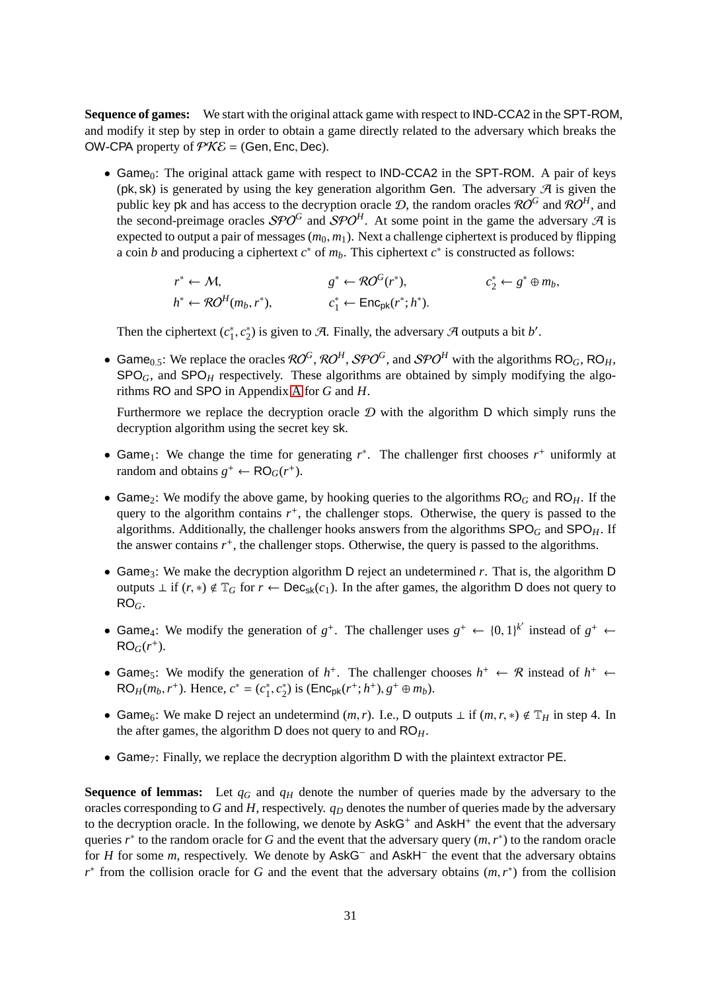**Sequence of games:** We start with the original attack game with respect to IND-CCA2 in the SPT-ROM, and modify it step by step in order to obtain a game directly related to the adversary which breaks the OW-CPA property of  $PKE =$  (Gen, Enc, Dec).

• Game<sub>0</sub>: The original attack game with respect to IND-CCA2 in the SPT-ROM. A pair of keys (pk, sk) is generated by using the key generation algorithm Gen. The adversary  $\mathcal A$  is given the public key pk and has access to the decryption oracle  $D$ , the random oracles  $RO^G$  and  $RO^H$ , and the second-preimage oracles  $SPO^G$  and  $SPO^H$ . At some point in the game the adversary  $\mathcal A$  is expected to output a pair of messages  $(m_0, m_1)$ . Next a challenge ciphertext is produced by flipping a coin *b* and producing a ciphertext  $c^*$  of  $m_b$ . This ciphertext  $c^*$  is constructed as follows:

$$
r^* \leftarrow M, \qquad g^* \leftarrow \mathcal{RO}^G(r^*), \qquad c_2^* \leftarrow g^* \oplus m_b, h^* \leftarrow \mathcal{RO}^H(m_b, r^*), \qquad c_1^* \leftarrow \mathsf{Enc}_{\mathsf{pk}}(r^*; h^*).
$$

Then the ciphertext  $(c_1^*, c_2^*)$  is given to A. Finally, the adversary A outputs a bit *b'*.

• Game<sub>0.5</sub>: We replace the oracles  $RO^G$ ,  $RO^H$ ,  $SPO^G$ , and  $SPO^H$  with the algorithms RO<sub>G</sub>, RO<sub>H</sub>,  $SPO<sub>G</sub>$ , and  $SPO<sub>H</sub>$  respectively. These algorithms are obtained by simply modifying the algorithms RO and SPO in Appendix A for *G* and *H*.

Furthermore we replace the decryption oracle  $\mathcal D$  with the algorithm D which simply runs the decryption algorithm using the secret key sk.

- Game<sub>1</sub>: We change the time fo[r g](#page-15-0)enerating  $r^*$ . The challenger first chooses  $r^+$  uniformly at random and obtains  $g^+ \leftarrow \text{RO}_G(r^+).$
- Game<sub>2</sub>: We modify the above game, by hooking queries to the algorithms  $RO<sub>G</sub>$  and  $RO<sub>H</sub>$ . If the query to the algorithm contains  $r^+$ , the challenger stops. Otherwise, the query is passed to the algorithms. Additionally, the challenger hooks answers from the algorithms SPO*<sup>G</sup>* and SPO*H*. If the answer contains  $r^+$ , the challenger stops. Otherwise, the query is passed to the algorithms.
- Game3: We make the decryption algorithm D reject an undetermined *r*. That is, the algorithm D outputs  $\perp$  if  $(r, *) \notin \mathbb{T}_G$  for  $r \leftarrow \text{Dec}_{\text{sk}}(c_1)$ . In the after games, the algorithm D does not query to RO*G*.
- Game<sub>4</sub>: We modify the generation of  $g^+$ . The challenger uses  $g^+ \leftarrow \{0,1\}^{k'}$  instead of  $g^+ \leftarrow$  $RO<sub>G</sub>(r<sup>+</sup>)$ .
- Game<sub>5</sub>: We modify the generation of  $h^+$ . The challenger chooses  $h^+ \leftarrow \mathcal{R}$  instead of  $h^+ \leftarrow$ RO<sub>H</sub>( $m_b$ ,  $r^+$ ). Hence,  $c^* = (c_1^*, c_2^*)$  is ( $Enc_{pk}(r^+; h^+), g^+ \oplus m_b$ ).
- Game<sub>6</sub>: We make D reject an undetermind  $(m, r)$ . I.e., D outputs  $\perp$  if  $(m, r, *) \notin \mathbb{T}$ *H* in step 4. In the after games, the algorithm  $D$  does not query to and  $RO<sub>H</sub>$ .
- Game<sub>7</sub>: Finally, we replace the decryption algorithm D with the plaintext extractor PE.

**Sequence of lemmas:** Let  $q_G$  and  $q_H$  denote the number of queries made by the adversary to the oracles corresponding to *G* and *H*, respectively. *q<sup>D</sup>* denotes the number of queries made by the adversary to the decryption oracle. In the following, we denote by AskG<sup>+</sup> and AskH<sup>+</sup> the event that the adversary queries  $r^*$  to the random oracle for *G* and the event that the adversary query  $(m, r^*)$  to the random oracle for *H* for some *m*, respectively. We denote by AskG<sup>−</sup> and AskH<sup>−</sup> the event that the adversary obtains  $r^*$  from the collision oracle for *G* and the event that the adversary obtains  $(m, r^*)$  from the collision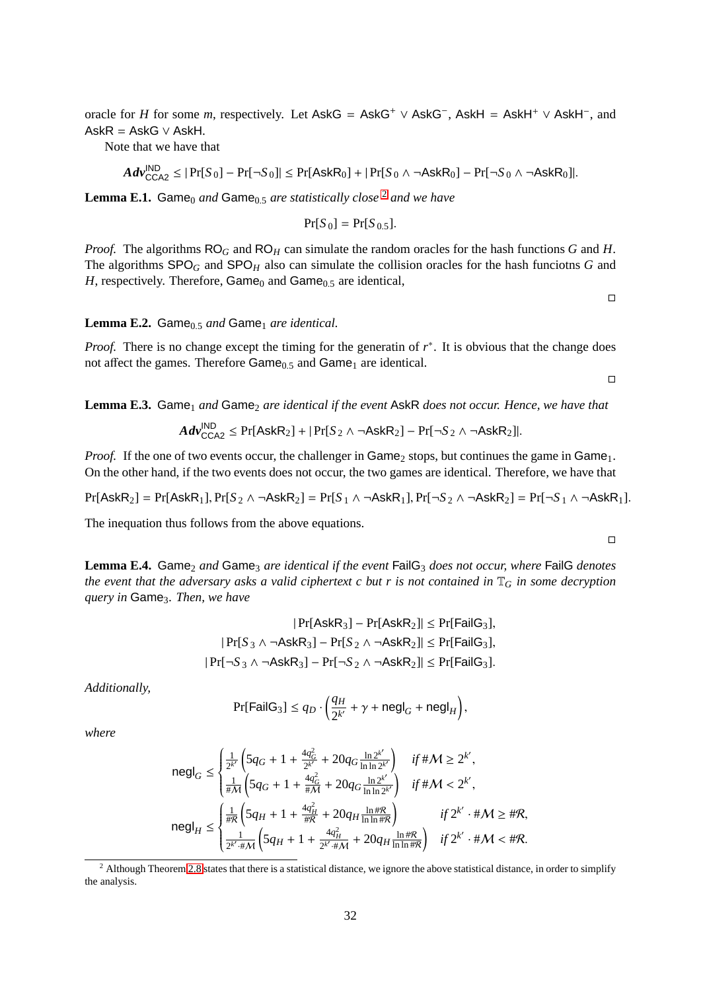oracle for *H* for some *m*, respectively. Let  $AskG = AskG^+ \vee AskG^-$ ,  $AskH = AskH^+ \vee AskH^-$ , and  $AskR = AskG \vee AskH$ .

Note that we have that

$$
Adv_{\mathsf{CCA2}}^{\mathsf{IND}} \leq |\Pr[S_0] - \Pr[\neg S_0]| \leq \Pr[\mathsf{AskR}_0] + |\Pr[S_0 \land \neg \mathsf{AskR}_0] - \Pr[\neg S_0 \land \neg \mathsf{AskR}_0]|.
$$

**Lemma E.1.** Game<sub>0</sub> *and* Game<sub>0.5</sub> *are statistically close* <sup>2</sup> *and we have* 

$$
Pr[S_0] = Pr[S_{0.5}].
$$

*Proof.* The algorithms RO*<sup>G</sup>* and RO*<sup>H</sup>* can simulate the ra[nd](#page-31-0)om oracles for the hash functions *G* and *H*. The algorithms  $SPO<sub>G</sub>$  and  $SPO<sub>H</sub>$  also can simulate the collision oracles for the hash funciotns *G* and *H*, respectively. Therefore, Game<sub>0</sub> and Game<sub>0.5</sub> are identical,

 $\Box$ 

#### **Lemma E.2.** Game<sub>0.5</sub> *and* Game<sub>1</sub> *are identical.*

*Proof.* There is no change except the timing for the generatin of  $r^*$ . It is obvious that the change does not affect the games. Therefore  $Game_{0.5}$  and  $Game_1$  are identical.

 $\Box$ 

**Lemma E.3.** Game<sub>1</sub> and Game<sub>2</sub> are identical if the event AskR does not occur. Hence, we have that

$$
Adv_{\mathsf{CCA2}}^{\mathsf{IND}} \leq \Pr[\mathsf{AskR}_2] + |\Pr[\mathsf{S}_2 \land \neg \mathsf{AskR}_2] - \Pr[\neg \mathsf{S}_2 \land \neg \mathsf{AskR}_2]|.
$$

*Proof.* If the one of two events occur, the challenger in Game<sub>2</sub> stops, but continues the game in Game<sub>1</sub>. On the other hand, if the two events does not occur, the two games are identical. Therefore, we have that

 $Pr[AskR_2] = Pr[AskR_1], Pr[S_2 \land \neg AskR_2] = Pr[S_1 \land \neg AskR_1], Pr[\neg S_2 \land \neg AskR_2] = Pr[\neg S_1 \land \neg AskR_1].$ 

The inequation thus follows from the above equations.

**Lemma E.4.** Game<sub>2</sub> *and* Game<sub>3</sub> *are identical if the event* FailG<sub>3</sub> *does not occur, where* FailG *denotes the event that the adversary asks a valid ciphertext c but r is not contained in* T*<sup>G</sup> in some decryption query in* Game3*. Then, we have*

$$
|\Pr[AskR_3] - \Pr[AskR_2]| \le \Pr[TailG_3],
$$

$$
|\Pr[S_3 \land \neg AskR_3] - \Pr[S_2 \land \neg AskR_2]| \le \Pr[TailG_3],
$$

$$
|\Pr[\neg S_3 \land \neg AskR_3] - \Pr[\neg S_2 \land \neg AskR_2]| \le \Pr[TailG_3].
$$

*Additionally,*

$$
\Pr[\mathsf{TailG}_3] \le q_D \cdot \left(\frac{q_H}{2^{k'}} + \gamma + \mathsf{negl}_G + \mathsf{negl}_H\right),\,
$$

*where*

$$
\begin{aligned} \mathsf{negl}_G &\leq \begin{cases} \frac{1}{2^{k'}} \left( 5q_G+1+\frac{4q_G^2}{2^{k'}}+20q_G\frac{\ln 2^{k'}}{\ln\ln 2^{k'}} \right) & \text{ if } \# \mathcal{M} \geq 2^{k'}, \\ \frac{1}{\# \mathcal{M}} \left( 5q_G+1+\frac{4q_G^2}{\# \mathcal{M}}+20q_G\frac{\ln 2^{k'}}{\ln\ln 2^{k'}} \right) & \text{ if } \# \mathcal{M} < 2^{k'}, \end{cases} \\ \mathsf{negl}_H &\leq \begin{cases} \frac{1}{\# \mathcal{R}} \left( 5q_H+1+\frac{4q_H^2}{\# \mathcal{R}}+20q_H\frac{\ln\# \mathcal{R}}{\ln\ln\# \mathcal{R}} \right) & \text{ if } 2^{k'}\cdot\# \mathcal{M} \geq \# \mathcal{R}, \\ \frac{1}{2^{k'}\cdot\# \mathcal{M}} \left( 5q_H+1+\frac{4q_H^2}{2^{k'}\cdot\# \mathcal{M}}+20q_H\frac{\ln\# \mathcal{R}}{\ln\ln\# \mathcal{R}} \right) & \text{ if } 2^{k'}\cdot\# \mathcal{M} < \# \mathcal{R}. \end{cases} \end{aligned}
$$

<span id="page-31-0"></span><sup>&</sup>lt;sup>2</sup> Although Theorem 2.8 states that there is a statistical distance, we ignore the above statistical distance, in order to simplify the analysis.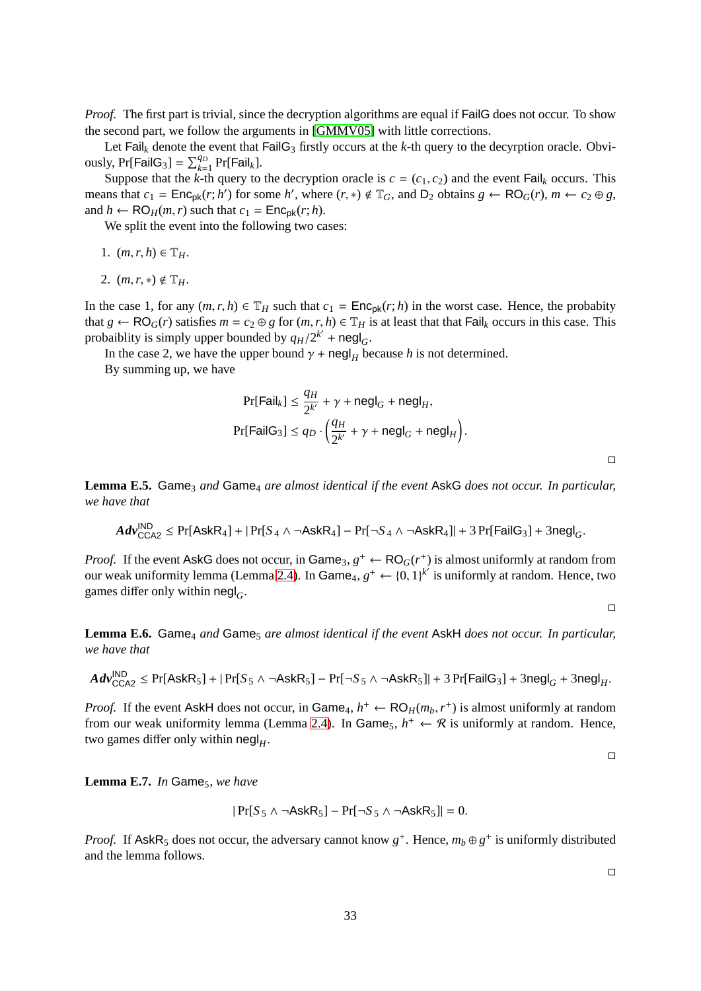*Proof.* The first part is trivial, since the decryption algorithms are equal if FailG does not occur. To show the second part, we follow the arguments in [GMMV05] with little corrections.

Let Fail<sub>k</sub> denote the event that FailG<sub>3</sub> firstly occurs at the  $k$ -th query to the decyrption oracle. Obviously,  $Pr[{\sf FailG}_3] = \sum_{k=1}^{q_D} Pr[{\sf Fail}_k].$ 

Suppose that the *k*-th query to the decryption oracle is  $c = (c_1, c_2)$  and the event Fail<sub>k</sub> occurs. This means that  $c_1 = \text{Enc}_{pk}(r; h')$  for some *h'*, where  $(r, *) \notin \mathbb{T}_G$ , and  $D_2$  obtains  $g \leftarrow \text{RO}_G(r)$ ,  $m \leftarrow c_2 \oplus g$ , and  $h \leftarrow \text{RO}_{H}(m, r)$  such that  $c_1 = \text{Enc}_{pk}(r; h)$ .

We split the event into the following two cases:

- 1.  $(m, r, h) \in T_H$ .
- 2.  $(m, r, *) \notin T_H$ .

In the case 1, for any  $(m, r, h) \in \mathbb{T}_H$  such that  $c_1 = \text{Enc}_{pk}(r; h)$  in the worst case. Hence, the probabity that *g* ← RO<sub>*G*</sub>(*r*) satisfies *m* =  $c_2 \oplus g$  for  $(m, r, h) \in \mathbb{T}_H$  is at least that that Fail<sub>k</sub> occurs in this case. This probaiblity is simply upper bounded by  $q_H/2^{k'}$  + negl<sub>*G*</sub>.

In the case 2, we have the upper bound  $\gamma$  + negl<sub>H</sub> because *h* is not determined.

By summing up, we have

$$
\Pr[\mathsf{Fall}_k] \le \frac{q_H}{2^{k'}} + \gamma + \mathsf{negl}_G + \mathsf{negl}_H,
$$
  

$$
\Pr[\mathsf{TailG}_3] \le q_D \cdot \left(\frac{q_H}{2^{k'}} + \gamma + \mathsf{negl}_G + \mathsf{negl}_H\right).
$$

 $\Box$ 

**Lemma E.5.** Game<sub>3</sub> *and* Game<sub>4</sub> *are almost identical if the event* AskG *does not occur. In particular, we have that*

$$
Adv_{\text{CCA2}}^{\text{IND}} \le \Pr[\text{AskR}_4] + |\Pr[S_4 \land \neg \text{AskR}_4] - \Pr[\neg S_4 \land \neg \text{AskR}_4]| + 3 \Pr[\text{TailG}_3] + 3 \text{negl}_G.
$$

*Proof.* If the event AskG does not occur, in Game<sub>3</sub>,  $g^+ \leftarrow \text{RO}_G(r^+)$  is almost uniformly at random from our weak uniformity lemma (Lemma 2.4). In Game<sub>4</sub>,  $g^+ \leftarrow \{0, 1\}^{k'}$  is uniformly at random. Hence, two games differ only within  $\operatorname{negl}_G$ .

**Lemma E.6.** Game<sub>4</sub> *and* Game<sub>5</sub> *ar[e al](#page-7-1)most identical if the event* AskH *does not occur. In particular, we have that*

$$
Adv_{\text{CCA2}}^{\text{IND}} \le \Pr[\text{AskR}_5] + |\Pr[S_5 \land \neg \text{AskR}_5] - \Pr[\neg S_5 \land \neg \text{AskR}_5]| + 3 \Pr[\text{TailG}_3] + 3 \text{negl}_G + 3 \text{negl}_H.
$$

*Proof.* If the event AskH does not occur, in Game<sub>4</sub>,  $h^+ \leftarrow \text{RO}_H(m_b, r^+)$  is almost uniformly at random from our weak uniformity lemma (Lemma 2.4). In Game<sub>5</sub>,  $h^+ \leftarrow \mathcal{R}$  is uniformly at random. Hence, two games differ only within  $\operatorname{negl}_H$ .

 $\Box$ 

**Lemma E.7.** *In* Game<sub>5</sub>, we have

$$
|\Pr[S_5 \land \neg \mathsf{AskR}_5] - \Pr[\neg S_5 \land \neg \mathsf{AskR}_5]| = 0.
$$

*Proof.* If AskR<sub>5</sub> does not occur, the adversary cannot know  $g^+$ . Hence,  $m_b \oplus g^+$  is uniformly distributed and the lemma follows.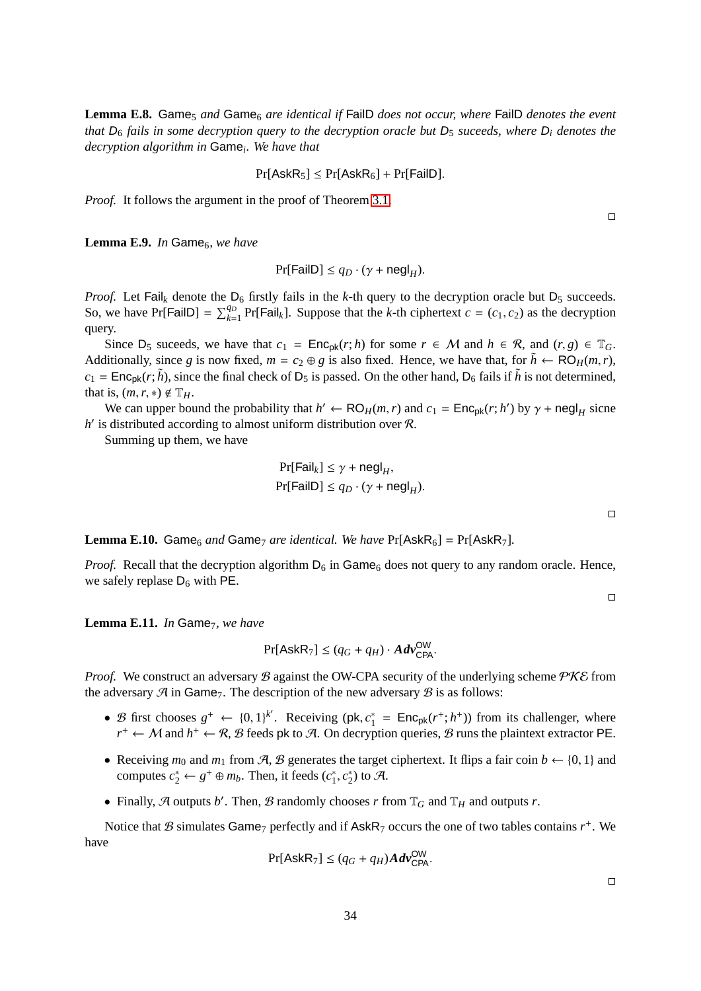**Lemma E.8.** Game<sub>5</sub> *and* Game<sub>6</sub> *are identical if* FailD *does not occur, where* FailD *denotes the event that*  $D_6$  *fails in some decryption query to the decryption oracle but*  $D_5$  *suceeds, where*  $D_i$  *denotes the decryption algorithm in* Game*<sup>i</sup> . We have that*

$$
Pr[AskR_5] \leq Pr[AskR_6] + Pr[FailD].
$$

*Proof.* It follows the argument in the proof of Theorem 3.1.

**Lemma E.9.** *In* Game<sub>6</sub>, we have

$$
\Pr[\mathsf{FallD}] \le q_D \cdot (\gamma + \mathsf{negl}_H).
$$

*Proof.* Let Fail<sub>k</sub> denote the  $D_6$  firstly fails in the *k*-th query to the decryption oracle but  $D_5$  succeeds. So, we have Pr[FailD] =  $\sum_{k=1}^{q} Pr[Fall_k]$ . Suppose that the *k*-th ciphertext  $c = (c_1, c_2)$  as the decryption query.

Since  $D_5$  suceeds, we have that  $c_1 = \text{Enc}_{pk}(r; h)$  for some  $r \in M$  and  $h \in \mathcal{R}$ , and  $(r, g) \in \mathbb{T}_G$ . Additionally, since *g* is now fixed,  $m = c_2 \oplus g$  is also fixed. Hence, we have that, for  $\tilde{h} \leftarrow \text{RO}_H(m, r)$ ,  $c_1 = \text{Enc}_{\text{pk}}(r; \tilde{h})$ , since the final check of  $D_5$  is passed. On the other hand,  $D_6$  fails if  $\tilde{h}$  is not determined, that is,  $(m, r, *) \notin \mathbb{T}_H$ .

We can upper bound the probability that  $h' \leftarrow \text{RO}_{H}(m, r)$  and  $c_1 = \text{Enc}_{pk}(r; h')$  by  $\gamma + \text{negl}_{H}$  sicne  $h'$  is distributed according to almost uniform distribution over  $R$ .

Summing up them, we have

$$
\Pr[\mathsf{Tail}_k] \le \gamma + \mathsf{negl}_H,
$$
  

$$
\Pr[\mathsf{TailD}] \le q_D \cdot (\gamma + \mathsf{negl}_H).
$$

**Lemma E.10.** Game<sub>6</sub> and Game<sub>7</sub> are identical. We have  $Pr[AskR_6] = Pr[AskR_7]$ .

*Proof.* Recall that the decryption algorithm  $D_6$  in Game<sub>6</sub> does not query to any random oracle. Hence, we safely replase  $D_6$  with PE.

 $\Box$ 

 $\Box$ 

**Lemma E.11.** *In* Game<sub>7</sub>, we have

$$
Pr[AskR_7] \le (q_G + q_H) \cdot Adv_{CPA}^{OW}.
$$

*Proof.* We construct an adversary  $\mathcal{B}$  against the OW-CPA security of the underlying scheme  $\mathcal{PKE}$  from the adversary  $\mathcal A$  in Game<sub>7</sub>. The description of the new adversary  $\mathcal B$  is as follows:

- B first chooses  $g^+ \leftarrow \{0, 1\}^{k'}$ . Receiving (pk,  $c_1^* = \text{Enc}_{pk}(r^+; h^+)$ ) from its challenger, where  $r^+$  ← *M* and  $h^+$  ← *R*, *B* feeds pk to *A*. On decryption queries, *B* runs the plaintext extractor PE.
- Receiving  $m_0$  and  $m_1$  from A, B generates the target ciphertext. It flips a fair coin  $b \leftarrow \{0, 1\}$  and computes  $c_2^* \leftarrow g^+ \oplus m_b$ . Then, it feeds  $(c_1^*, c_2^*)$  to A.
- Finally,  $\mathcal A$  outputs  $b'$ . Then,  $\mathcal B$  randomly chooses  $r$  from  $\mathbb T_G$  and  $\mathbb T_H$  and outputs  $r$ .

Notice that  $\mathcal B$  simulates Game<sub>7</sub> perfectly and if AskR<sub>7</sub> occurs the one of two tables contains  $r^+$ . We have

$$
Pr[AskR_7] \le (q_G + q_H)Adv_{CPA}^{OW}.
$$

 $\Box$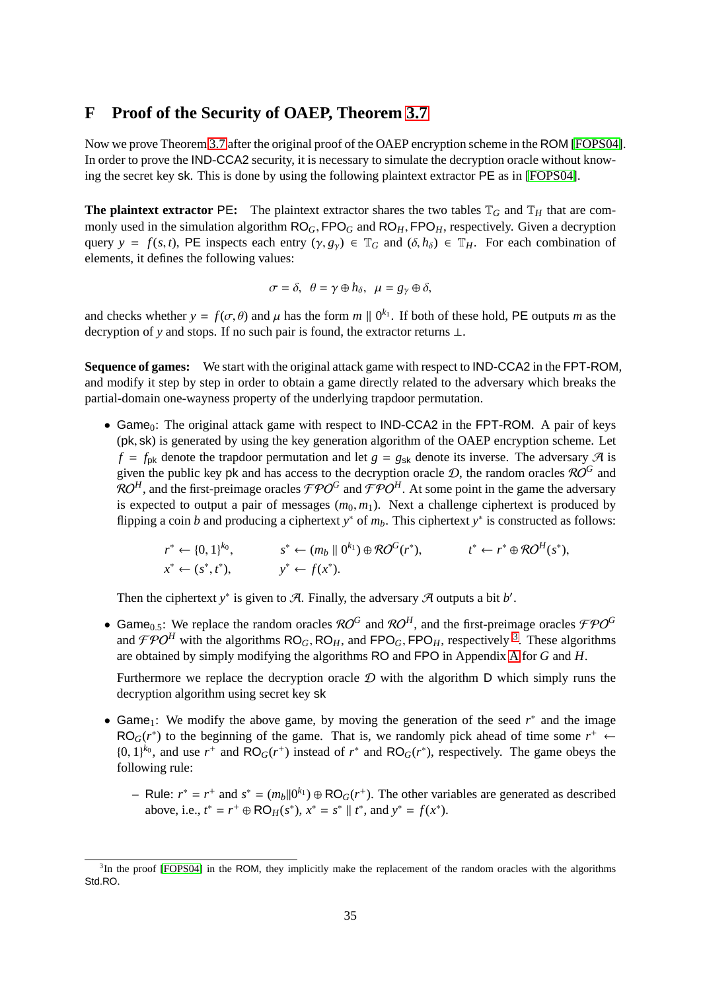## **F Proof of the Security of OAEP, Theorem 3.7**

<span id="page-34-0"></span>Now we prove Theorem 3.7 after the original proof of the OAEP encryption scheme in the ROM [FOPS04]. In order to prove the IND-CCA2 security, it is necessary to simulate the decryption oracle without knowing the secret key sk. This is done by using the following plai[ntext](#page-13-1) extractor PE as in [FOPS04].

**The plaintext extractor [PE](#page-13-1):** The plaintext extractor shares the two tables  $T_G$  and  $T_H$  that [are com](#page-64-12)monly used in the simulation algorithm  $RO<sub>G</sub>$ , FPO<sub>G</sub> and  $RO<sub>H</sub>$ , FPO<sub>H</sub>, respectively. G[iven a dec](#page-64-12)ryption query  $y = f(s, t)$ , PE inspects each entry  $(\gamma, g_{\gamma}) \in \mathbb{T}_G$  and  $(\delta, h_{\delta}) \in \mathbb{T}_H$ . For each combination of elements, it defines the following values:

$$
\sigma = \delta, \ \theta = \gamma \oplus h_{\delta}, \ \mu = g_{\gamma} \oplus \delta,
$$

and checks whether  $y = f(\sigma, \theta)$  and  $\mu$  has the form  $m \parallel 0^{k_1}$ . If both of these hold, PE outputs  $m$  as the decryption of *y* and stops. If no such pair is found, the extractor returns ⊥.

**Sequence of games:** We start with the original attack game with respect to IND-CCA2 in the FPT-ROM, and modify it step by step in order to obtain a game directly related to the adversary which breaks the partial-domain one-wayness property of the underlying trapdoor permutation.

• Game<sub>0</sub>: The original attack game with respect to IND-CCA2 in the FPT-ROM. A pair of keys (pk, sk) is generated by using the key generation algorithm of the OAEP encryption scheme. Let  $f = f_{\text{pk}}$  denote the trapdoor permutation and let  $g = g_{\text{sk}}$  denote its inverse. The adversary  $\mathcal{A}$  is given the public key pk and has access to the decryption oracle  $D$ , the random oracles  $RO^G$  and RO<sup>H</sup>, and the first-preimage oracles  $\mathcal{FPO}^G$  and  $\mathcal{FPO}^H$ . At some point in the game the adversary is expected to output a pair of messages  $(m_0, m_1)$ . Next a challenge ciphertext is produced by flipping a coin *b* and producing a ciphertext  $y^*$  of  $m_b$ . This ciphertext  $y^*$  is constructed as follows:

$$
r^* \leftarrow \{0, 1\}^{k_0}, \qquad s^* \leftarrow (m_b \parallel 0^{k_1}) \oplus \mathcal{RO}^G(r^*), \qquad t^* \leftarrow r^* \oplus \mathcal{RO}^H(s^*),
$$
  

$$
x^* \leftarrow (s^*, t^*), \qquad y^* \leftarrow f(x^*).
$$

Then the ciphertext  $y^*$  is given to A. Finally, the adversary A outputs a bit *b'*.

• Game<sub>0.5</sub>: We replace the random oracles  $RO^G$  and  $RO^H$ , and the first-preimage oracles  $FPO^G$ and  $\mathcal{FPO}^{H}$  with the algorithms  $\mathsf{RO}_G$ ,  $\mathsf{RO}_H$ , and  $\mathsf{FPO}_G$ ,  $\mathsf{FPO}_H$ , respectively <sup>3</sup>. These algorithms are obtained by simply modifying the algorithms RO and FPO in Appendix A for *G* and *H*.

Furthermore we replace the decryption oracle  $D$  with the algorithm D which simply runs the decryption algorithm using secret key sk

- Game<sub>1</sub>: We modify the above game, by moving the generation of the s[eed](#page-15-0) r<sup>\*</sup> and the image RO<sub>G</sub>( $r^*$ ) to the beginning of the game. That is, we randomly pick ahead of time some  $r^+ \leftarrow$  $\{0, 1\}^{k_0}$ , and use  $r^+$  and RO<sub>*G*</sub>( $r^+$ ) instead of  $r^*$  and RO<sub>*G*</sub>( $r^*$ ), respectively. The game obeys the following rule:
	- $-$  Rule:  $r^* = r^+$  and  $s^* = (m_b||0^{k_1}) \oplus \text{RO}_G(r^+)$ . The other variables are generated as described above, i.e.,  $t^* = r^+ \oplus \text{RO}_H(s^*)$ ,  $x^* = s^* \parallel t^*$ , and  $y^* = f(x^*)$ .

<sup>&</sup>lt;sup>3</sup>In the proof [FOPS04] in the ROM, they implicitly make the replacement of the random oracles with the algorithms Std.RO.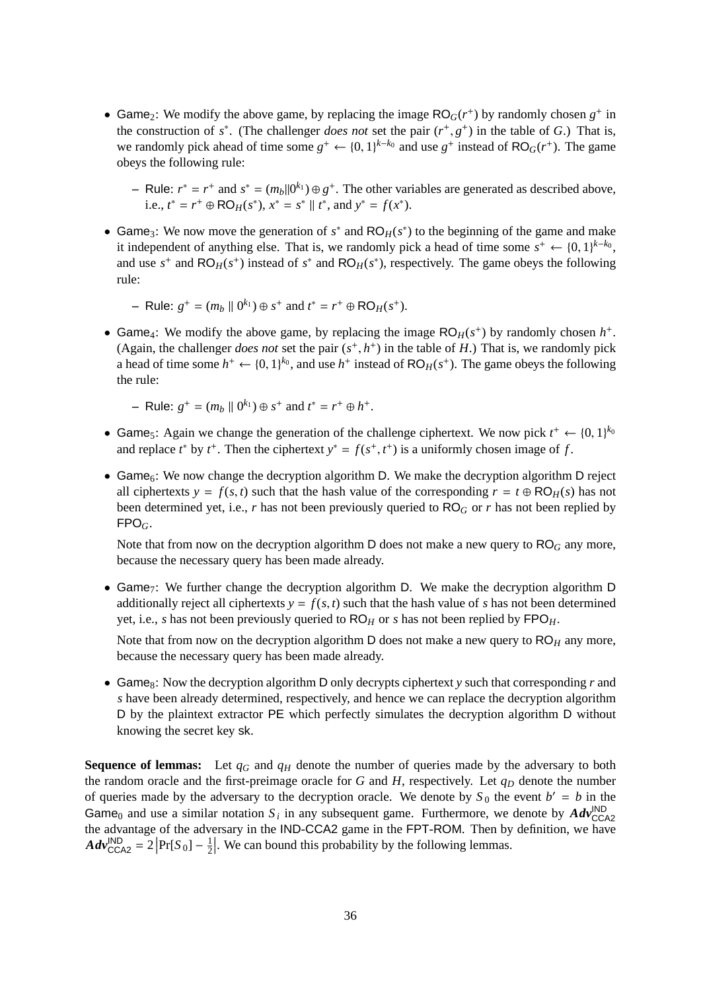- Game<sub>2</sub>: We modify the above game, by replacing the image  $RO<sub>G</sub>(r<sup>+</sup>)$  by randomly chosen  $g<sup>+</sup>$  in the construction of  $s^*$ . (The challenger *does not* set the pair  $(r^+, g^+)$  in the table of *G*.) That is, we randomly pick ahead of time some  $g^+ \leftarrow \{0, 1\}^{k-k_0}$  and use  $g^+$  instead of RO<sub>G</sub>( $r^+$ ). The game obeys the following rule:
	- $-$  Rule:  $r^* = r^+$  and  $s^* = (m_b||0^{k_1}) ⊕ g^+$ . The other variables are generated as described above, i.e.,  $t^* = r^+ \oplus \text{RO}_H(s^*)$ ,  $x^* = s^* \parallel t^*$ , and  $y^* = f(x^*)$ .
- Game<sub>3</sub>: We now move the generation of  $s^*$  and  $RO_H(s^*)$  to the beginning of the game and make it independent of anything else. That is, we randomly pick a head of time some  $s^+ \leftarrow \{0, 1\}^{k-k_0}$ , and use  $s^+$  and RO<sub>H</sub>( $s^+$ ) instead of  $s^*$  and RO<sub>H</sub>( $s^*$ ), respectively. The game obeys the following rule:
	- $-$  Rule:  $g^+ = (m_b \parallel 0^{k_1}) \oplus s^+$  and  $t^* = r^+ \oplus \text{RO}_H(s^+).$
- Game<sub>4</sub>: We modify the above game, by replacing the image  $RO_H(s^+)$  by randomly chosen  $h^+$ . (Again, the challenger *does not* set the pair  $(s^+, h^+)$  in the table of *H*.) That is, we randomly pick a head of time some  $h^+ \leftarrow \{0, 1\}^{k_0}$ , and use  $h^+$  instead of  $\mathsf{RO}_{H}(s^+)$ . The game obeys the following the rule:

- Rule: 
$$
g^+ = (m_b \parallel 0^{k_1}) \oplus s^+
$$
 and  $t^* = r^+ \oplus h^+$ .

- Game<sub>5</sub>: Again we change the generation of the challenge ciphertext. We now pick  $t^+ \leftarrow \{0, 1\}^{k_0}$ and replace  $t^*$  by  $t^+$ . Then the ciphertext  $y^* = f(s^+, t^+)$  is a uniformly chosen image of  $f$ .
- Game<sub>6</sub>: We now change the decryption algorithm D. We make the decryption algorithm D reject all ciphertexts  $y = f(s, t)$  such that the hash value of the corresponding  $r = t \oplus \text{RO}_H(s)$  has not been determined yet, i.e., *r* has not been previously queried to  $RO<sub>G</sub>$  or *r* has not been replied by FPO*G*.

Note that from now on the decryption algorithm  $D$  does not make a new query to  $RO<sub>G</sub>$  any more, because the necessary query has been made already.

• Game<sub>7</sub>: We further change the decryption algorithm D. We make the decryption algorithm D additionally reject all ciphertexts  $y = f(s, t)$  such that the hash value of *s* has not been determined yet, i.e., *s* has not been previously queried to  $RO<sub>H</sub>$  or *s* has not been replied by  $FPO<sub>H</sub>$ .

Note that from now on the decryption algorithm  $D$  does not make a new query to  $RO<sub>H</sub>$  any more, because the necessary query has been made already.

• Game<sub>8</sub>: Now the decryption algorithm D only decrypts ciphertext *y* such that corresponding *r* and *s* have been already determined, respectively, and hence we can replace the decryption algorithm D by the plaintext extractor PE which perfectly simulates the decryption algorithm D without knowing the secret key sk.

**Sequence of lemmas:** Let *q<sup>G</sup>* and *q<sup>H</sup>* denote the number of queries made by the adversary to both the random oracle and the first-preimage oracle for *G* and *H*, respectively. Let  $q_D$  denote the number of queries made by the adversary to the decryption oracle. We denote by  $S_0$  the event  $b' = b$  in the Game<sub>0</sub> and use a similar notation  $S_i$  in any subsequent game. Furthermore, we denote by  $Adv_{\text{CCA2}}^{\text{IND}}$ the advantage of the adversary in the IND-CCA2 game in the FPT-ROM. Then by definition, we have  $A dv_{\text{CCA2}}^{\text{IND}} = 2 \left| \Pr[S_0] - \frac{1}{2} \right|$  $\frac{1}{2}$ . We can bound this probability by the following lemmas.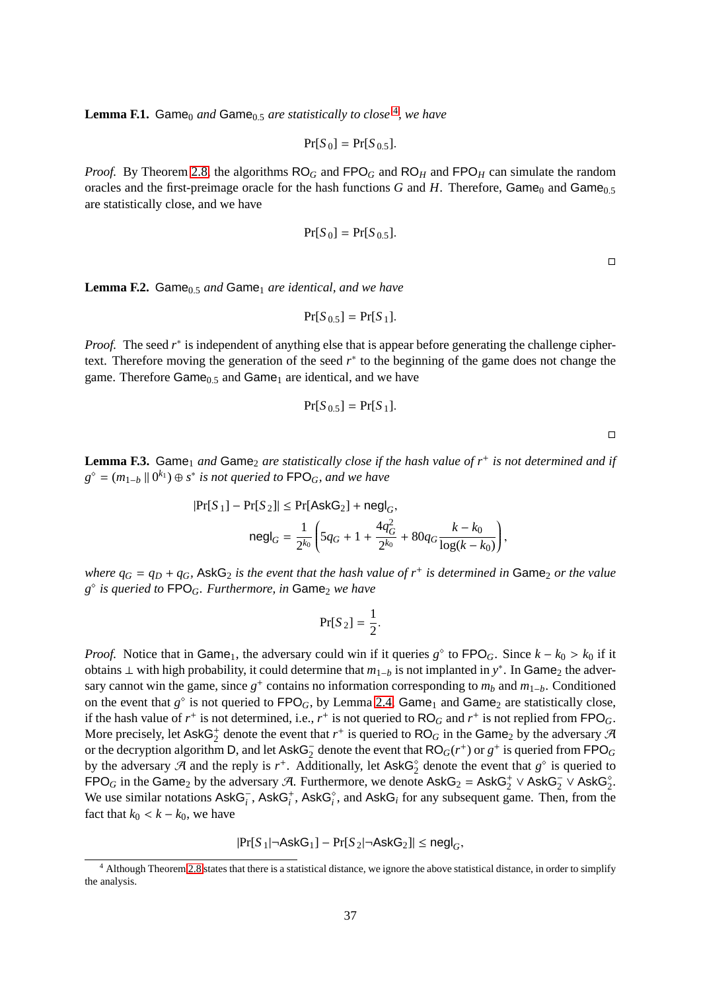**Lemma F.1.** Game<sub>0</sub> and Game<sub>0.5</sub> are statistically to close<sup>4</sup>, we have

$$
Pr[S_0] = Pr[S_{0.5}].
$$

*Proof.* By Theorem 2.8, the algorithms  $RO<sub>G</sub>$  an[d](#page-36-0)  $FPO<sub>H</sub>$  and  $FPO<sub>H</sub>$  can simulate the random oracles and the first-preimage oracle for the hash functions *G* and *H*. Therefore,  $Game_0$  and  $Game_{0.5}$ are statistically close, and we have

$$
Pr[S_0] = Pr[S_{0.5}].
$$

 $\Box$ 

**Lemma F.2.** Game<sub>0.5</sub> *and* Game<sub>1</sub> *are identical, and we have* 

$$
Pr[S_{0.5}] = Pr[S_1].
$$

*Proof.* The seed r<sup>\*</sup> is independent of anything else that is appear before generating the challenge ciphertext. Therefore moving the generation of the seed r<sup>∗</sup> to the beginning of the game does not change the game. Therefore  $Game_{0.5}$  and  $Game_1$  are identical, and we have

$$
Pr[S_{0.5}] = Pr[S_1].
$$

 $\Box$ 

**Lemma F.3.** Game<sub>1</sub> and Game<sub>2</sub> are statistically close if the hash value of  $r^+$  is not determined and if  $g^{\diamond}$  = ( $m_{1-b}$  ||  $0^{k_1}$ ) ⊕  $s^*$  *is not queried to* FPO<sub>*G</sub>, and we have*</sub>

$$
|\Pr[S_1] - \Pr[S_2]| \le \Pr[\text{AskG}_2] + \text{negl}_G,
$$
  
negl<sub>G</sub> =  $\frac{1}{2^{k_0}} \left( 5q_G + 1 + \frac{4q_G^2}{2^{k_0}} + 80q_G \frac{k - k_0}{\log(k - k_0)} \right),$ 

*where*  $q_G = q_D + q_G$ , Ask $G_2$  *is the event that the hash value of*  $r^+$  *is determined in*  $Game_2$  *or the value g* ⋄ *is queried to* FPO*G. Furthermore, in* Game<sup>2</sup> *we have*

$$
Pr[S_2] = \frac{1}{2}.
$$

*Proof.* Notice that in Game<sub>1</sub>, the adversary could win if it queries  $g^{\circ}$  to FPO<sub>*G*</sub>. Since  $k - k_0 > k_0$  if it obtains ⊥ with high probability, it could determine that  $m_{1-b}$  is not implanted in  $y^*$ . In Game<sub>2</sub> the adversary cannot win the game, since  $g^+$  contains no information corresponding to  $m_b$  and  $m_{1-b}$ . Conditioned on the event that  $g^{\circ}$  is not queried to  $FPO_G$ , by Lemma 2.4, Game<sub>1</sub> and Game<sub>2</sub> are statistically close, if the hash value of  $r^+$  is not determined, i.e.,  $r^+$  is not queried to  $RO_G$  and  $r^+$  is not replied from  $\text{FPO}_G$ . More precisely, let Ask $G_2^+$  denote the event that  $r^+$  is queried to  $RO_G$  in the Game<sub>2</sub> by the adversary  $\mathcal A$ or the decryption algorithm D, and let AskG<sub>2</sub> denote the event that  $RO_G(r^+)$  or  $g^+$  is queried from  $FPO_G$ by the adversary  $\mathcal A$  and the reply is  $r^+$ . Additionally, let [As](#page-7-1)kG<sup>

</sup>
<sub>2</sub> denote the event that  $g^{\circ}$  is queried to  $FPO<sub>G</sub>$  in the Game<sub>2</sub> by the adversary A. Furthermore, we denote AskG<sub>2</sub> = AskG<sub>2</sub><sup>+</sup>  $\vee$  AskG<sub>2</sub><sup>-</sup>  $\vee$  AskG<sub>2</sub><sup>°</sup>. We use similar notations  $AskG_i^-$ ,  $AskG_i^+$ ,  $AskG_i^{\circ}$ , and  $AskG_i$  for any subsequent game. Then, from the fact that  $k_0 < k - k_0$ , we have

 $|Pr[S_1] \neg AskG_1] - Pr[S_2] \neg AskG_2]|$  ≤ negl<sub>*G*</sub>,

<span id="page-36-0"></span><sup>&</sup>lt;sup>4</sup> Although Theorem 2.8 states that there is a statistical distance, we ignore the above statistical distance, in order to simplify the analysis.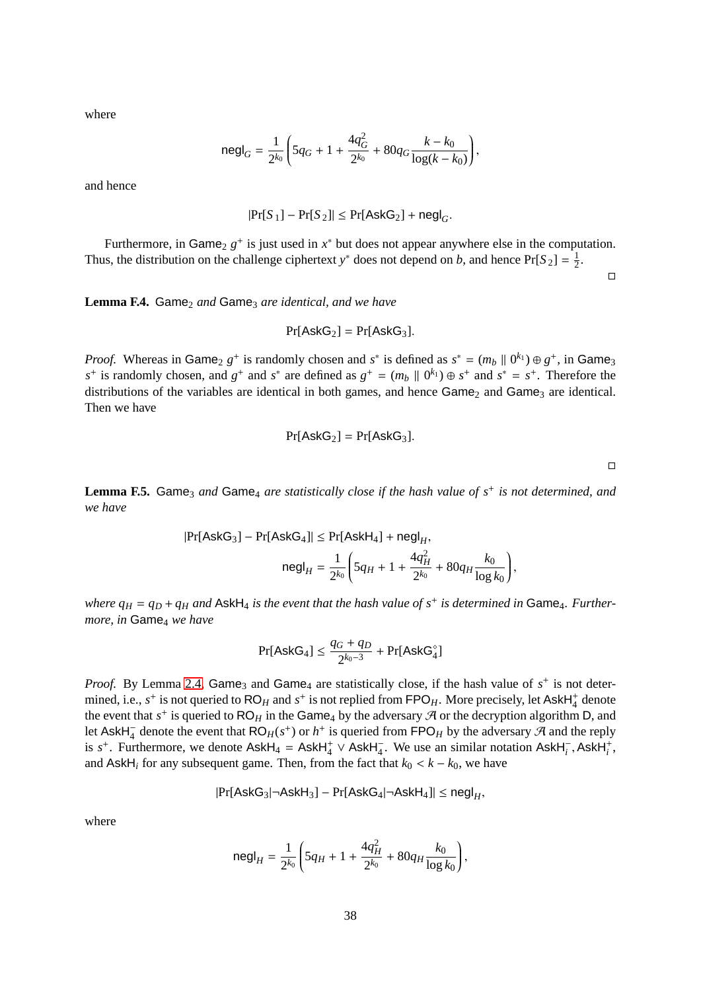where

$$
\operatorname{negl}_G = \frac{1}{2^{k_0}} \left( 5q_G + 1 + \frac{4q_G^2}{2^{k_0}} + 80q_G \frac{k - k_0}{\log(k - k_0)} \right),
$$

and hence

$$
|\Pr[S_1] - \Pr[S_2]| \le \Pr[\mathsf{AskG}_2] + \mathsf{negl}_G.
$$

Furthermore, in Game<sub>2</sub>  $g^+$  is just used in  $x^*$  but does not appear anywhere else in the computation. Thus, the distribution on the challenge ciphertext *y*<sup>\*</sup> does not depend on *b*, and hence  $Pr[S_2] = \frac{1}{2}$  $\frac{1}{2}$ .

 $\Box$ 

Lemma F.4. Game<sub>2</sub> and Game<sub>3</sub> are identical, and we have

$$
Pr[AskG_2] = Pr[AskG_3].
$$

*Proof.* Whereas in Game<sub>2</sub>  $g^+$  is randomly chosen and  $s^*$  is defined as  $s^* = (m_b \parallel 0^{k_1}) \oplus g^+$ , in Game<sub>3</sub>  $s^+$  is randomly chosen, and  $g^+$  and  $s^*$  are defined as  $g^+ = (m_b \parallel 0^{k_1}) \oplus s^+$  and  $s^* = s^+$ . Therefore the distributions of the variables are identical in both games, and hence  $Game_2$  and  $Game_3$  are identical. Then we have

$$
Pr[AskG_2] = Pr[AskG_3].
$$

 $\Box$ 

Lemma F.5. Game<sub>3</sub> and Game<sub>4</sub> are statistically close if the hash value of s<sup>+</sup> is not determined, and *we have*

$$
|\Pr[\text{AskG}_3] - \Pr[\text{AskG}_4]| \le \Pr[\text{AskH}_4] + \text{negl}_H,
$$

$$
\text{negl}_H = \frac{1}{2^{k_0}} \left( 5q_H + 1 + \frac{4q_H^2}{2^{k_0}} + 80q_H \frac{k_0}{\log k_0} \right),
$$

where  $q_H = q_D + q_H$  and  $\text{AskH}_4$  *is the event that the hash value of*  $s^+$  *is determined in* Game<sub>4</sub>. Further*more, in* Game<sub>4</sub> *we have* 

$$
Pr[AskG_4] \le \frac{q_G + q_D}{2^{k_0 - 3}} + Pr[AskG_4^\circ]
$$

*Proof.* By Lemma 2.4, Game<sub>3</sub> and Game<sub>4</sub> are statistically close, if the hash value of  $s^+$  is not determined, i.e.,  $s^+$  is not queried to  $RO_H$  and  $s^+$  is not replied from  $FPO_H$ . More precisely, let AskH<sup>+</sup><sub>4</sub> denote the event that  $s^+$  is queried to RO<sub>H</sub> in the Game<sub>4</sub> by the adversary  $\mathcal A$  or the decryption algorithm D, and let AskH<sub>4</sub><sup> $-$ </sup> denote the event that RO<sub>H</sub>( $s^+$ ) or  $h^+$  is queried from FPO<sub>H</sub> by the adversary  $\mathcal A$  and the reply is  $s^+$ . Furthermore[, we](#page-7-1) denote  $AskH_4 = AskH_4^+ \vee AskH_4^-$ . We use an similar notation  $AskH_i^-, AskH_i^+$ , and AskH<sub>i</sub> for any subsequent game. Then, from the fact that  $k_0 < k - k_0$ , we have

$$
|\Pr[\mathsf{AskG}_3|\neg \mathsf{AskH}_3]-\Pr[\mathsf{AskG}_4|\neg \mathsf{AskH}_4]| \le {\mathsf{negl}}_H,
$$

where

$$
\mathsf{negl}_H = \frac{1}{2^{k_0}} \left( 5q_H + 1 + \frac{4q_H^2}{2^{k_0}} + 80q_H \frac{k_0}{\log k_0} \right),
$$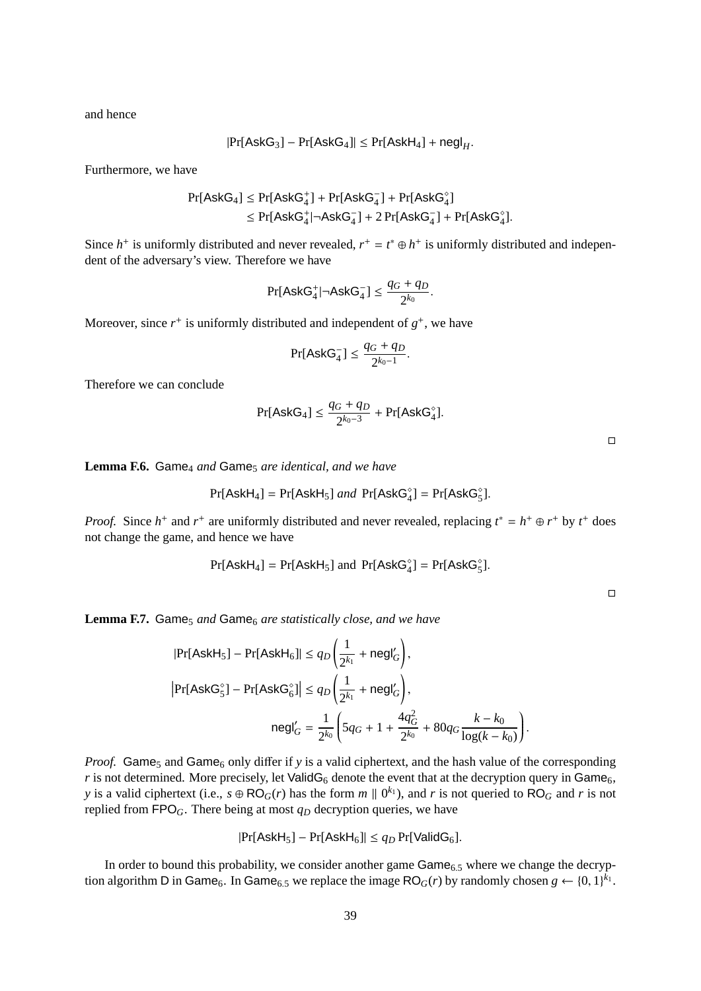and hence

$$
|\Pr[\mathsf{AskG}_3] - \Pr[\mathsf{AskG}_4]| \le \Pr[\mathsf{AskH}_4] + \mathsf{negl}_H.
$$

Furthermore, we have

$$
Pr[AskG_4] \le Pr[AskG_4^+] + Pr[AskG_4^-] + Pr[AskG_4^0]
$$
  
\n
$$
\le Pr[AskG_4^+] \neg AskG_4^-] + 2 Pr[AskG_4^-] + Pr[AskG_4^0].
$$

Since  $h^+$  is uniformly distributed and never revealed,  $r^+ = t^* \oplus h^+$  is uniformly distributed and independent of the adversary's view. Therefore we have

$$
\Pr[\mathsf{AskG}_4^+ | \neg \mathsf{AskG}_4^-] \le \frac{q_G + q_D}{2^{k_0}}.
$$

Moreover, since  $r^+$  is uniformly distributed and independent of  $g^+$ , we have

$$
\Pr[\mathsf{AskG}_4^-] \le \frac{q_G + q_D}{2^{k_0 - 1}}.
$$

Therefore we can conclude

$$
Pr[AskG_4] \le \frac{q_G + q_D}{2^{k_0 - 3}} + Pr[AskG_4^\circ].
$$

 $\Box$ 

Lemma F.6. Game<sub>4</sub> and Game<sub>5</sub> are identical, and we have

$$
Pr[AskH_4] = Pr[AskH_5] \ and \ Pr[AskG_4^\circ] = Pr[AskG_5^\circ].
$$

*Proof.* Since  $h^+$  and  $r^+$  are uniformly distributed and never revealed, replacing  $t^* = h^+ \oplus r^+$  by  $t^+$  does not change the game, and hence we have

$$
Pr[AskH_4] = Pr[AskH_5] \text{ and } Pr[AskG_4^\circ] = Pr[AskG_5^\circ].
$$

Lemma F.7. Game<sub>5</sub> and Game<sub>6</sub> are statistically close, and we have

$$
|\Pr[\text{AskH}_5] - \Pr[\text{AskH}_6]| \le q_D \left(\frac{1}{2^{k_1}} + \text{negl}'_G\right),
$$
  

$$
|\Pr[\text{AskG}_5^\circ] - \Pr[\text{AskG}_6^\circ]| \le q_D \left(\frac{1}{2^{k_1}} + \text{negl}'_G\right),
$$
  

$$
\text{negl}'_G = \frac{1}{2^{k_0}} \left(5q_G + 1 + \frac{4q_G^2}{2^{k_0}} + 80q_G \frac{k - k_0}{\log(k - k_0)}\right).
$$

*Proof.* Game<sub>5</sub> and Game<sub>6</sub> only differ if *y* is a valid ciphertext, and the hash value of the corresponding *r* is not determined. More precisely, let ValidG<sub>6</sub> denote the event that at the decryption query in Game<sub>6</sub>, *y* is a valid ciphertext (i.e.,  $s \oplus \text{RO}_G(r)$  has the form  $m \parallel 0^{k_1}$ ), and  $r$  is not queried to  $\text{RO}_G$  and  $r$  is not replied from  $FPO<sub>G</sub>$ . There being at most  $q<sub>D</sub>$  decryption queries, we have

$$
|\Pr[\mathsf{AskH}_5] - \Pr[\mathsf{AskH}_6]| \le q_D \Pr[\mathsf{ValidG}_6].
$$

In order to bound this probability, we consider another game  $Game_{6.5}$  where we change the decryption algorithm D in Game<sub>6</sub>. In Game<sub>6.5</sub> we replace the image  $RO<sub>G</sub>(r)$  by randomly chosen  $g \leftarrow \{0, 1\}^{k_1}$ .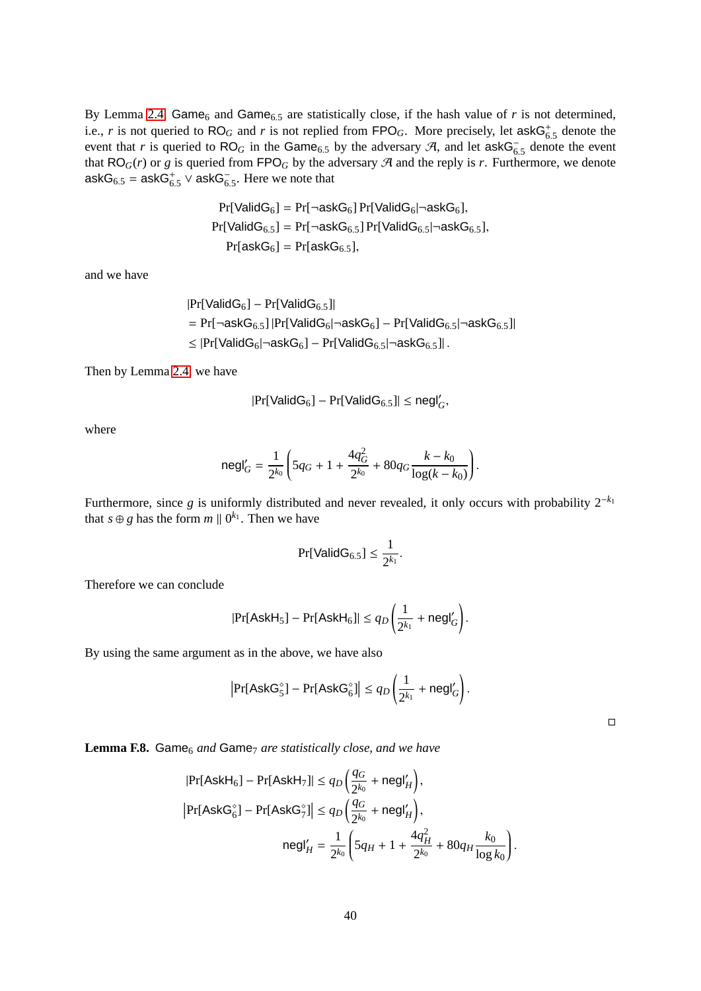By Lemma 2.4, Game<sub>6</sub> and Game<sub>6.5</sub> are statistically close, if the hash value of *r* is not determined, i.e., *r* is not queried to  $RO_G$  and *r* is not replied from  $FPO_G$ . More precisely, let  $askG_{6.5}^+$  denote the event that *r* is queried to  $RO<sub>G</sub>$  in the Game<sub>6.5</sub> by the adversary  $\mathcal{A}$ , and let ask $G<sub>6.5</sub>$  denote the event that  $RO<sub>G</sub>(r)$  or *g* is queried from  $FPO<sub>G</sub>$  by the adversary  $A$  and the reply is *r*. Furthermore, we denote ask $G_{6.5}$  = ask $G_{6.5}^+$   $\vee$  ask $G_{6.5}^-$ . Here we note that

$$
Pr[ValidG6] = Pr[\neg askG6] Pr[ValidG6] \neg askG6],
$$
  
\n
$$
Pr[ValidG6.5] = Pr[\neg askG6.5] Pr[ValidG6.5] \neg askG6.5],
$$
  
\n
$$
Pr[askG6] = Pr[askG6.5],
$$

and we have

$$
|Pr[ValidG_6] - Pr[ValidG_{6.5}]|
$$
  
= Pr[-askG<sub>6.5</sub>] |Pr[ValidG<sub>6</sub>]-askG<sub>6</sub>] - Pr[ValidG<sub>6.5</sub>]-askG<sub>6.5</sub>]|  

$$
\leq |Pr[ValidG_6|-\text{askG}_6] - Pr[ValidG_{6.5}|\text{--askG}_{6.5}]|.
$$

Then by Lemma 2.4, we have

$$
|\text{Pr}[\text{ValidG}_6]-\text{Pr}[\text{ValidG}_{6.5}]|\leq \text{negl}_G',
$$

where

$$
\operatorname{negl}'_G = \frac{1}{2^{k_0}} \left( 5q_G + 1 + \frac{4q_G^2}{2^{k_0}} + 80q_G \frac{k - k_0}{\log(k - k_0)} \right).
$$

Furthermore, since *g* is uniformly distributed and never revealed, it only occurs with probability  $2^{-k_1}$ that  $s \oplus g$  has the form  $m \parallel 0^{k_1}$ . Then we have

$$
Pr[\text{ValidG}_{6.5}] \leq \frac{1}{2^{k_1}}.
$$

Therefore we can conclude

$$
|\Pr[\mathsf{AskH}_5] - \Pr[\mathsf{AskH}_6]| \le q_D \bigg(\frac{1}{2^{k_1}} + \mathsf{negl}_G'\bigg).
$$

By using the same argument as in the above, we have also

$$
\left|\Pr[\mathsf{AskG}_5^\circ] - \Pr[\mathsf{AskG}_6^\circ]\right| \le q_D \left(\frac{1}{2^{k_1}} + \mathsf{negl}_G'\right).
$$

 $\Box$ 

**Lemma F.8.** Game<sub>6</sub> and Game<sub>7</sub> are statistically close, and we have

$$
|\Pr[\text{AskH}_6] - \Pr[\text{AskH}_7]| \le q_D \left(\frac{q_G}{2^{k_0}} + \text{negl}_H'\right),
$$
  

$$
|\Pr[\text{AskG}_6^\circ] - \Pr[\text{AskG}_7^\circ]| \le q_D \left(\frac{q_G}{2^{k_0}} + \text{negl}_H'\right),
$$
  

$$
\text{negl}_H' = \frac{1}{2^{k_0}} \left(5q_H + 1 + \frac{4q_H^2}{2^{k_0}} + 80q_H \frac{k_0}{\log k_0}\right).
$$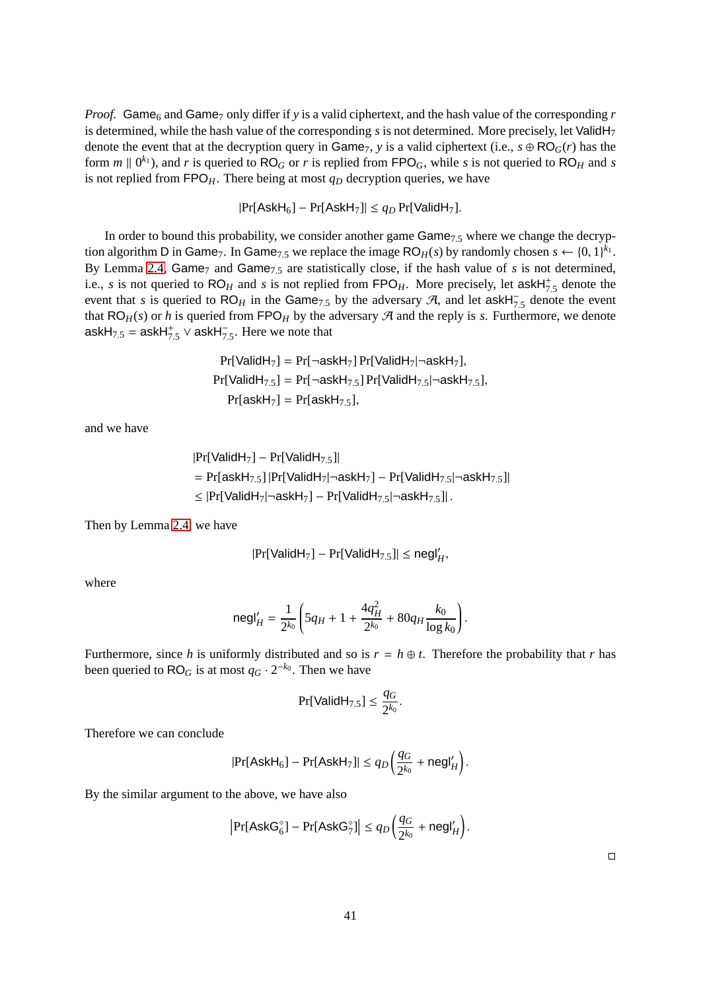*Proof.* Game<sub>6</sub> and Game<sub>7</sub> only differ if *y* is a valid ciphertext, and the hash value of the corresponding *r* is determined, while the hash value of the corresponding  $s$  is not determined. More precisely, let ValidH<sub>7</sub> denote the event that at the decryption query in Game<sub>7</sub>, *y* is a valid ciphertext (i.e.,  $s \oplus \text{RO}_G(r)$  has the form  $m \parallel 0^{k_1}$ ), and  $r$  is queried to RO<sub>G</sub> or  $r$  is replied from FPO<sub>G</sub>, while  $s$  is not queried to RO<sub>H</sub> and  $s$ is not replied from  $FPO<sub>H</sub>$ . There being at most  $q<sub>D</sub>$  decryption queries, we have

$$
|\Pr[\mathsf{AskH}_6] - \Pr[\mathsf{AskH}_7]| \le q_D \Pr[\mathsf{ValidH}_7].
$$

In order to bound this probability, we consider another game  $Game_{7.5}$  where we change the decryption algorithm D in Game<sub>7</sub>. In Game<sub>7.5</sub> we replace the image  $\mathsf{RO}_{H}(s)$  by randomly chosen  $s \leftarrow \{0, 1\}^{k_1}$ . By Lemma 2.4, Game<sub>7</sub> and Game<sub>7.5</sub> are statistically close, if the hash value of *s* is not determined, i.e., *s* is not queried to  $\text{RO}_H$  and *s* is not replied from  $\text{FPO}_H$ . More precisely, let ask $\text{H}^+_{7.5}$  denote the event that *s* is queried to RO<sub>H</sub> in the Game<sub>7.5</sub> by the adversary  $\mathcal{A}$ , and let askH<sup>-</sup><sub>7.5</sub> denote the event that  $RO<sub>H</sub>(s)$  or *h* is queried from FPO<sub>H</sub> by the adversary A and the reply is *s*. Furthermore, we denote [askH](#page-7-1)<sub>7.5</sub> = askH<sub>7.5</sub>  $\vee$  askH<sub>7.5</sub>. Here we note that

$$
Pr[ValidH_7] = Pr[\neg askH_7] Pr[ValidH_7|\neg askH_7],
$$
  
\n
$$
Pr[ValidH_{7.5}] = Pr[\neg askH_{7.5}] Pr[ValidH_{7.5}|\neg askH_{7.5}],
$$
  
\n
$$
Pr[askH_7] = Pr[askH_{7.5}],
$$

and we have

 $|Pr[ValidH_7] - Pr[ValidH_{7.5}]|$  $= Pr[askH_{7.5}]$  |Pr[ValidH<sub>7</sub>|¬askH<sub>7</sub>] – Pr[ValidH<sub>7.5</sub>|¬askH<sub>7.5</sub>]|  $\leq$  |Pr[ValidH<sub>7</sub>|¬askH<sub>7</sub>] – Pr[ValidH<sub>7.5</sub>|¬askH<sub>7.5</sub>]|.

Then by Lemma 2.4, we have

$$
|\text{Pr}[\text{ValidH}_7]-\text{Pr}[\text{ValidH}_{7.5}]|\leq \text{negl}_H',
$$

where

$$
\operatorname{negl}'_H = \frac{1}{2^{k_0}} \left( 5q_H + 1 + \frac{4q_H^2}{2^{k_0}} + 80q_H \frac{k_0}{\log k_0} \right).
$$

Furthermore, since *h* is uniformly distributed and so is  $r = h \oplus t$ . Therefore the probability that *r* has been queried to  $\mathsf{RO}_G$  is at most  $q_G \cdot 2^{-k_0}$ . Then we have

$$
Pr[ValidH_{7.5}] \leq \frac{q_G}{2^{k_0}}.
$$

Therefore we can conclude

$$
|\Pr[\mathsf{AskH}_6] - \Pr[\mathsf{AskH}_7]| \le q_D \left(\frac{q_G}{2^{k_0}} + \mathsf{negl}_H'\right).
$$

By the similar argument to the above, we have also

$$
\left|\Pr[\mathsf{AskG}_6^\diamond] - \Pr[\mathsf{AskG}_7^\diamond]\right| \le q_D \left(\frac{q_G}{2^{k_0}} + \mathsf{negl}_H'\right).
$$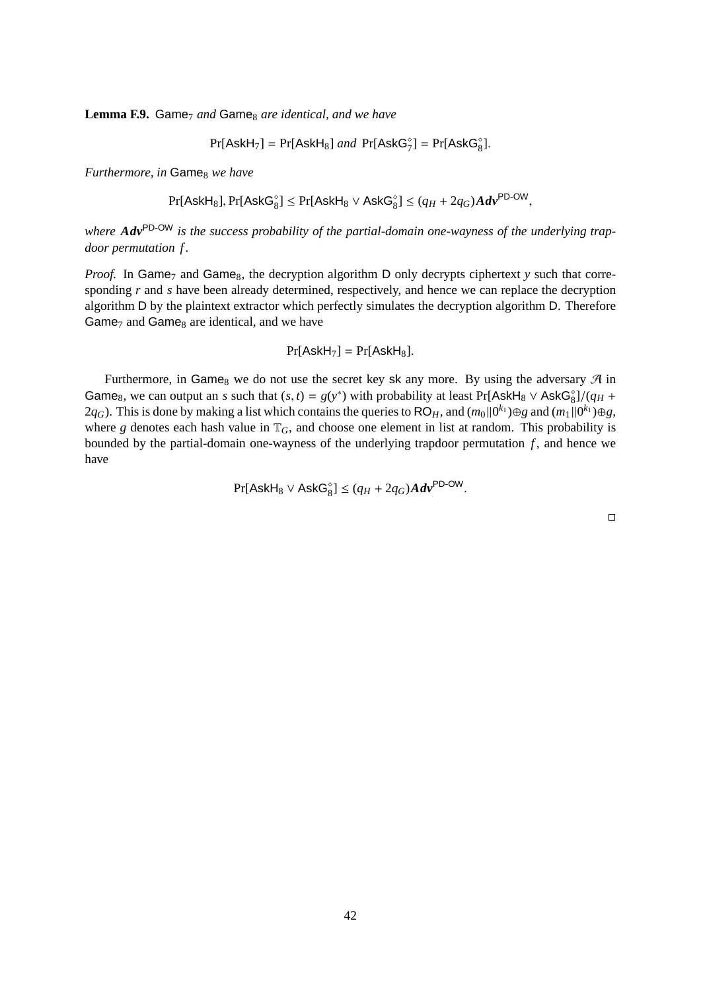**Lemma F.9.** Game<sub>7</sub> and Game<sub>8</sub> are identical, and we have

 $Pr[\mathsf{AskH}_{7}] = Pr[\mathsf{AskH}_{8}]$  and  $Pr[\mathsf{AskG}_{7}^{\circ}] = Pr[\mathsf{AskG}_{8}^{\circ}].$ 

*Furthermore, in* Game<sub>8</sub> *we have* 

$$
\Pr[\mathsf{AskH}_8], \Pr[\mathsf{AskG}_8^\circ] \le \Pr[\mathsf{AskH}_8 \vee \mathsf{AskG}_8^\circ] \le (q_H + 2q_G)A d\mathbf{v}^{\mathsf{PD-OW}},
$$

where  $Adv^{\text{PD-OW}}$  is the success probability of the partial-domain one-wayness of the underlying trap*door permutation f .*

*Proof.* In Game<sub>7</sub> and Game<sub>8</sub>, the decryption algorithm D only decrypts ciphertext *y* such that corresponding *r* and *s* have been already determined, respectively, and hence we can replace the decryption algorithm D by the plaintext extractor which perfectly simulates the decryption algorithm D. Therefore Game<sub>7</sub> and Game<sub>8</sub> are identical, and we have

$$
Pr[AskH_7] = Pr[AskH_8].
$$

Furthermore, in Game<sub>8</sub> we do not use the secret key sk any more. By using the adversary  $\mathcal{A}$  in Game<sub>8</sub>, we can output an *s* such that  $(s, t) = g(y^*)$  with probability at least Pr[AskH<sub>8</sub>  $\vee$  AskG<sup>°</sup><sub>8</sub>]/( $q_H$  + 2 $q_G$ ). This is done by making a list which contains the queries to RO<sub>H</sub>, and  $(m_0||0^{k_1}) \oplus g$  and  $(m_1||0^{k_1}) \oplus g$ , where *g* denotes each hash value in  $T_G$ , and choose one element in list at random. This probability is bounded by the partial-domain one-wayness of the underlying trapdoor permutation  $f$ , and hence we have

$$
Pr[AskH_8 \vee AskG_8^\circ] \le (q_H + 2q_G)Adv^{PD-OW}.
$$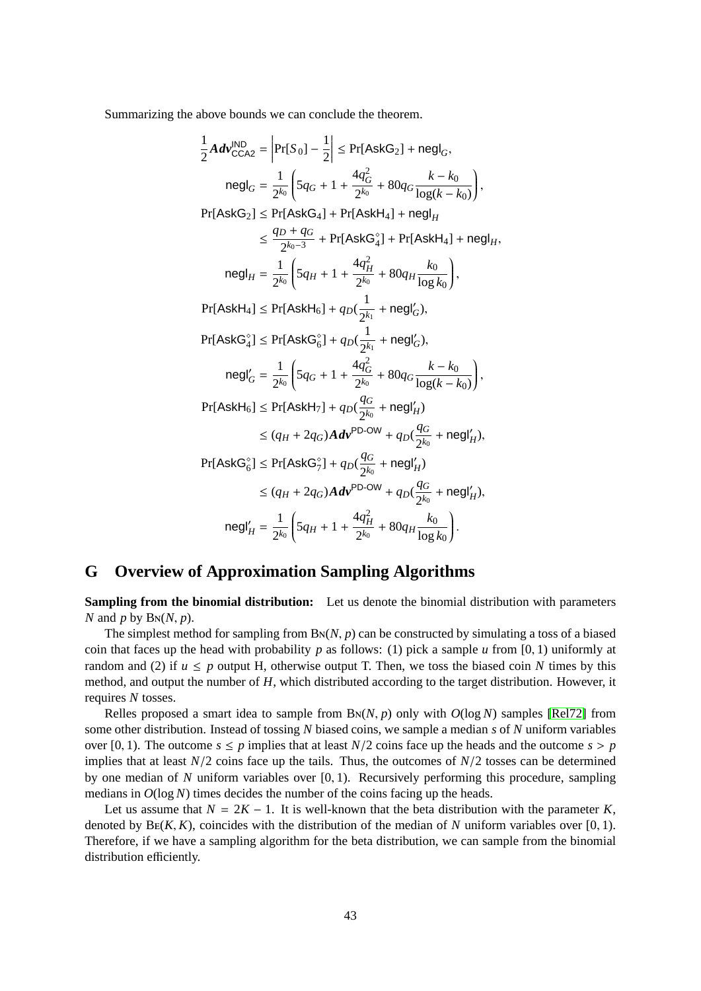Summarizing the above bounds we can conclude the theorem.

$$
\frac{1}{2}A d v_{CCA2}^{IND} = \left| Pr[S_0] - \frac{1}{2} \right| \leq Pr[AskG_2] + negl_G,
$$
  
\n
$$
negl_G = \frac{1}{2^{k_0}} \left( 5q_G + 1 + \frac{4q_G^2}{2^{k_0}} + 80q_G \frac{k - k_0}{\log(k - k_0)} \right),
$$
  
\n
$$
Pr[AskG_2] \leq Pr[AskG_4] + Pr[AskH_4] + negl_H
$$
  
\n
$$
\leq \frac{q_D + q_G}{2^{k_0 - 3}} + Pr[AskG_4^2] + Pr[AskH_4] + negl_H,
$$
  
\n
$$
negl_H = \frac{1}{2^{k_0}} \left( 5q_H + 1 + \frac{4q_H^2}{2^{k_0}} + 80q_H \frac{k_0}{\log k_0} \right),
$$
  
\n
$$
Pr[AskH_4] \leq Pr[AskH_6] + q_D(\frac{1}{2^{k_1}} + negl_G'),
$$
  
\n
$$
Pr[AskG_4^{\circ}] \leq Pr[AskG_6^{\circ}] + q_D(\frac{1}{2^{k_1}} + negl_G'),
$$
  
\n
$$
negl_G' = \frac{1}{2^{k_0}} \left( 5q_G + 1 + \frac{4q_G^2}{2^{k_0}} + 80q_G \frac{k - k_0}{\log(k - k_0)} \right),
$$
  
\n
$$
Pr[AskH_6] \leq Pr[AskH_7] + q_D(\frac{q_G}{2^{k_0}} + negl_H')
$$
  
\n
$$
\leq (q_H + 2q_G)Ad v^{PD-OW} + q_D(\frac{q_G}{2^{k_0}} + negl_H'),
$$
  
\n
$$
Pr[AskG_6^{\circ}] \leq Pr[AskG_7^{\circ}] + q_D(\frac{q_G}{2^{k_0}} + negl_H')
$$
  
\n
$$
\leq (q_H + 2q_G)Ad v^{PD-OW} + q_D(\frac{q_G}{2^{k_0}} + negl_H'),
$$
  
\n
$$
negl_H' = \frac{1}{2^{k_0}} \left( 5q_H + 1 + \frac{4q_H^2}{2^{k_0}} + 80q_H \frac{k_0}{\log k_0} \right).
$$

## **G Overview of Approximation Sampling Algorithms**

**Sampling from the binomial distribution:** Let us denote the binomial distribution with parameters *N* and *p* by Bn(*N*, *p*).

<span id="page-42-0"></span>The simplest method for sampling from  $B_N(N, p)$  can be constructed by simulating a toss of a biased coin that faces up the head with probability *p* as follows: (1) pick a sample *u* from [0, 1) uniformly at random and (2) if  $u \leq p$  output H, otherwise output T. Then, we toss the biased coin *N* times by this method, and output the number of *H*, which distributed according to the target distribution. However, it requires *N* tosses.

Relles proposed a smart idea to sample from  $B_N(N, p)$  only with  $O(log N)$  samples [Rel72] from some other distribution. Instead of tossing *N* biased coins, we sample a median *s* of *N* uniform variables over [0, 1). The outcome  $s \le p$  implies that at least  $N/2$  coins face up the heads and the outcome  $s > p$ implies that at least  $N/2$  coins face up the tails. Thus, the outcomes of  $N/2$  tosses can be determined by one median of *N* uniform variables over [0, 1). Recursively performing this procedu[re, sam](#page-66-5)pling medians in  $O(\log N)$  times decides the number of the coins facing up the heads.

Let us assume that  $N = 2K - 1$ . It is well-known that the beta distribution with the parameter *K*, denoted by  $B\varepsilon(K, K)$ , coincides with the distribution of the median of N uniform variables over [0, 1). Therefore, if we have a sampling algorithm for the beta distribution, we can sample from the binomial distribution efficiently.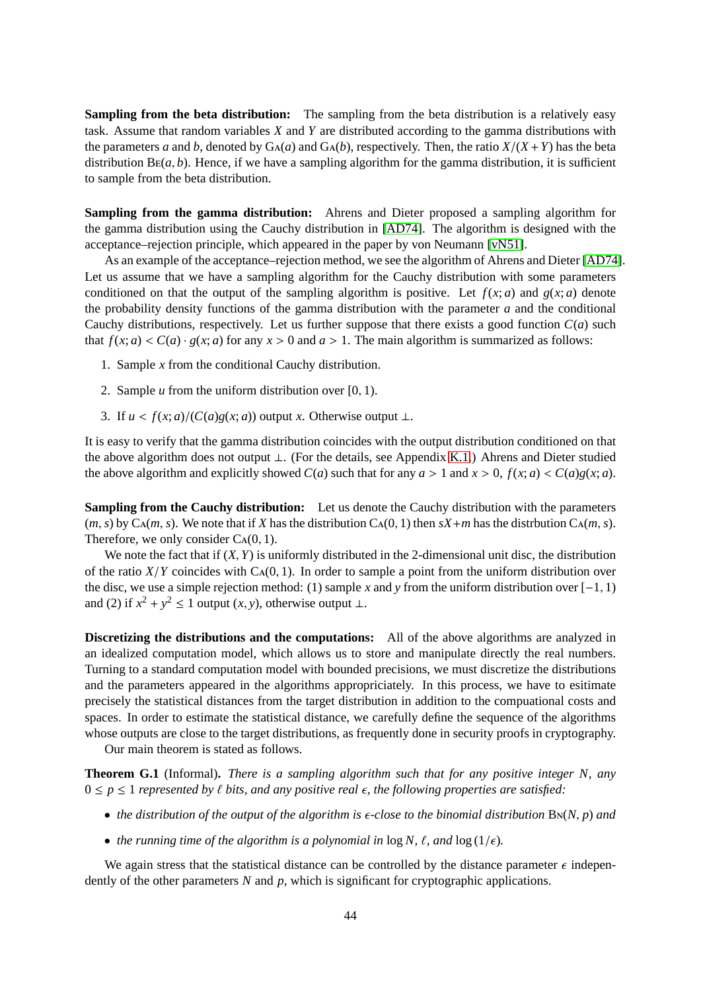**Sampling from the beta distribution:** The sampling from the beta distribution is a relatively easy task. Assume that random variables *X* and *Y* are distributed according to the gamma distributions with the parameters *a* and *b*, denoted by  $GA(a)$  and  $GA(b)$ , respectively. Then, the ratio  $X/(X + Y)$  has the beta distribution  $B\varepsilon(a, b)$ . Hence, if we have a sampling algorithm for the gamma distribution, it is sufficient to sample from the beta distribution.

**Sampling from the gamma distribution:** Ahrens and Dieter proposed a sampling algorithm for the gamma distribution using the Cauchy distribution in [AD74]. The algorithm is designed with the acceptance–rejection principle, which appeared in the paper by von Neumann [vN51].

As an example of the acceptance–rejection method, we see the algorithm of Ahrens and Dieter [AD74]. Let us assume that we have a sampling algorithm for the Cauchy distribution with some parameters conditioned on that the output of the sampling algorith[m is po](#page-64-10)sitive. Let  $f(x; a)$  and  $g(x; a)$  denote the probability density functions of the gamma distribution with the paramet[er](#page-66-6) *a* and the conditional Cauchy distributions, respectively. Let us further suppose that there exists a good function *C*(*a*[\) such](#page-64-10) that  $f(x; a) < C(a) \cdot g(x; a)$  for any  $x > 0$  and  $a > 1$ . The main algorithm is summarized as follows:

- 1. Sample *x* from the conditional Cauchy distribution.
- 2. Sample *u* from the uniform distribution over [0, 1).
- 3. If  $u < f(x; a)/(C(a)g(x; a))$  output *x*. Otherwise output  $\perp$ .

It is easy to verify that the gamma distribution coincides with the output distribution conditioned on that the above algorithm does not output ⊥. (For the details, see Appendix K.1.) Ahrens and Dieter studied the above algorithm and explicitly showed  $C(a)$  such that for any  $a > 1$  and  $x > 0$ ,  $f(x; a) < C(a)g(x; a)$ .

**Sampling from the Cauchy distribution:** Let us denote the Cauch[y dist](#page-52-1)ribution with the parameters  $(m, s)$  by C<sub>A</sub> $(m, s)$ . We note that if *X* has the distribution C<sub>A</sub> $(0, 1)$  then  $sX+m$  has the distrbution C<sub>A</sub> $(m, s)$ . Therefore, we only consider  $CA(0, 1)$ .

We note the fact that if  $(X, Y)$  is uniformly distributed in the 2-dimensional unit disc, the distribution of the ratio  $X/Y$  coincides with  $CA(0, 1)$ . In order to sample a point from the uniform distribution over the disc, we use a simple rejection method: (1) sample *x* and *y* from the uniform distribution over  $[-1, 1)$ and (2) if  $x^2 + y^2 \le 1$  output  $(x, y)$ , otherwise output ⊥.

**Discretizing the distributions and the computations:** All of the above algorithms are analyzed in an idealized computation model, which allows us to store and manipulate directly the real numbers. Turning to a standard computation model with bounded precisions, we must discretize the distributions and the parameters appeared in the algorithms appropriciately. In this process, we have to esitimate precisely the statistical distances from the target distribution in addition to the compuational costs and spaces. In order to estimate the statistical distance, we carefully define the sequence of the algorithms whose outputs are close to the target distributions, as frequently done in security proofs in cryptography.

Our main theorem is stated as follows.

**Theorem G.1** (Informal)**.** *There is a sampling algorithm such that for any positive integer N, any*  $0 \le p \le 1$  *represented by*  $\ell$  *bits, and any positive real*  $\epsilon$ *, the following properties are satisfied:* 

- *the distribution of the output of the algorithm is*  $\epsilon$ *-close to the binomial distribution*  $B_N(N, p)$  *and*
- *the running time of the algorithm is a polynomial in*  $\log N$ *,*  $\ell$ *, and*  $\log(1/\epsilon)$ *.*

We again stress that the statistical distance can be controlled by the distance parameter  $\epsilon$  independently of the other parameters *N* and *p*, which is significant for cryptographic applications.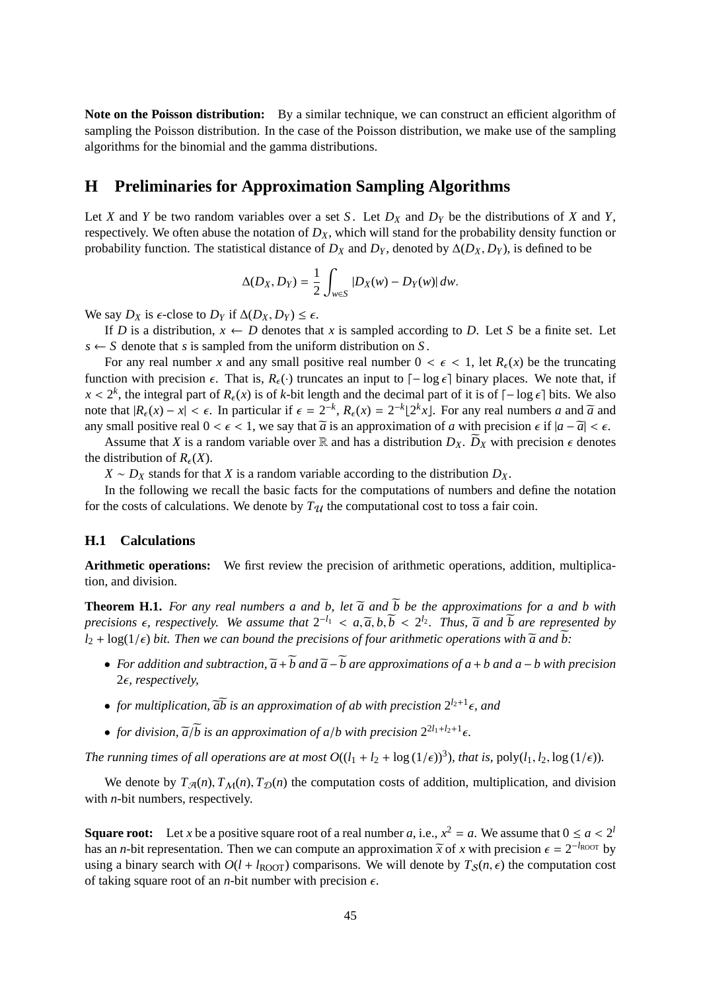**Note on the Poisson distribution:** By a similar technique, we can construct an efficient algorithm of sampling the Poisson distribution. In the case of the Poisson distribution, we make use of the sampling algorithms for the binomial and the gamma distributions.

## **H Preliminaries for Approximation Sampling Algorithms**

Let *X* and *Y* be two random variables over a set *S*. Let  $D_X$  and  $D_Y$  be the distributions of *X* and *Y*, respectively. We often abuse the notation of  $D<sub>X</sub>$ , which will stand for the probability density function or probability function. The statistical distance of  $D_X$  and  $D_Y$ , denoted by  $\Delta(D_X, D_Y)$ , is defined to be

$$
\Delta(D_X, D_Y) = \frac{1}{2} \int_{w \in S} |D_X(w) - D_Y(w)| \, dw.
$$

We say  $D_X$  is  $\epsilon$ -close to  $D_Y$  if  $\Delta(D_X, D_Y) \leq \epsilon$ .

If *D* is a distribution,  $x \leftarrow D$  denotes that *x* is sampled according to *D*. Let *S* be a finite set. Let  $s \leftarrow S$  denote that *s* is sampled from the uniform distribution on *S*.

For any real number *x* and any small positive real number  $0 < \epsilon < 1$ , let  $R_{\epsilon}(x)$  be the truncating function with precision  $\epsilon$ . That is,  $R_{\epsilon}(\cdot)$  truncates an input to  $\lceil -\log \epsilon \rceil$  binary places. We note that, if *x* <  $2^k$ , the integral part of  $R_\epsilon(x)$  is of *k*-bit length and the decimal part of it is of  $\lceil -\log \epsilon \rceil$  bits. We also note that  $|R_{\epsilon}(x) - x| < \epsilon$ . In particular if  $\epsilon = 2^{-k}$ ,  $R_{\epsilon}(x) = 2^{-k} \lfloor 2^{k} x \rfloor$ . For any real numbers *a* and  $\tilde{a}$  and  $\tilde{a}$  and  $\tilde{a}$  and  $\tilde{a}$  and  $\tilde{a}$  and  $\tilde{a}$  and  $\tilde{a}$  and  $\tilde{a}$  and  $\til$ any small positive real  $0 < \epsilon < 1$ , we say that  $\tilde{a}$  is an approximation of *a* with precision  $\epsilon$  if  $|a - \tilde{a}| < \epsilon$ .

Assume that *X* is a random variable over R and has a distribution  $D_X$ .  $D_X$  with precision  $\epsilon$  denotes the distribution of  $R_{\epsilon}(X)$ .

 $X \sim D_X$  stands for that *X* is a random variable according to the distribution  $D_X$ .

In the following we recall the basic facts for the computations of numbers and define the notation for the costs of calculations. We denote by  $T_{\mathcal{U}}$  the computational cost to toss a fair coin.

### <span id="page-44-0"></span>**H.1 Calculations**

**Arithmetic operations:** We first review the precision of arithmetic operations, addition, multiplication, and division.

**Theorem H.1.** For any real numbers a and b, let  $\tilde{a}$  and  $\tilde{b}$  be the approximations for a and b with *precisions*  $\epsilon$ , respectively. We assume that  $2^{-l_1} < a, \tilde{a}, b, \tilde{b} < 2^{l_2}$ . Thus,  $\tilde{a}$  and  $\tilde{b}$  are represented by<br> $l_2 + \log(1/\epsilon)$  bit. Then we can bound the precisions of four arithmetic operations with  $\til$  $l_2$  + log(1/ $\epsilon$ ) *bit. Then we can bound the precisions of four arithmetic operations with*  $\tilde{a}$  *and*  $\tilde{b}$ *:* 

- *For addition and subtraction,*  $\tilde{a} + \tilde{b}$  *and*  $\tilde{a} \tilde{b}$  *are approximations of*  $a + b$  *and*  $a b$  *with precision* 2ϵ*, respectively,*
- for multiplication,  $\widetilde{ab}$  is an approximation of ab with precistion  $2^{l_2+1} \epsilon$ , and
- *for division,*  $\widetilde{a/b}$  *is an approximation of a/b with precision*  $2^{2l_1+l_2+1} \epsilon$ *.*

*The running times of all operations are at most*  $O((l_1 + l_2 + \log(1/\epsilon))^3)$ *, that is,*  $poly(l_1, l_2, \log(1/\epsilon))$ *.* 

We denote by  $T_A(n)$ ,  $T_A(n)$ ,  $T_D(n)$  the computation costs of addition, multiplication, and division with *n*-bit numbers, respectively.

**Square root:** Let *x* be a positive square root of a real number *a*, i.e.,  $x^2 = a$ . We assume that  $0 \le a < 2^i$ has an *n*-bit representation. Then we can compute an approximation  $\tilde{x}$  of *x* with precision  $\epsilon = 2^{-l_{\text{ROOT}}}$  by using a binary search with  $Q(l + l_{\text{POCT}})$  computations. We will denote by  $T_{\text{O}}(n, \epsilon)$  the computati using a binary search with  $O(l + l_{\text{ROOT}})$  comparisons. We will denote by  $T_S(n, \epsilon)$  the computation cost of taking square root of an *n*-bit number with precision  $\epsilon$ .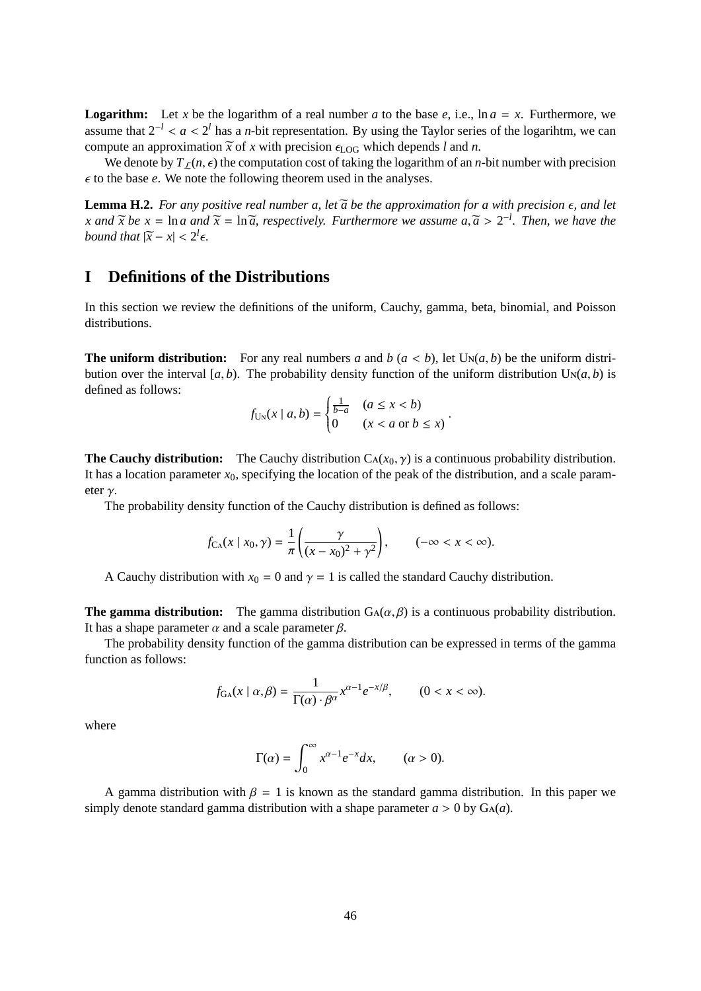**Logarithm:** Let *x* be the logarithm of a real number *a* to the base *e*, i.e.,  $\ln a = x$ . Furthermore, we assume that 2−*<sup>l</sup>* < *a* < 2 *<sup>l</sup>* has a *n*-bit representation. By using the Taylor series of the logarihtm, we can compute an approximation  $\tilde{x}$  of *x* with precision  $\epsilon_{\text{LOG}}$  which depends *l* and *n*.

We denote by  $T_f(n, \epsilon)$  the computation cost of taking the logarithm of an *n*-bit number with precision  $\epsilon$  to the base  $\epsilon$ . We note the following theorem used in the analyses.

**Lemma H.2.** *For any positive real number a, let*  $\tilde{a}$  *be the approximation for a with precision*  $\epsilon$ *, and let x* and  $\tilde{x}$  be  $x = \ln a$  and  $\tilde{x} = \ln \tilde{a}$ , respectively. Furthermore we assume  $a, \tilde{a} > 2^{-l}$ . Then, we have the  $b$ *bound that*  $|\widetilde{x} - x| < 2^l \epsilon$ .

## <span id="page-45-0"></span>**I Definitions of the Distributions**

In this section we review the definitions of the uniform, Cauchy, gamma, beta, binomial, and Poisson distributions.

**The uniform distribution:** For any real numbers *a* and *b*  $(a < b)$ , let  $U_N(a, b)$  be the uniform distribution over the interval  $[a, b)$ . The probability density function of the uniform distribution  $U_N(a, b)$  is defined as follows:

$$
f_{\text{U}_N}(x \mid a, b) = \begin{cases} \frac{1}{b-a} & (a \leq x < b) \\ 0 & (x < a \text{ or } b \leq x) \end{cases}
$$

**The Cauchy distribution:** The Cauchy distribution  $CA(x_0, \gamma)$  is a continuous probability distribution. It has a location parameter  $x_0$ , specifying the location of the peak of the distribution, and a scale parameter  $\nu$ .

The probability density function of the Cauchy distribution is defined as follows:

$$
f_{\mathcal{C}_A}(x \mid x_0, \gamma) = \frac{1}{\pi} \left( \frac{\gamma}{(x - x_0)^2 + \gamma^2} \right), \qquad (-\infty < x < \infty).
$$

A Cauchy distribution with  $x_0 = 0$  and  $\gamma = 1$  is called the standard Cauchy distribution.

**The gamma distribution:** The gamma distribution  $G_A(\alpha, \beta)$  is a continuous probability distribution. It has a shape parameter  $\alpha$  and a scale parameter  $\beta$ .

The probability density function of the gamma distribution can be expressed in terms of the gamma function as follows:

$$
f_{\mathbf{G}\mathbf{A}}(x \mid \alpha, \beta) = \frac{1}{\Gamma(\alpha) \cdot \beta^{\alpha}} x^{\alpha - 1} e^{-x/\beta}, \qquad (0 < x < \infty).
$$

where

$$
\Gamma(\alpha) = \int_0^\infty x^{\alpha - 1} e^{-x} dx, \qquad (\alpha > 0).
$$

A gamma distribution with  $\beta = 1$  is known as the standard gamma distribution. In this paper we simply denote standard gamma distribution with a shape parameter  $a > 0$  by  $G_A(a)$ .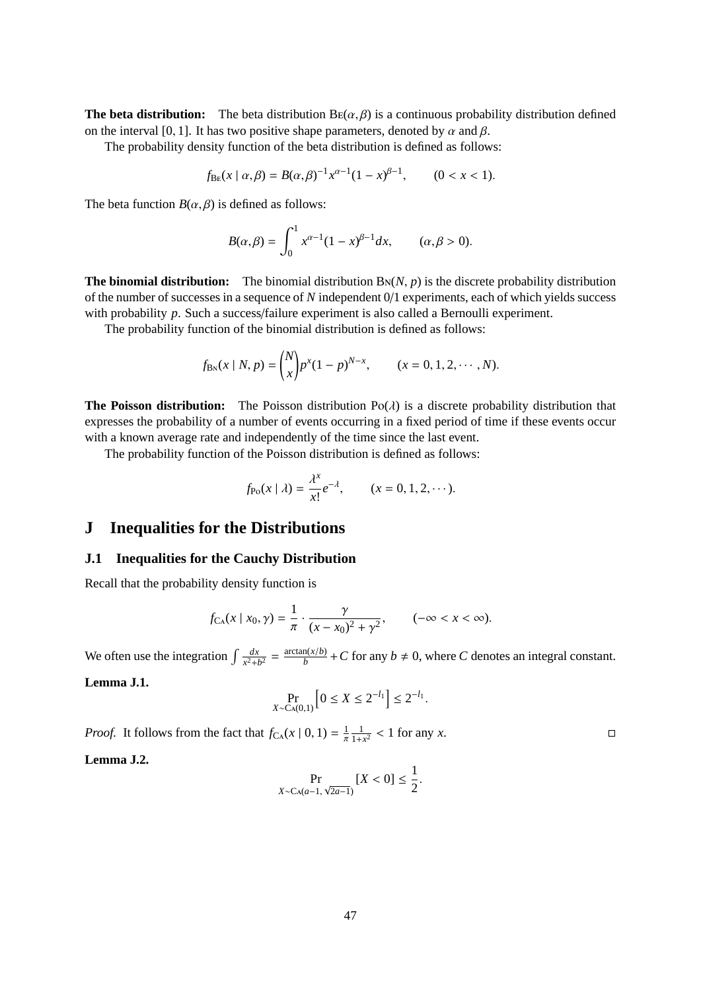**The beta distribution:** The beta distribution  $B\varepsilon(\alpha, \beta)$  is a continuous probability distribution defined on the interval [0, 1]. It has two positive shape parameters, denoted by  $\alpha$  and  $\beta$ .

The probability density function of the beta distribution is defined as follows:

$$
f_{\text{BE}}(x \mid \alpha, \beta) = B(\alpha, \beta)^{-1} x^{\alpha - 1} (1 - x)^{\beta - 1}, \qquad (0 < x < 1).
$$

The beta function  $B(\alpha, \beta)$  is defined as follows:

$$
B(\alpha, \beta) = \int_0^1 x^{\alpha - 1} (1 - x)^{\beta - 1} dx, \qquad (\alpha, \beta > 0).
$$

**The binomial distribution:** The binomial distribution  $B_N(N, p)$  is the discrete probability distribution of the number of successes in a sequence of *N* independent 0/1 experiments, each of which yields success with probability *p*. Such a success/failure experiment is also called a Bernoulli experiment.

The probability function of the binomial distribution is defined as follows:

$$
f_{\text{B}_{\text{N}}}(x \mid N, p) = {N \choose x} p^{x} (1-p)^{N-x}, \qquad (x = 0, 1, 2, \cdots, N).
$$

**The Poisson distribution:** The Poisson distribution  $Po(\lambda)$  is a discrete probability distribution that expresses the probability of a number of events occurring in a fixed period of time if these events occur with a known average rate and independently of the time since the last event.

The probability function of the Poisson distribution is defined as follows:

$$
f_{\text{Po}}(x \mid \lambda) = \frac{\lambda^x}{x!} e^{-\lambda}, \qquad (x = 0, 1, 2, \cdots).
$$

## <span id="page-46-0"></span>**J Inequalities for the Distributions**

#### <span id="page-46-1"></span>**J.1 Inequalities for the Cauchy Distribution**

Recall that the probability density function is

$$
f_{\mathcal{C}_A}(x \mid x_0, \gamma) = \frac{1}{\pi} \cdot \frac{\gamma}{(x - x_0)^2 + \gamma^2}, \qquad (-\infty < x < \infty).
$$

We often use the integration  $\int \frac{dx}{x^2 + 1}$  $rac{dx}{x^2+b^2}$  =  $rac{\arctan(x/b)}{b}$  $\frac{h(X/D)}{b}$  + *C* for any *b*  $\neq$  0, where *C* denotes an integral constant.

## <span id="page-46-2"></span>**Lemma J.1.**

$$
\Pr_{X \sim \text{CA}(0,1)} \left[ 0 \le X \le 2^{-l_1} \right] \le 2^{-l_1}
$$

.

*Proof.* It follows from the fact that  $f_{C_A}(x \mid 0, 1) = \frac{1}{\pi}$ π 1  $\frac{1}{1+x^2}$  < 1 for any *x*.

### **Lemma J.2.**

$$
\Pr_{X \sim \text{CA}(a-1, \sqrt{2a-1})} [X < 0] \le \frac{1}{2}.
$$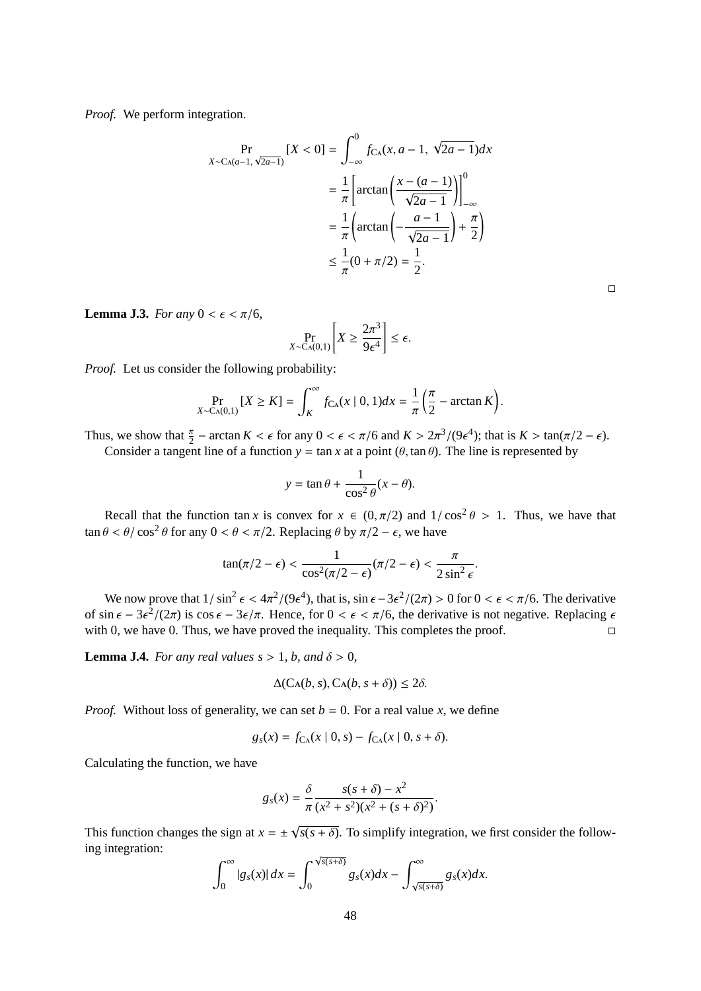*Proof.* We perform integration.

$$
\Pr_{X \sim CA(a-1, \sqrt{2a-1})} [X < 0] = \int_{-\infty}^{0} f_{CA}(x, a-1, \sqrt{2a-1}) dx
$$
\n
$$
= \frac{1}{\pi} \left[ \arctan \left( \frac{x - (a-1)}{\sqrt{2a-1}} \right) \right]_{-\infty}^{0}
$$
\n
$$
= \frac{1}{\pi} \left( \arctan \left( -\frac{a-1}{\sqrt{2a-1}} \right) + \frac{\pi}{2} \right)
$$
\n
$$
\leq \frac{1}{\pi} (0 + \pi/2) = \frac{1}{2}.
$$

<span id="page-47-0"></span>**Lemma J.3.** *For any*  $0 < \epsilon < \pi/6$ *,* 

$$
\Pr_{X \sim \text{CA}(0,1)} \left[ X \ge \frac{2\pi^3}{9\epsilon^4} \right] \le \epsilon.
$$

*Proof.* Let us consider the following probability:

$$
\Pr_{X \sim \text{CA}(0,1)} \left[ X \geq K \right] = \int_K^\infty f_{\text{CA}}(x \mid 0, 1) dx = \frac{1}{\pi} \left( \frac{\pi}{2} - \arctan K \right).
$$

Thus, we show that  $\frac{\pi}{2}$  – arctan  $K < \epsilon$  for any  $0 < \epsilon < \pi/6$  and  $K > 2\pi^3/(9\epsilon^4)$ ; that is  $K > \tan(\pi/2 - \epsilon)$ .

Consider a tangent line of a function  $y = \tan x$  at a point ( $\theta$ ,  $\tan \theta$ ). The line is represented by

$$
y = \tan \theta + \frac{1}{\cos^2 \theta} (x - \theta).
$$

Recall that the function tan *x* is convex for  $x \in (0, \pi/2)$  and  $1/\cos^2 \theta > 1$ . Thus, we have that  $\tan \theta < \theta / \cos^2 \theta$  for any  $0 < \theta < \pi/2$ . Replacing  $\theta$  by  $\pi/2 - \epsilon$ , we have

$$
\tan(\pi/2 - \epsilon) < \frac{1}{\cos^2(\pi/2 - \epsilon)} (\pi/2 - \epsilon) < \frac{\pi}{2\sin^2\epsilon}.
$$

We now prove that  $1/\sin^2 \epsilon < 4\pi^2/(9\epsilon^4)$ , that is,  $\sin \epsilon - 3\epsilon^2/(2\pi) > 0$  for  $0 < \epsilon < \pi/6$ . The derivative of sin  $\epsilon - 3\epsilon^2/(2\pi)$  is cos  $\epsilon - 3\epsilon/\pi$ . Hence, for  $0 < \epsilon < \pi/6$ , the derivative is not negative. Replacing  $\epsilon$ with 0, we have 0. Thus, we have proved the inequality. This completes the proof.  $\square$ 

**Lemma J.4.** *For any real values s* > 1*, b, and*  $\delta$  > 0*,* 

$$
\Delta(C_{A}(b, s), C_{A}(b, s + \delta)) \leq 2\delta.
$$

*Proof.* Without loss of generality, we can set  $b = 0$ . For a real value *x*, we define

$$
g_s(x) = f_{\text{CA}}(x \mid 0, s) - f_{\text{CA}}(x \mid 0, s + \delta).
$$

Calculating the function, we have

$$
g_s(x) = \frac{\delta}{\pi} \frac{s(s+\delta) - x^2}{(x^2 + s^2)(x^2 + (s+\delta)^2)}.
$$

This function changes the sign at  $x = \pm$ √  $\sqrt{s(s+\delta)}$ . To simplify integration, we first consider the following integration:

$$
\int_0^\infty |g_s(x)| dx = \int_0^{\sqrt{s(s+\delta)}} g_s(x) dx - \int_{\sqrt{s(s+\delta)}}^\infty g_s(x) dx.
$$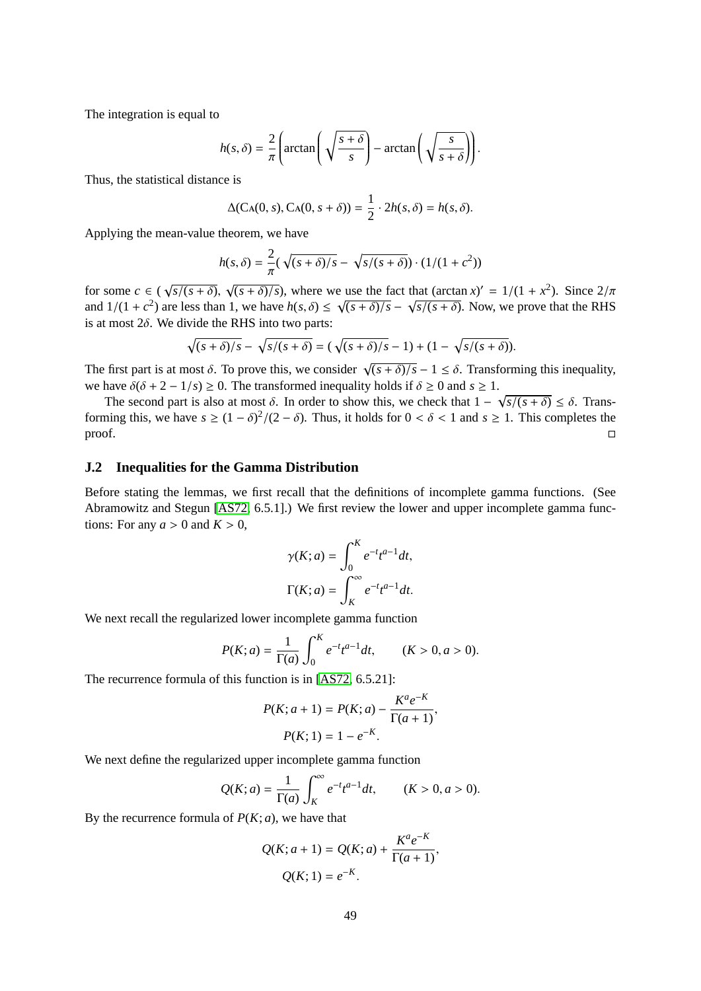The integration is equal to

$$
h(s,\delta) = \frac{2}{\pi} \left( \arctan\left(\sqrt{\frac{s+\delta}{s}}\right) - \arctan\left(\sqrt{\frac{s}{s+\delta}}\right) \right).
$$

Thus, the statistical distance is

$$
\Delta(CA(0, s), C_A(0, s + \delta)) = \frac{1}{2} \cdot 2h(s, \delta) = h(s, \delta).
$$

Applying the mean-value theorem, we have

$$
h(s,\delta) = \frac{2}{\pi}(\sqrt{(s+\delta)/s} - \sqrt{s/(s+\delta)}) \cdot (1/(1+c^2))
$$

for some  $c \in ($ √  $\sqrt{s/(s+\delta)},$  $\overline{(s+\delta)/s}$ , where we use the fact that  $(\arctan x)' = 1/(1 + x^2)$ . Since  $2/\pi$ and  $1/(1 + c^2)$  are less than 1, we have  $h(s, \delta) \leq \sqrt{(s + \delta)/s} - \sqrt{s/(s + \delta)}$ . Now, we prove that the RHS is at most  $2\delta$ . We divide the RHS into two parts:

$$
\sqrt{(s+\delta)/s} - \sqrt{s/(s+\delta)} = (\sqrt{(s+\delta)/s} - 1) + (1 - \sqrt{s/(s+\delta)}).
$$

The first part is at most  $\delta$ . To prove this, we consider  $\sqrt{(s+\delta)/s} - 1 \leq \delta$ . Transforming this inequality, we have  $\delta(\delta + 2 - 1/s) \ge 0$ . The transformed inequality holds if  $\delta \ge 0$  and  $s \ge 1$ . √

The second part is also at most  $\delta$ . In order to show this, we check that 1 –  $\sqrt{s/(s+\delta)} \leq \delta$ . Transforming this, we have  $s \ge (1 - \delta)^2/(2 - \delta)$ . Thus, it holds for  $0 < \delta < 1$  and  $s \ge 1$ . This completes the  $\Box$ 

### **J.2 Inequalities for the Gamma Distribution**

<span id="page-48-0"></span>Before stating the lemmas, we first recall that the definitions of incomplete gamma functions. (See Abramowitz and Stegun [AS72, 6.5.1].) We first review the lower and upper incomplete gamma functions: For any  $a > 0$  and  $K > 0$ ,

$$
\gamma(K; a) = \int_0^K e^{-t} t^{a-1} dt,
$$
  

$$
\Gamma(K; a) = \int_K^\infty e^{-t} t^{a-1} dt.
$$

We next recall the regularized lower incomplete gamma function

$$
P(K; a) = \frac{1}{\Gamma(a)} \int_0^K e^{-t} t^{a-1} dt, \qquad (K > 0, a > 0).
$$

The recurrence formula of this function is in [AS72, 6.5.21]:

$$
P(K; a + 1) = P(K; a) - \frac{K^{a}e^{-K}}{\Gamma(a + 1)},
$$
  

$$
P(K; 1) = 1 - e^{-K}.
$$

We next define the regularized upper incomplete gamma function

$$
Q(K; a) = \frac{1}{\Gamma(a)} \int_{K}^{\infty} e^{-t} t^{a-1} dt, \qquad (K > 0, a > 0).
$$

<span id="page-48-1"></span>By the recurrence formula of  $P(K; a)$ , we have that

$$
Q(K; a + 1) = Q(K; a) + \frac{K^{a}e^{-K}}{\Gamma(a + 1)},
$$
  
 
$$
Q(K; 1) = e^{-K}.
$$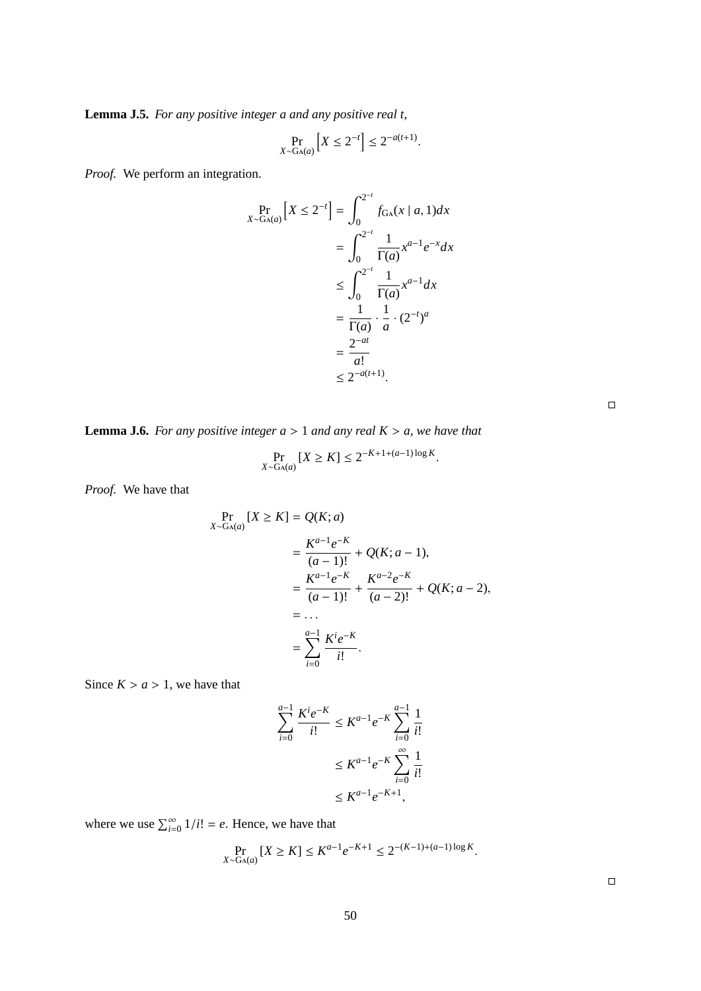**Lemma J.5.** *For any positive integer a and any positive real t,*

$$
\Pr_{X \sim \text{GA}(a)} \left[ X \le 2^{-t} \right] \le 2^{-a(t+1)}.
$$

*Proof.* We perform an integration.

$$
\Pr_{X \sim \text{Ga}(a)} \left[ X \le 2^{-t} \right] = \int_0^{2^{-t}} f_{\text{Ga}}(x \mid a, 1) dx
$$
  
= 
$$
\int_0^{2^{-t}} \frac{1}{\Gamma(a)} x^{a-1} e^{-x} dx
$$
  

$$
\le \int_0^{2^{-t}} \frac{1}{\Gamma(a)} x^{a-1} dx
$$
  
= 
$$
\frac{1}{\Gamma(a)} \cdot \frac{1}{a} \cdot (2^{-t})^a
$$
  
= 
$$
\frac{2^{-at}}{a!}
$$
  

$$
\le 2^{-a(t+1)}.
$$

 $\Box$ 

<span id="page-49-0"></span>**Lemma J.6.** *For any positive integer*  $a > 1$  *and any real*  $K > a$ *, we have that* 

$$
\Pr_{X \sim \text{Ga}(a)} \left[ X \ge K \right] \le 2^{-K+1+(a-1)\log K}.
$$

*Proof.* We have that

$$
\Pr_{X \sim \text{Ga}(a)}[X \ge K] = Q(K; a)
$$
\n
$$
= \frac{K^{a-1}e^{-K}}{(a-1)!} + Q(K; a-1),
$$
\n
$$
= \frac{K^{a-1}e^{-K}}{(a-1)!} + \frac{K^{a-2}e^{-K}}{(a-2)!} + Q(K; a-2),
$$
\n
$$
= ...
$$
\n
$$
= \sum_{i=0}^{a-1} \frac{K^{i}e^{-K}}{i!}.
$$

Since  $K > a > 1$ , we have that

$$
\sum_{i=0}^{a-1} \frac{K^i e^{-K}}{i!} \le K^{a-1} e^{-K} \sum_{i=0}^{a-1} \frac{1}{i!}
$$

$$
\le K^{a-1} e^{-K} \sum_{i=0}^{\infty} \frac{1}{i!}
$$

$$
\le K^{a-1} e^{-K+1},
$$

where we use  $\sum_{i=0}^{\infty} 1/i! = e$ . Hence, we have that

$$
\Pr_{X \sim \text{Ga}(a)} \left[ X \ge K \right] \le K^{a-1} e^{-K+1} \le 2^{-(K-1)+(a-1)\log K}.
$$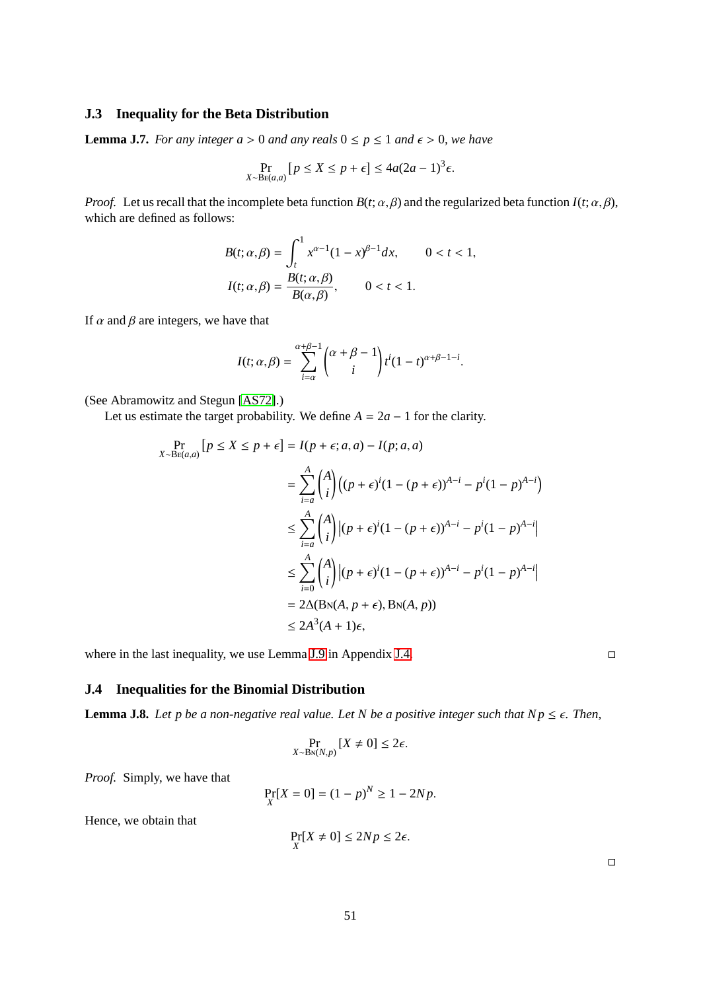## **J.3 Inequality for the Beta Distribution**

**Lemma J.7.** *For any integer a* > 0 *and any reals*  $0 \le p \le 1$  *and*  $\epsilon$  > 0*, we have* 

$$
\Pr_{X \sim \text{Be}(a,a)} \left[ p \le X \le p + \epsilon \right] \le 4a(2a - 1)^3 \epsilon.
$$

<span id="page-50-0"></span>*Proof.* Let us recall that the incomplete beta function  $B(t; \alpha, \beta)$  and the regularized beta function  $I(t; \alpha, \beta)$ , which are defined as follows:

$$
B(t; \alpha, \beta) = \int_t^1 x^{\alpha - 1} (1 - x)^{\beta - 1} dx, \qquad 0 < t < 1,
$$
  

$$
I(t; \alpha, \beta) = \frac{B(t; \alpha, \beta)}{B(\alpha, \beta)}, \qquad 0 < t < 1.
$$

If  $\alpha$  and  $\beta$  are integers, we have that

$$
I(t; \alpha, \beta) = \sum_{i=\alpha}^{\alpha+\beta-1} {\alpha+\beta-1 \choose i} t^{i} (1-t)^{\alpha+\beta-1-i}.
$$

(See Abramowitz and Stegun [AS72].)

Let us estimate the target probability. We define  $A = 2a - 1$  for the clarity.

$$
\Pr_{X \sim \text{BE}(a,a)} [p \le X \le p + \epsilon] = I(p + \epsilon; a, a) - I(p; a, a)
$$
\n
$$
= \sum_{i=a}^{A} {A \choose i} \left( (p + \epsilon)^i (1 - (p + \epsilon))^{A-i} - p^i (1 - p)^{A-i} \right)
$$
\n
$$
\le \sum_{i=a}^{A} {A \choose i} \left| (p + \epsilon)^i (1 - (p + \epsilon))^{A-i} - p^i (1 - p)^{A-i} \right|
$$
\n
$$
\le \sum_{i=0}^{A} {A \choose i} \left| (p + \epsilon)^i (1 - (p + \epsilon))^{A-i} - p^i (1 - p)^{A-i} \right|
$$
\n
$$
= 2\Delta(\text{Bn}(A, p + \epsilon), \text{Bn}(A, p))
$$
\n
$$
\le 2A^3 (A + 1)\epsilon,
$$

where in the last inequality, we use Lemma J.9 in Appendix J.4.  $\square$ 

### **J.4 Inequalities for the Binomial Distribution**

<span id="page-50-1"></span>**Lemma J.8.** *Let p be a non-negative real v[alue](#page-50-2). Let N be a [pos](#page-50-1)itive integer such that*  $Np \leq \epsilon$ *. Then,* 

$$
\Pr_{X \sim \text{BN}(N,p)} [X \neq 0] \leq 2\epsilon.
$$

*Proof.* Simply, we have that

$$
\Pr_X[X = 0] = (1 - p)^N \ge 1 - 2Np.
$$

<span id="page-50-2"></span>Hence, we obtain that

$$
\Pr_X[X \neq 0] \le 2Np \le 2\epsilon.
$$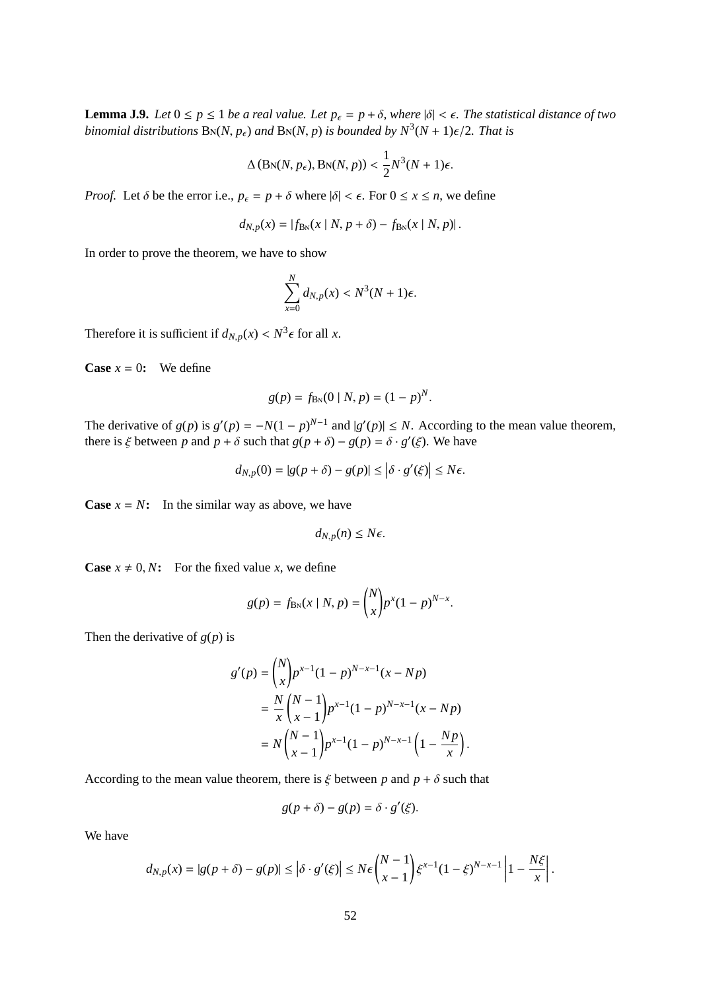**Lemma J.9.** *Let*  $0 \le p \le 1$  *be a real value. Let*  $p_{\epsilon} = p + \delta$ *, where*  $|\delta| < \epsilon$ *. The statistical distance of two binomial distributions*  $B_N(N, p_\epsilon)$  *and*  $B_N(N, p)$  *is bounded by*  $N^3(N + 1)\epsilon/2$ *. That is* 

$$
\Delta\left(\text{Bn}(N, p_{\epsilon}), \text{Bn}(N, p)\right) < \frac{1}{2}N^3(N+1)\epsilon.
$$

*Proof.* Let  $\delta$  be the error i.e.,  $p_{\epsilon} = p + \delta$  where  $|\delta| < \epsilon$ . For  $0 \le x \le n$ , we define

$$
d_{N,p}(x) = |f_{\text{BN}}(x \mid N, p + \delta) - f_{\text{BN}}(x \mid N, p)|.
$$

In order to prove the theorem, we have to show

$$
\sum_{x=0}^N d_{N,p}(x) < N^3(N+1)\epsilon.
$$

Therefore it is sufficient if  $d_{N,p}(x) < N^3 \epsilon$  for all *x*.

**Case**  $x = 0$ : We define

$$
g(p) = f_{\text{B}_{\text{N}}}(0 \mid N, p) = (1 - p)^{N}.
$$

The derivative of  $g(p)$  is  $g'(p) = -N(1-p)^{N-1}$  and  $|g'(p)| \le N$ . According to the mean value theorem, there is  $\xi$  between *p* and  $p + \delta$  such that  $g(p + \delta) - g(p) = \delta \cdot g'(\xi)$ . We have

$$
d_{N,p}(0) = |g(p+\delta) - g(p)| \le |\delta \cdot g'(\xi)| \le N\epsilon.
$$

**Case**  $x = N$ : In the similar way as above, we have

$$
d_{N,p}(n) \leq N\epsilon.
$$

**Case**  $x \neq 0, N$ : For the fixed value *x*, we define

$$
g(p) = f_{\text{B}_{\text{N}}}(x \mid N, p) = {N \choose x} p^{x} (1-p)^{N-x}.
$$

Then the derivative of  $g(p)$  is

$$
g'(p) = {N \choose x} p^{x-1} (1-p)^{N-x-1} (x - Np)
$$
  
= 
$$
\frac{N}{x} {N-1 \choose x-1} p^{x-1} (1-p)^{N-x-1} (x - Np)
$$
  
= 
$$
N {N-1 \choose x-1} p^{x-1} (1-p)^{N-x-1} \left(1 - \frac{Np}{x}\right)
$$

.

According to the mean value theorem, there is  $\xi$  between *p* and  $p + \delta$  such that

$$
g(p+\delta)-g(p)=\delta\cdot g'(\xi).
$$

We have

$$
d_{N,p}(x) = |g(p+\delta) - g(p)| \leq \left|\delta \cdot g'(\xi)\right| \leq N\epsilon \binom{N-1}{x-1} \xi^{x-1} (1-\xi)^{N-x-1} \left|1 - \frac{N\xi}{x}\right|.
$$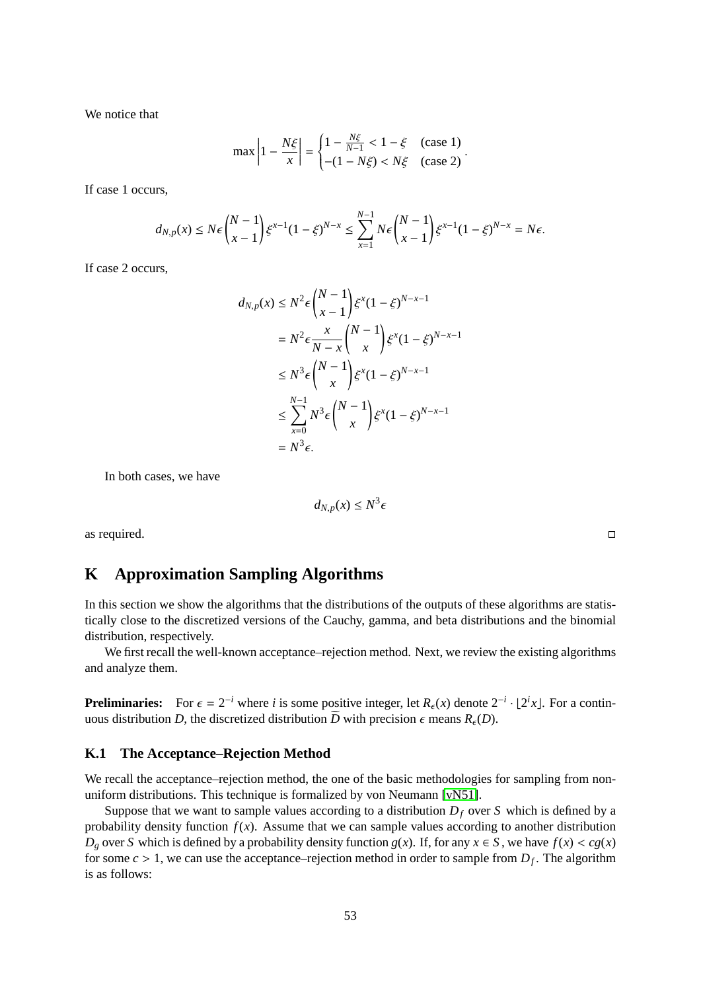We notice that

$$
\max\left|1-\frac{N\xi}{x}\right| = \begin{cases} 1-\frac{N\xi}{N-1} < 1-\xi \quad \text{(case 1)}\\ -(1-N\xi) < N\xi \quad \text{(case 2)} \end{cases}.
$$

If case 1 occurs,

$$
d_{N,p}(x)\leq N\epsilon\binom{N-1}{x-1}\xi^{x-1}(1-\xi)^{N-x}\leq \sum_{x=1}^{N-1}N\epsilon\binom{N-1}{x-1}\xi^{x-1}(1-\xi)^{N-x}=N\epsilon.
$$

If case 2 occurs,

$$
d_{N,p}(x) \le N^2 \epsilon {N-1 \choose x-1} \xi^x (1-\xi)^{N-x-1}
$$
  
=  $N^2 \epsilon {X \over N-x} {N-1 \choose x} \xi^x (1-\xi)^{N-x-1}$   
 $\le N^3 \epsilon {N-1 \choose x} \xi^x (1-\xi)^{N-x-1}$   
 $\le \sum_{x=0}^{N-1} N^3 \epsilon {N-1 \choose x} \xi^x (1-\xi)^{N-x-1}$   
=  $N^3 \epsilon$ .

In both cases, we have

$$
d_{N,p}(x) \leq N^3 \epsilon
$$

as required.  $\Box$ 

## **K Approximation Sampling Algorithms**

<span id="page-52-0"></span>In this section we show the algorithms that the distributions of the outputs of these algorithms are statistically close to the discretized versions of the Cauchy, gamma, and beta distributions and the binomial distribution, respectively.

We first recall the well-known acceptance–rejection method. Next, we review the existing algorithms and analyze them.

**Preliminaries:** For  $\epsilon = 2^{-i}$  where *i* is some positive integer, let  $R_{\epsilon}(x)$  denote  $2^{-i} \cdot [2^{i}x]$ . For a continuous distribution *D*, the discretized distribution  $\widetilde{D}$  with precision  $\epsilon$  means  $R_{\epsilon}(D)$ .

#### **K.1 The Acceptance–Rejection Method**

We recall the acceptance–rejection method, the one of the basic methodologies for sampling from nonuniform distributions. This technique is formalized by von Neumann [vN51].

<span id="page-52-1"></span>Suppose that we want to sample values according to a distribution  $D_f$  over *S* which is defined by a probability density function  $f(x)$ . Assume that we can sample values according to another distribution *D*<sub>g</sub> over *S* which is defined by a probability density function  $g(x)$ . If, for any  $x \in S$ , we have  $f(x) < cg(x)$ for some  $c > 1$ , we can use the acceptance–rejection method in order t[o samp](#page-66-6)le from  $D_f$ . The algorithm is as follows: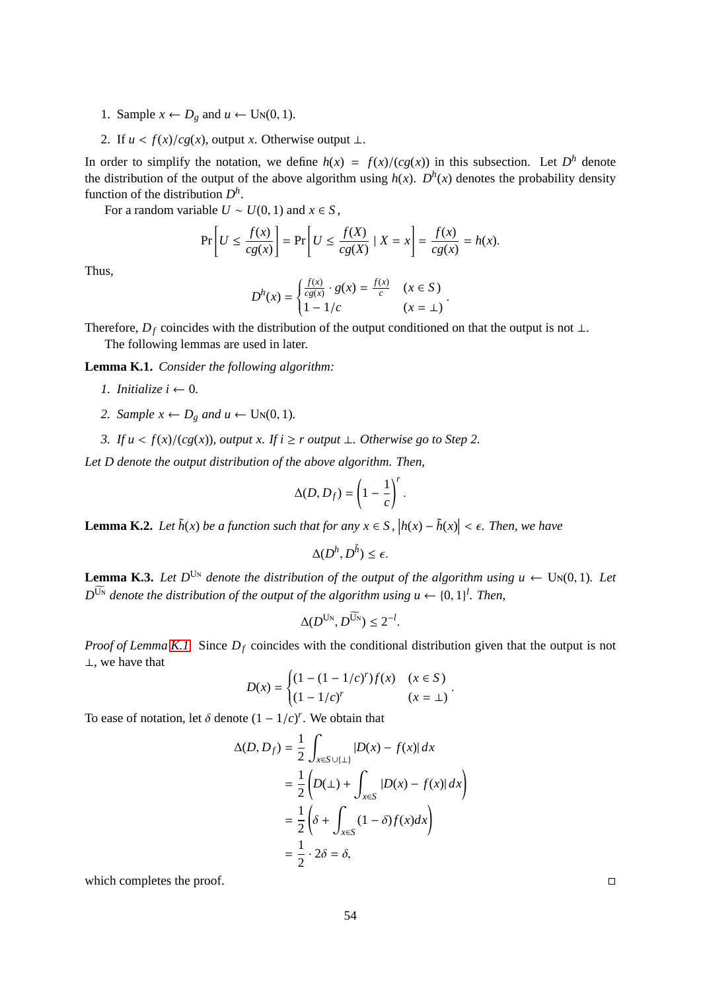- 1. Sample  $x \leftarrow D_g$  and  $u \leftarrow \text{Un}(0, 1)$ .
- 2. If  $u < f(x)/cg(x)$ , output *x*. Otherwise output  $\perp$ .

In order to simplify the notation, we define  $h(x) = f(x)/(cg(x))$  in this subsection. Let  $D<sup>h</sup>$  denote the distribution of the output of the above algorithm using  $h(x)$ .  $D<sup>h</sup>(x)$  denotes the probability density function of the distribution *D h* .

For a random variable  $U \sim U(0, 1)$  and  $x \in S$ ,

$$
\Pr\left[U \le \frac{f(x)}{cg(x)}\right] = \Pr\left[U \le \frac{f(X)}{cg(X)} \mid X = x\right] = \frac{f(x)}{cg(x)} = h(x).
$$

Thus,

$$
D^{h}(x) = \begin{cases} \frac{f(x)}{cg(x)} \cdot g(x) = \frac{f(x)}{c} & (x \in S) \\ 1 - 1/c & (x = \bot) \end{cases}.
$$

Therefore,  $D_f$  coincides with the distribution of the output conditioned on that the output is not ⊥. The following lemmas are used in later.

**Lemma K.1.** *Consider the following algorithm:*

- *1. Initialize*  $i$  ← 0.
- *2. Sample*  $x$  ←  $D_g$  *and*  $u$  ← U<sub>N</sub>(0, 1)*.*
- *3. If*  $u < f(x)/(cg(x))$ , *output*  $x$ *. If*  $i ≥ r$  *output* ⊥*. Otherwise go to Step 2.*

*Let D denote the output distribution of the above algorithm. Then,*

$$
\Delta(D, D_f) = \left(1 - \frac{1}{c}\right)^r.
$$

**Lemma K.2.** Let  $\tilde{h}(x)$  be a function such that for any  $x \in S$ ,  $|h(x) - \tilde{h}(x)| < \epsilon$ . Then, we have

$$
\Delta(D^h, D^{\tilde{h}}) \leq \epsilon.
$$

<span id="page-53-1"></span>**Lemma K.3.** Let  $D^{U_N}$  denote the distribution of the output of the algorithm using  $u \leftarrow U_N(0, 1)$ *. Let*  $D^{\widetilde{\text{U}_N}}$  denote the distribution of the output of the algorithm using  $u \leftarrow \{0,1\}^l$ . Then,

$$
\Delta(D^{\text{U}_N}, D^{\widetilde{\text{U}_N}}) \leq 2^{-l}.
$$

<span id="page-53-0"></span>*Proof of Lemma K.1.* Since *D<sup>f</sup>* coincides with the conditional distribution given that the output is not ⊥, we have that

$$
D(x) = \begin{cases} (1 - (1 - 1/c)^r) f(x) & (x \in S) \\ (1 - 1/c)^r & (x = \bot) \end{cases}.
$$

To ease of notation, let  $\delta$  denote  $(1 - 1/c)^r$ . We obtain that

$$
\Delta(D, D_f) = \frac{1}{2} \int_{x \in S \cup \{\perp\}} |D(x) - f(x)| dx
$$
  
= 
$$
\frac{1}{2} \left( D(\perp) + \int_{x \in S} |D(x) - f(x)| dx \right)
$$
  
= 
$$
\frac{1}{2} \left( \delta + \int_{x \in S} (1 - \delta) f(x) dx \right)
$$
  
= 
$$
\frac{1}{2} \cdot 2\delta = \delta,
$$

which completes the proof.  $\Box$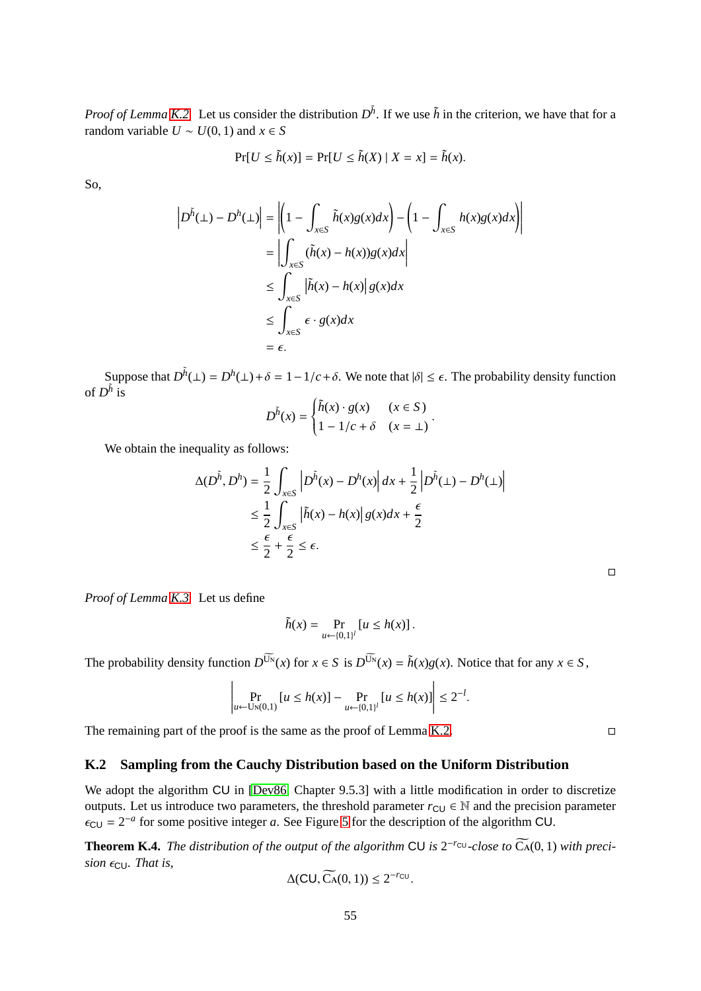*Proof of Lemma K.2.* Let us consider the distribution  $D^{\tilde{h}}$ . If we use  $\tilde{h}$  in the criterion, we have that for a random variable  $U \sim U(0, 1)$  and  $x \in S$ 

$$
\Pr[U \le \tilde{h}(x)] = \Pr[U \le \tilde{h}(X) \mid X = x] = \tilde{h}(x).
$$

So,

$$
\left| D^{\tilde{h}}(\bot) - D^h(\bot) \right| = \left| \left( 1 - \int_{x \in S} \tilde{h}(x)g(x)dx \right) - \left( 1 - \int_{x \in S} h(x)g(x)dx \right) \right|
$$
  
\n
$$
= \left| \int_{x \in S} (\tilde{h}(x) - h(x))g(x)dx \right|
$$
  
\n
$$
\leq \int_{x \in S} \left| \tilde{h}(x) - h(x) \right| g(x)dx
$$
  
\n
$$
\leq \int_{x \in S} \epsilon \cdot g(x)dx
$$
  
\n
$$
= \epsilon.
$$

Suppose that  $D^{\tilde{h}}(\perp) = D^h(\perp) + \delta = 1 - 1/c + \delta$ . We note that  $|\delta| \leq \epsilon$ . The probability density function of  $D^{\tilde{h}}$  is  $\sim$ 

$$
D^{\tilde{h}}(x) = \begin{cases} \tilde{h}(x) \cdot g(x) & (x \in S) \\ 1 - 1/c + \delta & (x = \bot) \end{cases}.
$$

We obtain the inequality as follows:

$$
\Delta(D^{\tilde{h}}, D^h) = \frac{1}{2} \int_{x \in S} \left| D^{\tilde{h}}(x) - D^h(x) \right| dx + \frac{1}{2} \left| D^{\tilde{h}}(\bot) - D^h(\bot) \right|
$$
  

$$
\leq \frac{1}{2} \int_{x \in S} \left| \tilde{h}(x) - h(x) \right| g(x) dx + \frac{\epsilon}{2}
$$
  

$$
\leq \frac{\epsilon}{2} + \frac{\epsilon}{2} \leq \epsilon.
$$

 $\Box$ 

*Proof of Lemma K.3.* Let us define

$$
\tilde{h}(x) = \Pr_{u \leftarrow \{0,1\}^l} [u \le h(x)].
$$

The probability [dens](#page-53-0)ity function  $D^{\widetilde{U}_N}(x)$  for  $x \in S$  is  $D^{\widetilde{U}_N}(x) = \widetilde{h}(x)g(x)$ . Notice that for any  $x \in S$ ,

$$
\left| \Pr_{u \leftarrow \text{U}_{\text{N}}(0,1)} \left[ u \le h(x) \right] - \Pr_{u \leftarrow \{0,1\}^l} \left[ u \le h(x) \right] \right| \le 2^{-l}.
$$

The remaining part of the proof is the same as the proof of Lemma K.2.  $\Box$ 

# **K.2 Sampling from the Cauchy Distribution based on the Uniform Distribution**

We adopt the algorithm CU in [Dev86, Chapter 9.5.3] with a littl[e mo](#page-53-1)dification in order to discretize outputs. Let us introduce two parameters, the threshold parameter  $r_{\text{CU}} \in \mathbb{N}$  and the precision parameter  $\epsilon_{\text{CU}} = 2^{-a}$  for some positive integer *a*. See Figure 5 for the description of the algorithm CU.

<span id="page-54-0"></span>**Theorem K.4.** *The distribution [of the o](#page-64-9)utput of the algorithm* CU *is*  $2^{-r \text{cu}}$ -close to  $\widetilde{\mathsf{CA}}(0,1)$  *with precision* ϵCU*. That is,*

$$
\Delta(\mathsf{CU}, \widetilde{\mathsf{CA}}(0,1)) \leq 2^{-r\mathsf{CU}}.
$$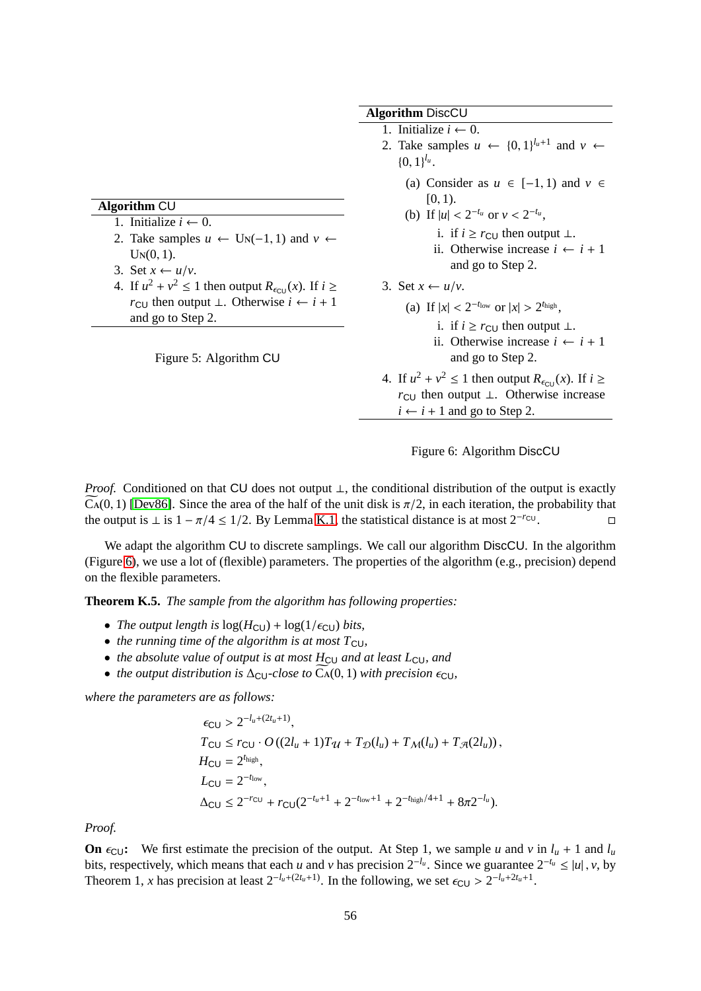### **Algorithm** CU

- 1. Initialize  $i \leftarrow 0$ .
- 2. Take samples  $u \leftarrow \text{Un}(-1, 1)$  and  $v \leftarrow$  $Un(0, 1)$ .
- 3. Set  $x \leftarrow u/v$ .
- 4. If  $u^2 + v^2 \le 1$  then output  $R_{\epsilon_{\text{CU}}}(x)$ . If  $i \ge 1$ *r*<sub>CU</sub> then output ⊥. Otherwise  $i \leftarrow i + 1$ and go to Step 2.

<span id="page-55-0"></span>Figure 5: Algorithm CU

## **Algorithm** DiscCU

- 1. Initialize  $i \leftarrow 0$ .
	- 2. Take samples  $u \leftarrow \{0, 1\}^{l_u+1}$  and  $v \leftarrow$  $\{0, 1\}^{l_u}.$ 
		- (a) Consider as  $u \in [-1, 1)$  and  $v \in$  $[0, 1)$ .
		- (b) If  $|u| < 2^{-t_u}$  or  $v < 2^{-t_u}$ ,
			- i. if  $i \ge r_{\text{CU}}$  then output ⊥.
			- ii. Otherwise increase  $i \leftarrow i + 1$
			- and go to Step 2.
	- 3. Set  $x \leftarrow u/v$ .
		- (a) If  $|x| < 2^{-t_{\text{low}}}$  or  $|x| > 2^{t_{\text{high}}}$ ,
			- i. if  $i \geq r$ <sub>CU</sub> then output ⊥.
			- ii. Otherwise increase *i* ← *i* + 1 and go to Step 2.
- 4. If  $u^2 + v^2 \le 1$  then output  $R_{\epsilon_{\text{CU}}}(x)$ . If  $i \ge 1$ *r*<sub>CU</sub> then output ⊥. Otherwise increase  $i \leftarrow i + 1$  and go to Step 2.

<span id="page-55-1"></span>Figure 6: Algorithm DiscCU

*Proof.* Conditioned on that CU does not output ⊥, the conditional distribution of the output is exactly C<sub>A</sub>(0, 1) [Dev86]. Since the area of the half of the unit disk is  $\pi/2$ , in each iteration, the probability that the output is  $1 \text{ is } 1 - \pi/4 < 1/2$ . By Lemma K, 1, the statistical distance is at most  $2^{-rcu}$ the output is  $\perp$  is  $1 - \pi/4 \le 1/2$ . By Lemma K.1, the statistical distance is at most  $2^{-r}$ <sup>cu</sup>.

We adapt the algorithm CU to discrete samplings. We call our algorithm DiscCU. In the algorithm (Figure 6[\), we us](#page-64-9)e a lot of (flexible) parameters. The properties of the algorithm (e.g., precision) depend on the flexible parameters.

**Theorem K.5.** *The sample from the algorithm has following properties:*

- *T[he](#page-55-1) output length is*  $log(H_{\text{CU}}) + log(1/\epsilon_{\text{CU}})$  *bits,*
- *the running time of the algorithm is at most*  $T_{\text{CU}}$ ,
- *the absolute value of output is at most H<sub>CU</sub> and at least L<sub>CU</sub>, and*
- *the output distribution is*  $\Delta_{\text{CU}}$ -close to  $\text{Ca}(0, 1)$  *with precision*  $\epsilon_{\text{CU}}$ *,*

*where the parameters are as follows:*

$$
\epsilon_{\text{CU}} > 2^{-l_u + (2t_u + 1)},
$$
  
\n
$$
T_{\text{CU}} \le r_{\text{CU}} \cdot O((2l_u + 1)T_{\mathcal{U}} + T_{\mathcal{D}}(l_u) + T_{\mathcal{M}}(l_u) + T_{\mathcal{A}}(2l_u)),
$$
  
\n
$$
H_{\text{CU}} = 2^{t_{\text{high}}},
$$
  
\n
$$
L_{\text{CU}} = 2^{-t_{\text{low}}},
$$
  
\n
$$
\Delta_{\text{CU}} \le 2^{-r_{\text{CU}}} + r_{\text{CU}}(2^{-t_u + 1} + 2^{-t_{\text{low}} + 1} + 2^{-t_{\text{high}}/4 + 1} + 8\pi 2^{-l_u}).
$$

*Proof.*

**On**  $\epsilon_{\text{CU}}$ : We first estimate the precision of the output. At Step 1, we sample *u* and *v* in  $l_u + 1$  and  $l_u$ bits, respectively, which means that each *u* and *v* has precision  $2^{-l_u}$ . Since we guarantee  $2^{-t_u} \le |u|, v$ , by Theorem 1, *x* has precision at least  $2^{-l_u + (2t_u + 1)}$ . In the following, we set  $\epsilon_{\text{CU}} > 2^{-l_u + 2t_u + 1}$ .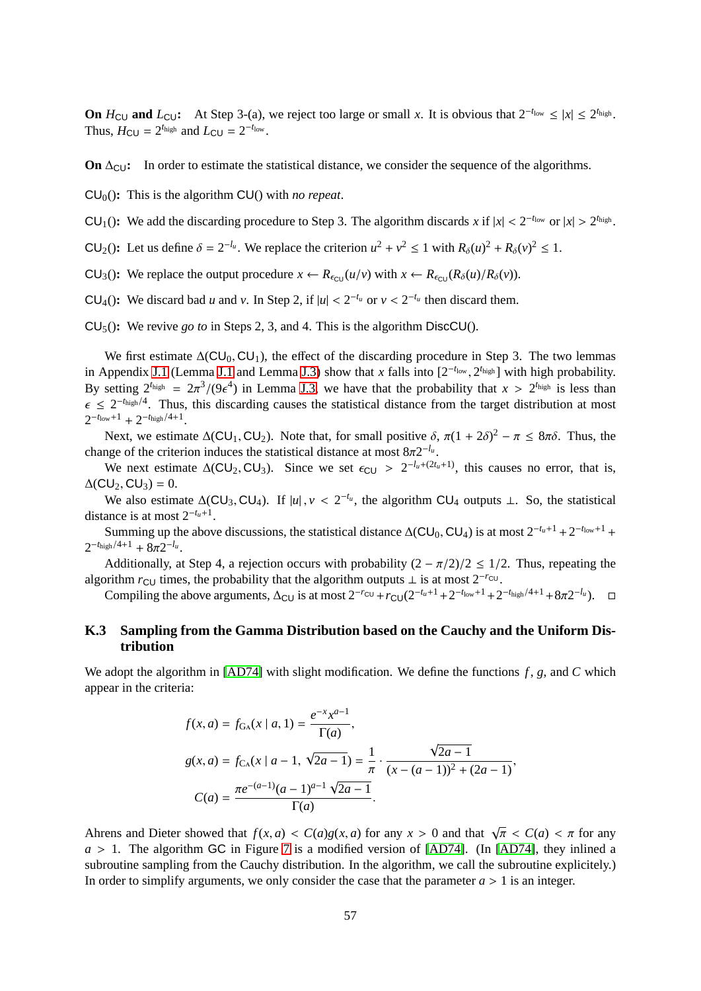**On**  $H_{\text{CU}}$  and  $L_{\text{CU}}$ : At Step 3-(a), we reject too large or small *x*. It is obvious that  $2^{-t_{\text{low}}} \le |x| \le 2^{t_{\text{high}}}$ . Thus,  $H_{\text{CU}} = 2^{t_{\text{high}}}$  and  $L_{\text{CU}} = 2^{-t_{\text{low}}}$ .

**On** ∆<sub>CU</sub>: In order to estimate the statistical distance, we consider the sequence of the algorithms.

 $CU<sub>0</sub>():$  This is the algorithm CU() with *no repeat*.

CU<sub>1</sub>(): We add the discarding procedure to Step 3. The algorithm discards *x* if  $|x| < 2^{-t_{\text{low}}}$  or  $|x| > 2^{t_{\text{high}}}$ .

CU<sub>2</sub>(): Let us define  $\delta = 2^{-l_u}$ . We replace the criterion  $u^2 + v^2 \le 1$  with  $R_{\delta}(u)^2 + R_{\delta}(v)^2 \le 1$ .

CU<sub>3</sub>(): We replace the output procedure  $x \leftarrow R_{\epsilon_{\text{CU}}}(u/v)$  with  $x \leftarrow R_{\epsilon_{\text{CU}}}(R_{\delta}(u)/R_{\delta}(v))$ .

CU<sub>4</sub>(): We discard bad *u* and *v*. In Step 2, if  $|u| < 2^{-t_u}$  or  $v < 2^{-t_u}$  then discard them.

 $CU_5$ (): We revive *go to* in Steps 2, 3, and 4. This is the algorithm DiscCU().

We first estimate  $\Delta$ (CU<sub>0</sub>, CU<sub>1</sub>), the effect of the discarding procedure in Step 3. The two lemmas in Appendix J.1 (Lemma J.1 and Lemma J.3) show that x falls into  $[2^{-t_{low}}, 2^{t_{high}}]$  with high probability. By setting  $2^{t_{\text{high}}} = 2\pi^3/(9\epsilon^4)$  in Lemma J.3, we have that the probability that  $x > 2^{t_{\text{high}}}$  is less than  $\epsilon \leq 2^{-t_{\text{high}}/4}$ . Thus, this discarding causes the statistical distance from the target distribution at most  $2^{-t_{\text{low}}+1} + 2^{-t_{\text{high}}/4+1}$ .

Next, we [est](#page-46-1)imate  $\Delta$ ([CU](#page-46-2)<sub>1</sub>, CU<sub>2</sub>). Not[e th](#page-47-0)at, for small positive  $\delta$ ,  $\pi(1 + 2\delta)^2 - \pi \leq 8\pi\delta$ . Thus, the change of the criterion induces the statisti[cal](#page-47-0) distance at most  $8\pi 2^{-l_u}$ .

We next estimate  $\Delta$ (CU<sub>2</sub>, CU<sub>3</sub>). Since we set  $\epsilon$ <sub>CU</sub> >  $2^{-l_u+(2t_u+1)}$ , this causes no error, that is,  $\Delta$ (CU<sub>2</sub>, CU<sub>3</sub>) = 0.

We also estimate  $\Delta$ (CU<sub>3</sub>, CU<sub>4</sub>). If |*u*|,  $\nu < 2^{-t_u}$ , the algorithm CU<sub>4</sub> outputs ⊥. So, the statistical distance is at most 2−*tu*+<sup>1</sup> .

Summing up the above discussions, the statistical distance  $\Delta$ (CU<sub>0</sub>, CU<sub>4</sub>) is at most  $2^{-t_u+1} + 2^{-t_{low}+1} +$  $2^{-t_{\text{high}}/4+1} + 8\pi 2^{-l_u}.$ 

Additionally, at Step 4, a rejection occurs with probability  $(2 - \pi/2)/2 \le 1/2$ . Thus, repeating the algorithm  $r_{\text{Cl}}$  times, the probability that the algorithm outputs  $\perp$  is at most  $2^{-r_{\text{Cl}}}$ .

Compiling the above arguments,  $Δ<sub>CU</sub>$  is at most  $2^{-r<sub>CU</sub>} + r<sub>CU</sub>(2^{-t<sub>u</sub>+1+2^{-t<sub>low</sub>+1+2^{-t<sub>high</sub>/4+1}+8π2^{-l<sub>u</sub>}).$  □

## **K.3 Sampling from the Gamma Distribution based on the Cauchy and the Uniform Distribution**

<span id="page-56-0"></span>We adopt the algorithm in [AD74] with slight modification. We define the functions  $f$ ,  $g$ , and  $C$  which appear in the criteria:

$$
f(x, a) = f_{G_A}(x | a, 1) = \frac{e^{-x} x^{a-1}}{\Gamma(a)},
$$
  
\n
$$
g(x, a) = f_{C_A}(x | a - 1, \sqrt{2a - 1}) = \frac{1}{\pi} \cdot \frac{\sqrt{2a - 1}}{(x - (a - 1))^2 + (2a - 1)},
$$
  
\n
$$
C(a) = \frac{\pi e^{-(a-1)} (a - 1)^{a-1} \sqrt{2a - 1}}{\Gamma(a)}.
$$

Ahrens and Dieter showed that  $f(x, a) < C(a)g(x, a)$  for any  $x > 0$  and that  $\sqrt{\pi} < C(a) < \pi$  for any  $a > 1$ . The algorithm GC in Figure 7 is a modified version of [AD74]. (In [AD74], they inlined a subroutine sampling from the Cauchy distribution. In the algorithm, we call the subroutine explicitely.) In order to simplify arguments, we only consider the case that the parameter  $a > 1$  is an integer.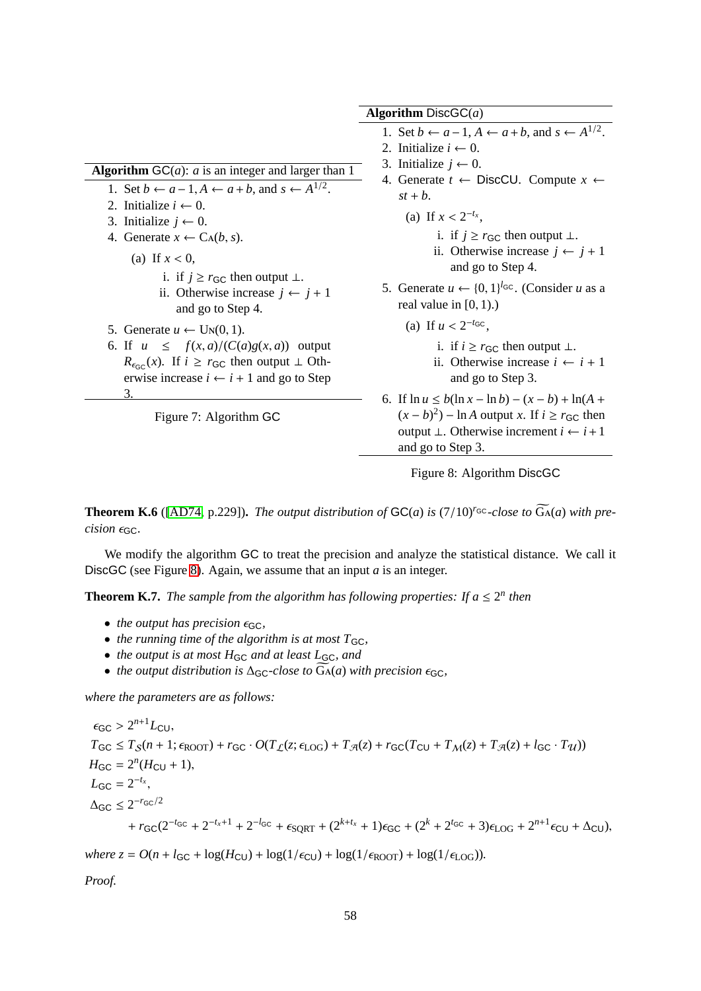|                                                                                                                                                                                  | Algorithm $DiscGC(a)$                                                                                                                                                    |
|----------------------------------------------------------------------------------------------------------------------------------------------------------------------------------|--------------------------------------------------------------------------------------------------------------------------------------------------------------------------|
|                                                                                                                                                                                  | 1. Set $b \leftarrow a-1$ , $A \leftarrow a+b$ , and $s \leftarrow A^{1/2}$ .                                                                                            |
|                                                                                                                                                                                  | 2. Initialize $i \leftarrow 0$ .                                                                                                                                         |
| <b>Algorithm</b> $GC(a)$ : <i>a</i> is an integer and larger than 1<br>1. Set $b \leftarrow a-1, A \leftarrow a+b$ , and $s \leftarrow A^{1/2}$ .                                | 3. Initialize $j \leftarrow 0$ .<br>4. Generate $t \leftarrow$ DiscCU. Compute $x \leftarrow$                                                                            |
| 2. Initialize $i \leftarrow 0$ .                                                                                                                                                 | $st + b$ .                                                                                                                                                               |
| 3. Initialize $j \leftarrow 0$ .                                                                                                                                                 | (a) If $x < 2^{-t_x}$ ,                                                                                                                                                  |
| 4. Generate $x \leftarrow CA(b, s)$ .                                                                                                                                            | i. if $j \ge r_{\text{GC}}$ then output $\perp$ .                                                                                                                        |
| (a) If $x < 0$ ,                                                                                                                                                                 | ii. Otherwise increase $j \leftarrow j + 1$<br>and go to Step 4.                                                                                                         |
| i. if $j \ge r_{\text{GC}}$ then output $\perp$ .<br>ii. Otherwise increase $j \leftarrow j + 1$<br>and go to Step 4.                                                            | 5. Generate $u \leftarrow \{0, 1\}^{\text{loc}}$ . (Consider u as a<br>real value in $[0, 1)$ .)                                                                         |
| 5. Generate $u \leftarrow \text{Un}(0, 1)$ .                                                                                                                                     | (a) If $u < 2^{-t}$ GC,                                                                                                                                                  |
| 6. If $u \leq f(x,a)/(C(a)g(x,a))$ output<br>$R_{\epsilon_{\rm GC}}(x)$ . If $i \geq r_{\rm GC}$ then output $\perp$ Oth-<br>erwise increase $i \leftarrow i + 1$ and go to Step | i. if $i \ge r_{GC}$ then output $\perp$ .<br>ii. Otherwise increase $i \leftarrow i + 1$<br>and go to Step 3.                                                           |
| 3.<br>Figure 7: Algorithm GC                                                                                                                                                     | 6. If $\ln u \le b(\ln x - \ln b) - (x - b) + \ln(A +$<br>$(x - b)^2$ – ln A output x. If $i \ge r_{\text{GC}}$ then<br>output ⊥. Otherwise increment $i \leftarrow i+1$ |

and go to Step 3.

<span id="page-57-0"></span>Figure 8: Algorithm DiscGC

**Theorem K.6** ([AD74, p.229]). *The output distribution of*  $GC(a)$  *is*  $(7/10)^{r_{GC}}$ *-close to*  $\widetilde{GA}(a)$  *with precision*  $\epsilon$ <sub>GC</sub>.

We modify the algorithm GC to treat the precision and analyze the statistical distance. We call it DiscGC (see Fi[gure](#page-64-10) 8). Again, we assume that an input *a* is an integer.

**Theorem K.7.** The sample from the algorithm has following properties: If  $a \leq 2^n$  then

- *the output ha[s p](#page-57-0)recision*  $\epsilon$ <sub>GC</sub>,
- *the running time of the algorithm is at most*  $T_{GC}$ *,*
- *the output is at most H*GC *and at least L*GC*, and*
- *the output distribution is*  $\Delta_{GC}$ -close to  $GA(a)$  *with precision*  $\epsilon_{GC}$ *,*

*where the parameters are as follows:*

 $\epsilon_{\text{GC}} > 2^{n+1} L_{\text{CU}},$  $T_{\text{GC}} \leq T_{\text{S}}(n+1; \epsilon_{\text{ROOT}}) + r_{\text{GC}} \cdot O(T_{\text{f}}(z; \epsilon_{\text{LOG}}) + T_{\mathcal{A}}(z) + r_{\text{GC}}(T_{\text{CU}} + T_{\mathcal{M}}(z) + T_{\mathcal{A}}(z) + l_{\text{GC}} \cdot T_{\mathcal{U}}))$  $H_{GC} = 2^n(H_{CU} + 1),$  $L_{GC} = 2^{-t_x}$ ,  $\Delta_{\text{GC}} \leq 2^{-r_{\text{GC}}/2}$  $+ r_{\text{GC}}(2^{-t_{\text{GC}}} + 2^{-t_x+1} + 2^{-l_{\text{GC}}} + \epsilon_{\text{SQRT}} + (2^{k+t_x} + 1)\epsilon_{\text{GC}} + (2^k + 2^{t_{\text{GC}}} + 3)\epsilon_{\text{LOG}} + 2^{n+1}\epsilon_{\text{CU}} + \Delta_{\text{CU}}),$ 

*where*  $z = O(n + l_{GC} + log(H_{CU}) + log(1/\epsilon_{CU}) + log(1/\epsilon_{ROOT}) + log(1/\epsilon_{LOG}))$ .

*Proof.*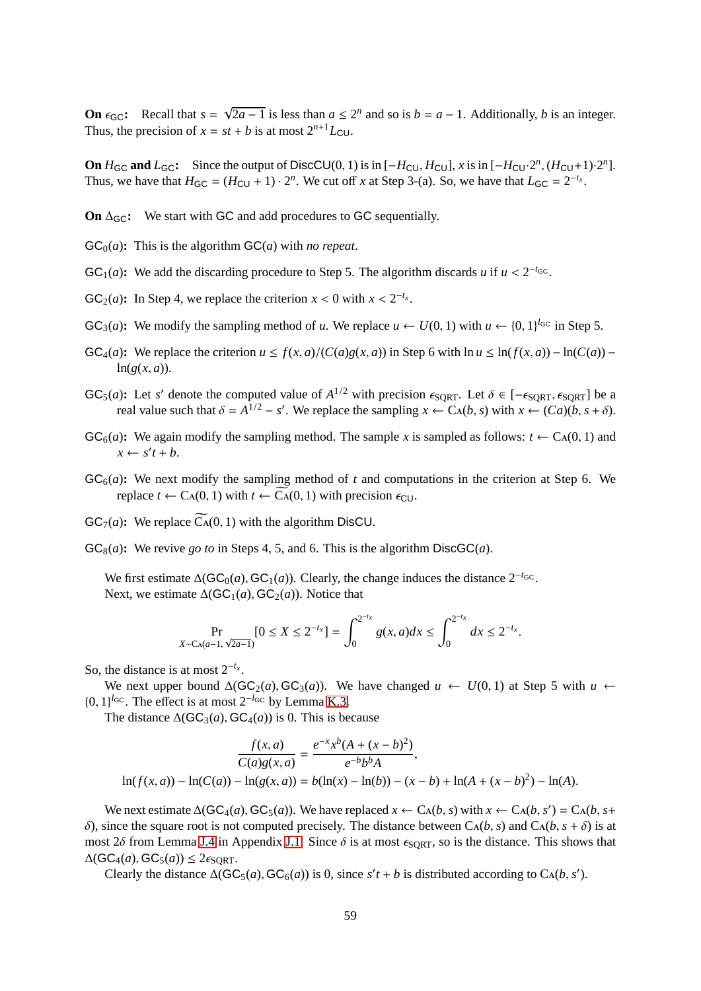**On**  $\epsilon_{\text{GC}}$ : Recall that  $s =$ √  $\overline{2a-1}$  is less than *a* ≤  $2^n$  and so is *b* = *a* − 1. Additionally, *b* is an integer. Thus, the precision of  $x = st + b$  is at most  $2^{n+1}L_{\text{CU}}$ .

**On**  $H_{GC}$  and  $L_{GC}$ : Since the output of DiscCU(0, 1) is in  $[-H_{CU}, H_{CU}]$ , *x* is in  $[-H_{CU} \cdot 2^n, (H_{CU}+1) \cdot 2^n]$ . Thus, we have that  $H_{GC} = (H_{CU} + 1) \cdot 2^n$ . We cut off *x* at Step 3-(a). So, we have that  $L_{GC} = 2^{-t_x}$ .

**On** ∆<sub>GC</sub>: We start with GC and add procedures to GC sequentially.

- $GC<sub>0</sub>(a)$ : This is the algorithm  $GC(a)$  with *no repeat*.
- GC<sub>1</sub>(*a*): We add the discarding procedure to Step 5. The algorithm discards *u* if  $u < 2^{-t_{\text{GC}}}$ .
- GC<sub>2</sub>(*a*): In Step 4, we replace the criterion  $x < 0$  with  $x < 2^{-t_x}$ .
- GC<sub>3</sub>(*a*): We modify the sampling method of *u*. We replace  $u \leftarrow U(0, 1)$  with  $u \leftarrow \{0, 1\}^{\text{l}_{\text{GC}}}$  in Step 5.
- GC<sub>4</sub>(*a*): We replace the criterion  $u \leq f(x, a)/(C(a)g(x, a))$  in Step 6 with  $\ln u \leq \ln(f(x, a)) \ln(C(a))$  $ln(g(x, a)).$
- $GC_5(a)$ : Let *s'* denote the computed value of  $A^{1/2}$  with precision  $\epsilon_{\text{SQRT}}$ . Let  $\delta \in [-\epsilon_{\text{SQRT}}, \epsilon_{\text{SQRT}}]$  be a real value such that  $\delta = A^{1/2} - s'$ . We replace the sampling  $x \leftarrow CA(b, s)$  with  $x \leftarrow (Ca)(b, s + \delta)$ .
- $GC<sub>6</sub>(a)$ : We again modify the sampling method. The sample *x* is sampled as follows:  $t \leftarrow CA(0, 1)$  and  $x \leftarrow s't + b.$
- $GC<sub>6</sub>(a)$ : We next modify the sampling method of *t* and computations in the criterion at Step 6. We replace  $t \leftarrow \text{Ca}(0, 1)$  with  $t \leftarrow \widetilde{\text{Ca}}(0, 1)$  with precision  $\epsilon_{\text{Cl}}$ .
- $GC<sub>7</sub>(a)$ : We replace  $\widetilde{CA}(0, 1)$  with the algorithm DisCU.
- $GC<sub>8</sub>(a)$ : We revive *go to* in Steps 4, 5, and 6. This is the algorithm DiscGC(*a*).

We first estimate  $\Delta(GC_0(a), GC_1(a))$ . Clearly, the change induces the distance  $2^{-t_{GC}}$ . Next, we estimate  $\Delta(GC_1(a), GC_2(a))$ . Notice that

$$
\Pr_{X \sim \text{CA}(a-1,\sqrt{2a-1})}[0 \le X \le 2^{-t_x}] = \int_0^{2^{-t_x}} g(x,a)dx \le \int_0^{2^{-t_x}} dx \le 2^{-t_x}.
$$

So, the distance is at most  $2^{-t_x}$ .

We next upper bound  $\Delta(GC_2(a), GC_3(a))$ . We have changed  $u \leftarrow U(0, 1)$  at Step 5 with  $u \leftarrow$ {0, 1}<sup>*l*</sup>GC. The effect is at most 2<sup>−*l*GC</sup> by Lemma K.3.</sup>

The distance  $\Delta(GC_3(a), GC_4(a))$  is 0. This is because

$$
\frac{f(x,a)}{C(a)g(x,a)} = \frac{e^{-x}x^b(A + (x - b)^2)}{e^{-b}b^bA},
$$
  
ln(f(x,a)) - ln(C(a)) - ln(g(x,a)) = b(ln(x) - ln(b)) - (x - b) + ln(A + (x - b)^2) - ln(A).

We next estimate  $\Delta(GC_4(a), GC_5(a))$ . We have replaced  $x \leftarrow CA(b, s)$  with  $x \leftarrow CA(b, s') = CA(b, s +$ δ), since the square root is not computed precisely. The distance between Ca(*b*, *s*) and Ca(*b*, *s* + δ) is at most  $2\delta$  from Lemma J.4 in Appendix J.1. Since  $\delta$  is at most  $\epsilon_{SORT}$ , so is the distance. This shows that  $\Delta(GC_4(a), GC_5(a)) \leq 2\epsilon_{SORT}.$ 

Clearly the distance  $\Delta(GC_5(a), GC_6(a))$  is 0, since  $s't + b$  is distributed according to  $CA(b, s')$ .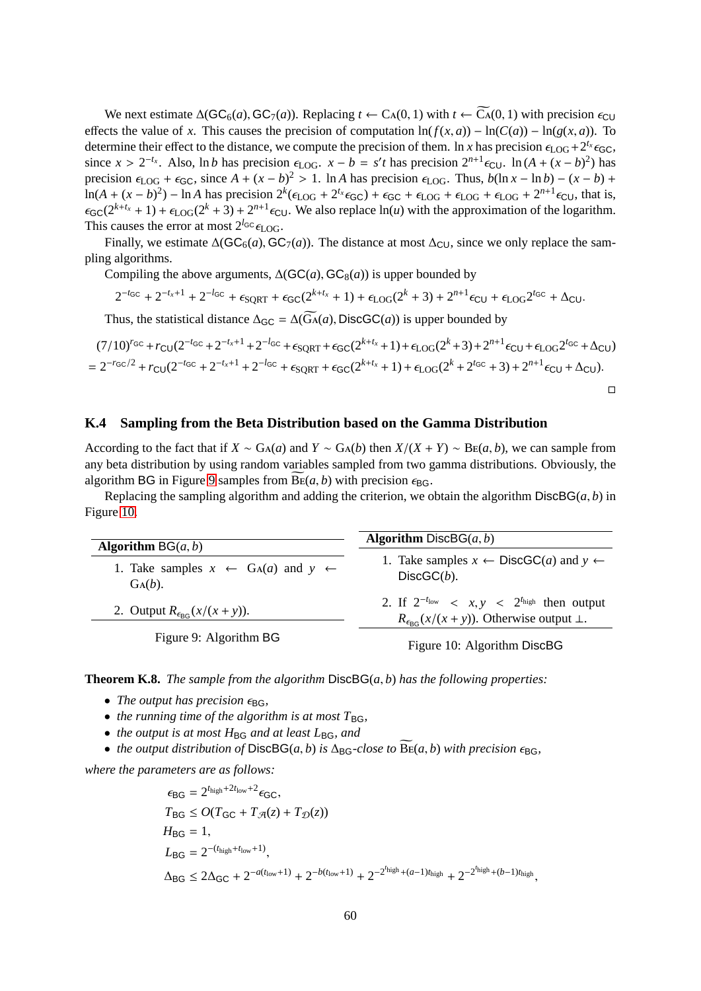We next estimate  $\Delta(GC_6(a), GC_7(a))$ . Replacing  $t \leftarrow CA(0, 1)$  with  $t \leftarrow \widetilde{CA}(0, 1)$  with precision  $\epsilon_{\text{Cl}}$ effects the value of *x*. This causes the precision of computation  $ln(f(x, a)) - ln(C(a)) - ln(g(x, a))$ . To determine their effect to the distance, we compute the precision of them. In *x* has precision  $\epsilon_{\text{LOG}} + 2^{t_x} \epsilon_{\text{GC}}$ , since  $x > 2^{-t_x}$ . Also, ln *b* has precision  $\epsilon_{\text{LOG}}$ .  $x - b = s't$  has precision  $2^{n+1}\epsilon_{\text{CU}}$ . ln  $(A + (x - b)^2)$  has precision  $\epsilon_{\text{LOG}} + \epsilon_{\text{GC}}$ , since  $A + (x - b)^2 > 1$ . In *A* has precision  $\epsilon_{\text{LOG}}$ . Thus,  $b(\ln x - \ln b) - (x - b) +$  $\ln(A + (x - b)^2) - \ln A$  has precision  $2^k(\epsilon_{\text{LOG}} + 2^{t_x}\epsilon_{\text{GC}}) + \epsilon_{\text{GC}} + \epsilon_{\text{LOG}} + \epsilon_{\text{LOG}} + \epsilon_{\text{LOG}} + 2^{n+1}\epsilon_{\text{CU}}$ , that is,  $\epsilon_{\text{GC}}(2^{k+t_x}+1)+\epsilon_{\text{LOG}}(2^k+3)+2^{n+1}\epsilon_{\text{CU}}$ . We also replace  $\ln(u)$  with the approximation of the logarithm. This causes the error at most  $2^{l_{\text{GC}}} \epsilon_{\text{LOG}}$ .

Finally, we estimate  $\Delta(GC_6(a), GC_7(a))$ . The distance at most  $\Delta_{\text{CU}}$ , since we only replace the sampling algorithms.

Compiling the above arguments,  $\Delta(GC(a), GC_8(a))$  is upper bounded by

$$
2^{-t_{\text{GC}}} + 2^{-t_x+1} + 2^{-l_{\text{GC}}} + \epsilon_{\text{SQRT}} + \epsilon_{\text{GC}}(2^{k+t_x} + 1) + \epsilon_{\text{LOG}}(2^k + 3) + 2^{n+1}\epsilon_{\text{CU}} + \epsilon_{\text{LOG}}2^{t_{\text{GC}}} + \Delta_{\text{CU}}.
$$

Thus, the statistical distance  $\Delta_{GC} = \Delta(\widetilde{GA}(a), \text{DiscGC}(a))$  is upper bounded by

$$
(7/10)^{r_{GC}} + r_{CU}(2^{-r_{GC}} + 2^{-t_x+1} + 2^{-l_{GC}} + \epsilon_{SQRT} + \epsilon_{GC}(2^{k+t_x} + 1) + \epsilon_{LOG}(2^k + 3) + 2^{n+1}\epsilon_{CU} + \epsilon_{LOG}2^{r_{GC}} + \Delta_{CU})
$$
  
=  $2^{-r_{GC}/2} + r_{CU}(2^{-r_{GC}} + 2^{-t_x+1} + 2^{-l_{GC}} + \epsilon_{SQRT} + \epsilon_{GC}(2^{k+t_x} + 1) + \epsilon_{LOG}(2^k + 2^{r_{GC}} + 3) + 2^{n+1}\epsilon_{CU} + \Delta_{CU}).$ 

### **K.4 Sampling from the Beta Distribution based on the Gamma Distribution**

According to the fact that if  $X \sim GA(a)$  and  $Y \sim GA(b)$  then  $X/(X + Y) \sim BE(a, b)$ , we can sample from any beta distribution by using random variables sampled from two gamma distributions. Obviously, the algorithm BG in Figure 9 samples from  $\widetilde{Be}(a, b)$  with precision  $\epsilon_{BG}$ .

Replacing the sampling algorithm and adding the criterion, we obtain the algorithm DiscB $G(a, b)$  in Figure 10.

| Algorithm $BG(a, b)$                                                  | Algorithm DiscB $G(a, b)$                                                                                                  |
|-----------------------------------------------------------------------|----------------------------------------------------------------------------------------------------------------------------|
| 1. Take samples $x \leftarrow G_A(a)$ and $y \leftarrow$<br>$Ga(b)$ . | 1. Take samples $x \leftarrow \text{DiscGC}(a)$ and $y \leftarrow$<br>$DiscGC(b)$ .                                        |
| 2. Output $R_{\epsilon_{\text{B}}}(x/(x+y))$ .                        | 2. If $2^{-t_{low}} < x, y < 2^{t_{high}}$ then output<br>$R_{\epsilon_{\text{BG}}}(x/(x+y))$ . Otherwise output $\perp$ . |
| Figure 9: Algorithm BG                                                | Figure 10: Algorithm DiscBG                                                                                                |

**Theorem K.8.** *The sample from the algorithm* DiscBG(*a*, *b*) *has the following properties:*

- *The output has precision*  $\epsilon_{BG}$ ,
- *the running time of the algorithm is at most*  $T_{BG}$ *,*
- *the output is at most H<sub>BG</sub> and at least L<sub>BG</sub>, and*
- *the output distribution of* DiscBG( $a$ , $b$ ) *is*  $\Delta_{BG}$ -*close to*  $\text{BE}(a, b)$  *with precision*  $\epsilon_{BG}$ *,*

*where the parameters are as follows:*

<span id="page-59-0"></span> $\epsilon_{\text{BG}} = 2^{t_{\text{high}} + 2t_{\text{low}} + 2} \epsilon_{\text{GC}},$  $T_{\text{BG}} \leq O(T_{\text{GC}} + T_{\mathcal{A}}(z) + T_{\mathcal{D}}(z))$  $H_{\text{BG}} = 1$ ,  $L_{\text{BG}} = 2^{-(t_{\text{high}} + t_{\text{low}} + 1)},$  $\Delta_{\text{BG}} \leq 2\Delta_{\text{GC}} + 2^{-a(t_{\text{low}}+1)} + 2^{-b(t_{\text{low}}+1)} + 2^{-2^{t_{\text{high}}} + (a-1)t_{\text{high}}} + 2^{-2^{t_{\text{high}}} + (b-1)t_{\text{high}}},$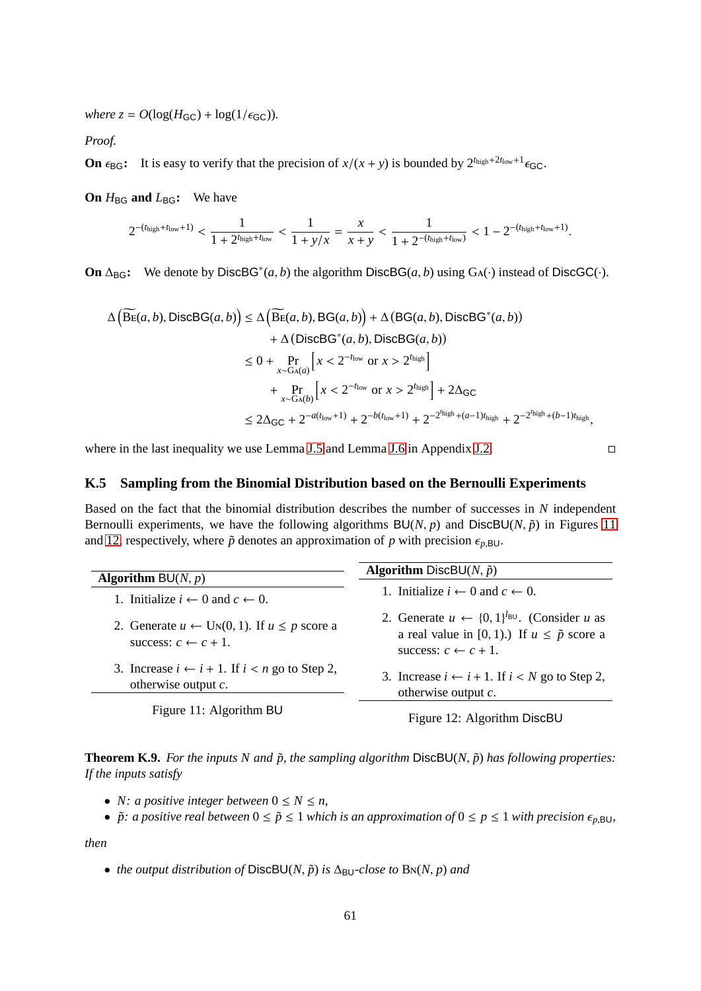*where*  $z = O(\log(H_{GC}) + \log(1/\epsilon_{GC}))$ *.* 

*Proof.*

**On**  $\epsilon_{\text{BG}}$ : It is easy to verify that the precision of  $x/(x + y)$  is bounded by  $2^{t_{\text{high}} + 2t_{\text{low}} + 1} \epsilon_{\text{GC}}$ .

**On**  $H_{BG}$  **and**  $L_{BG}$ **:** We have

$$
2^{-(t_{\rm high}+t_{\rm low}+1)}<\frac{1}{1+2^{t_{\rm high}+t_{\rm low}}} < \frac{1}{1+y/x}=\frac{x}{x+y}<\frac{1}{1+2^{-(t_{\rm high}+t_{\rm low})}}<1-2^{-(t_{\rm high}+t_{\rm low}+1)}.
$$

**On**  $\Delta_{\text{BG}}$ : We denote by DiscBG<sup>\*</sup>(*a*, *b*) the algorithm DiscBG(*a*, *b*) using G<sub>A</sub>(⋅) instead of DiscGC(⋅).

$$
\Delta\left(\widetilde{\text{B}\text{E}}(a,b),\text{DiscBG}(a,b)\right) \le \Delta\left(\widetilde{\text{B}\text{E}}(a,b),\text{BG}(a,b)\right) + \Delta\left(\text{B}\text{G}(a,b),\text{DiscBG}^*(a,b)\right) \n+ \Delta\left(\text{DiscBG}^*(a,b),\text{DiscBG}(a,b)\right) \n\le 0 + \Pr_{x \sim \text{Ga}(a)}\left[x < 2^{-t_{\text{low}}} \text{ or } x > 2^{t_{\text{high}}}\right] \n+ \Pr_{x \sim \text{Ga}(b)}\left[x < 2^{-t_{\text{low}}} \text{ or } x > 2^{t_{\text{high}}}\right] + 2\Delta_{\text{GC}} \n\le 2\Delta_{\text{GC}} + 2^{-a(t_{\text{low}}+1)} + 2^{-b(t_{\text{low}}+1)} + 2^{-2^{t_{\text{high}}} + (a-1)t_{\text{high}}} + 2^{-2^{t_{\text{high}}} + (b-1)t_{\text{high}}},
$$

where in the last inequality we use Lemma J.5 and Lemma J.6 in Appendix J.2.

<span id="page-60-0"></span>
$$
\Box
$$

### **K.5 Sampling from the Binomial Distribution based on the Bernoulli Experiments**

Based on the fact that the binomial distri[butio](#page-48-1)n describes [the](#page-49-0) number of [succ](#page-48-0)esses in *N* independent Bernoulli experiments, we have the following algorithms  $BU(N, p)$  and  $DiscBU(N, \tilde{p})$  in Figures 11 and 12, respectively, where  $\tilde{p}$  denotes an approximation of  $p$  with precision  $\epsilon_{p,BU}$ .

| <b>Algorithm BU(N, p)</b>                                                                                  | <b>Algorithm</b> DiscBU(N, $\tilde{p}$ )                                                                                                                   |
|------------------------------------------------------------------------------------------------------------|------------------------------------------------------------------------------------------------------------------------------------------------------------|
| 1. Initialize $i \leftarrow 0$ and $c \leftarrow 0$ .                                                      | 1. Initialize $i \leftarrow 0$ and $c \leftarrow 0$ .                                                                                                      |
| 2. Generate $u \leftarrow$ U <sub>N</sub> (0, 1). If $u \leq p$ score a<br>success: $c \leftarrow c + 1$ . | 2. Generate $u \leftarrow \{0, 1\}^{l_{BU}}$ . (Consider u as<br>a real value in [0, 1).) If $u \leq \tilde{p}$ score a<br>success: $c \leftarrow c + 1$ . |
| 3. Increase $i \leftarrow i + 1$ . If $i < n$ go to Step 2,<br>otherwise output $c$ .                      | 3. Increase $i \leftarrow i + 1$ . If $i < N$ go to Step 2,<br>otherwise output $c$ .                                                                      |
| Figure 11: Algorithm BU                                                                                    | Figure 12: Algorithm DiscBU                                                                                                                                |

**Theorem K.9.** *For the inputs N and*  $\tilde{p}$ *, the sampling algorithm*  $DiscBU(N, \tilde{p})$  *has following properties: If the inputs satisfy*

- *N: a positive integer between*  $0 \leq N \leq n$ ,
- $\tilde{p}$ : a positive real between  $0 \leq \tilde{p} \leq 1$  which is an approximation of  $0 \leq p \leq 1$  with precision  $\epsilon_{p}$ , BU,

*then*

• *the output distribution of* DiscBU( $N$ ,  $\tilde{p}$ ) *is*  $\Delta_{BU}$ -close to  $B_N(N, p)$  and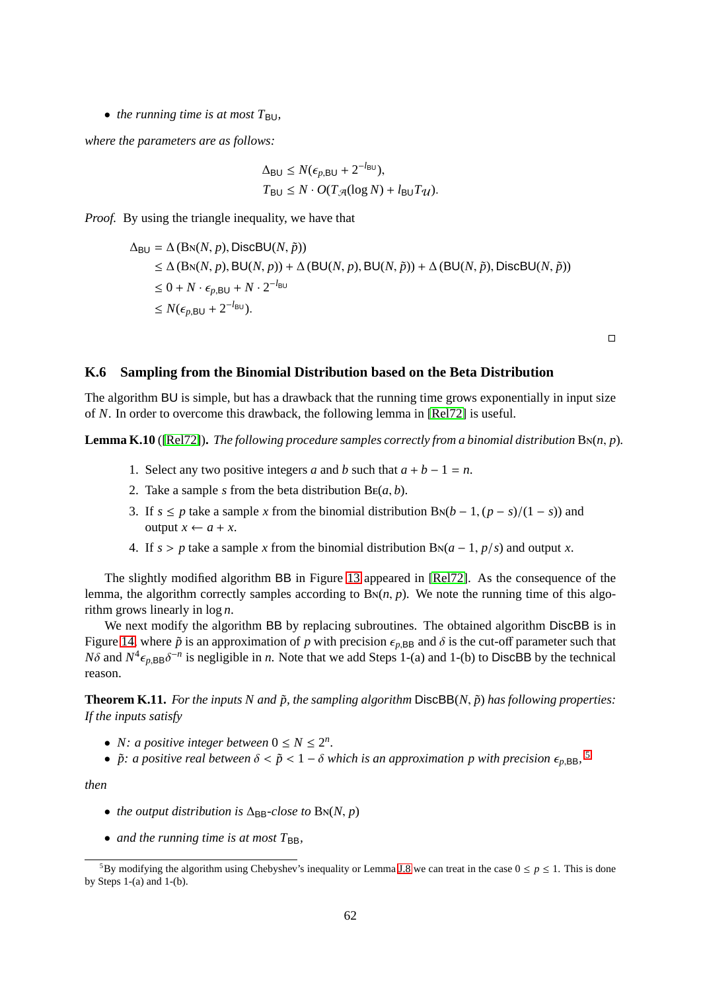• *the running time is at most*  $T_{\text{BL}}$ ,

*where the parameters are as follows:*

$$
\Delta_{\mathsf{BU}} \le N(\epsilon_{p,\mathsf{BU}} + 2^{-l_{\mathsf{BU}}}),
$$
  
\n
$$
T_{\mathsf{BU}} \le N \cdot O(T_{\mathcal{A}}(\log N) + l_{\mathsf{BU}} T_{\mathcal{U}}).
$$

*Proof.* By using the triangle inequality, we have that

$$
\Delta_{\text{BU}} = \Delta (\text{Bn}(N, p), \text{DiscBU}(N, \tilde{p}))
$$
  
\n
$$
\leq \Delta (\text{Bn}(N, p), \text{BU}(N, p)) + \Delta (\text{BU}(N, p), \text{BU}(N, \tilde{p})) + \Delta (\text{BU}(N, \tilde{p}), \text{DiscBU}(N, \tilde{p}))
$$
  
\n
$$
\leq 0 + N \cdot \epsilon_{p, \text{BU}} + N \cdot 2^{-l_{\text{BU}}}
$$
  
\n
$$
\leq N(\epsilon_{p, \text{BU}} + 2^{-l_{\text{BU}}}).
$$

 $\Box$ 

#### **K.6 Sampling from the Binomial Distribution based on the Beta Distribution**

The algorithm BU is simple, but has a drawback that the running time grows exponentially in input size of *N*. In order to overcome this drawback, the following lemma in [Rel72] is useful.

**Lemma K.10** ([Rel72])**.** *The following procedure samples correctly from a binomial distribution* Bn(*n*, *p*)*.*

- 1. Select any two positive integers *a* and *b* such that  $a + b 1 = n$  $a + b 1 = n$  $a + b 1 = n$ .
- 2. Tak[e a sam](#page-66-5)ple *s* from the beta distribution  $Be(a, b)$ .
- 3. If  $s \leq p$  take a sample *x* from the binomial distribution B<sub>N</sub>( $b 1$ ,  $(p s)/(1 s)$ ) and output  $x \leftarrow a + x$ .
- 4. If  $s > p$  take a sample *x* from the binomial distribution  $B_N(a-1, p/s)$  and output *x*.

The slightly modified algorithm BB in Figure 13 appeared in [Rel72]. As the consequence of the lemma, the algorithm correctly samples according to Bn(*n*, *p*). We note the running time of this algorithm grows linearly in log *n*.

We next modify the algorithm BB by replacing subroutines. The obtained algorithm DiscBB is in Figure 14, where  $\tilde{p}$  is an approximation of p with p[rec](#page-62-0)ision  $\epsilon_{p,BB}$  and  $\delta$  [is th](#page-66-5)e cut-off parameter such that *N* $\delta$  and  $N^4 \epsilon_{p,BB} \delta^{-n}$  is negligible in *n*. Note that we add Steps 1-(a) and 1-(b) to DiscBB by the technical reason.

**Theor[em](#page-62-1) K.11.** For the inputs N and  $\tilde{p}$ , the sampling algorithm DiscBB( $N$ ,  $\tilde{p}$ ) has following properties: *If the inputs satisfy*

- *N: a positive integer between*  $0 \le N \le 2^n$ .
- *p*: a positive real between  $\delta < p \leq 1 \delta$  which is an approximation p with precision  $\epsilon_{p,BB}$ , <sup>5</sup>

*then*

- *the output distribution is*  $\Delta_{BB}$ -close to  $B_N(N, p)$
- *and the running time is at most*  $T_{BB}$ ,

<sup>&</sup>lt;sup>5</sup>By modifying the algorithm using Chebyshev's inequality or Lemma J.8 we can treat in the case  $0 \le p \le 1$ . This is done by Steps 1-(a) and 1-(b).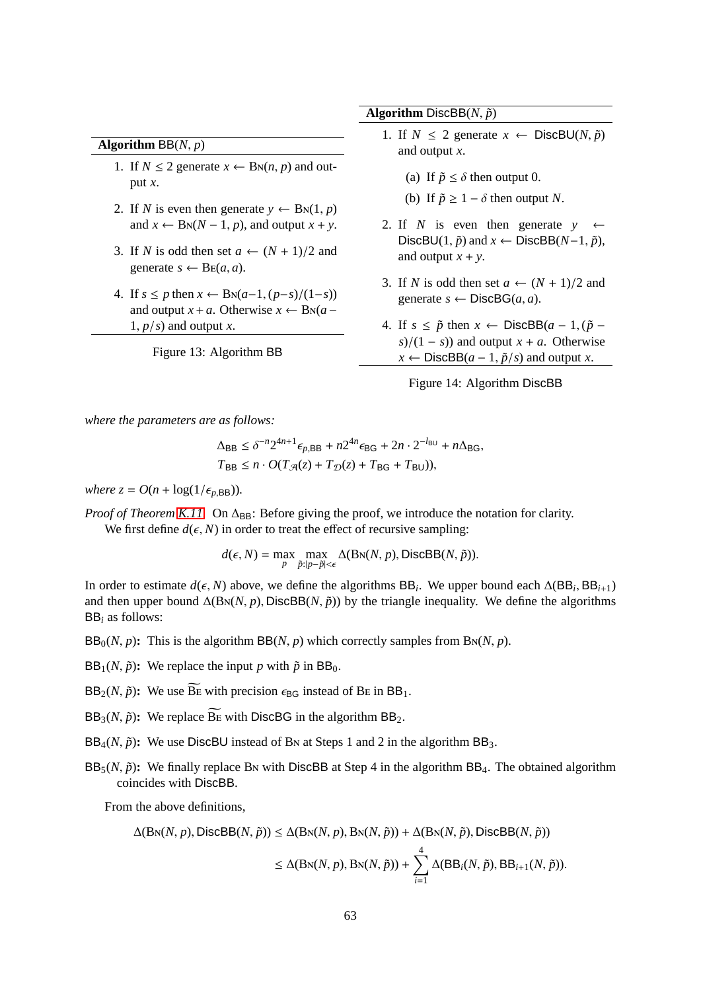## **Algorithm**  $\overline{BB(N, p)}$

- 1. If  $N \leq 2$  generate  $x \leftarrow \text{B}_N(n, p)$  and output *x*.
- 2. If *N* is even then generate  $y \leftarrow B_N(1, p)$ and  $x \leftarrow \text{B}_N(N-1, p)$ , and output  $x + y$ .
- 3. If *N* is odd then set  $a \leftarrow (N + 1)/2$  and generate  $s \leftarrow \text{Be}(a, a)$ .
- 4. If *s* ≤ *p* then *x* ← Bn(*a*−1, (*p*−*s*)/(1−*s*)) and output  $x + a$ . Otherwise  $x \leftarrow B_N(a - a)$ 1,  $p/s$  and output *x*.

Figure 13: Algorithm BB

- 1. If  $N \leq 2$  generate  $x \leftarrow$  DiscBU(*N*,  $\tilde{p}$ ) and output *x*.
	- (a) If  $\tilde{p} \leq \delta$  then output 0.

**Algorithm** DiscBB $(N, \tilde{p})$ 

- (b) If  $\tilde{p} \ge 1 \delta$  then output *N*.
- 2. If *N* is even then generate  $y \leftarrow$ DiscBU(1,  $\tilde{p}$ ) and  $x$  ← DiscBB( $N-1$ ,  $\tilde{p}$ ), and output  $x + y$ .
- 3. If *N* is odd then set  $a \leftarrow (N + 1)/2$  and generate  $s \leftarrow \text{DiscBG}(a, a)$ .
- 4. If  $s \leq \tilde{p}$  then  $x \leftarrow$  DiscBB( $a 1$ , ( $\tilde{p}$  −  $s$ / $(1 - s)$  and output  $x + a$ . Otherwise *x* ← DiscBB( $a$  – 1,  $\tilde{p}/s$ ) and output *x*.

<span id="page-62-1"></span>Figure 14: Algorithm DiscBB

*where the parameters are as follows:*

<span id="page-62-0"></span>
$$
\Delta_{\text{BB}} \le \delta^{-n} 2^{4n+1} \epsilon_{p,\text{BB}} + n 2^{4n} \epsilon_{\text{BG}} + 2n \cdot 2^{-l_{\text{BU}}} + n \Delta_{\text{BG}},
$$
  
\n
$$
T_{\text{BB}} \le n \cdot O(T_{\mathcal{A}}(z) + T_{\mathcal{D}}(z) + T_{\text{BG}} + T_{\text{BU}})),
$$

*where*  $z = O(n + \log(1/\epsilon_{n, BB}))$ .

*Proof of Theorem K.11.* On  $\Delta_{\text{BB}}$ : Before giving the proof, we introduce the notation for clarity. We first define  $d(\epsilon, N)$  in order to treat the effect of recursive sampling:

$$
d(\epsilon, N) = \max_{p} \max_{\tilde{p}: |p-\tilde{p}| < \epsilon} \Delta(\text{Bn}(N, p), \text{DiscBB}(N, \tilde{p})).
$$

In order to estimate  $d(\epsilon, N)$  above, we define the algorithms  $BB_i$ . We upper bound each  $\Delta(BB_i, BB_{i+1})$ and then upper bound  $\Delta(B_N(N, p), \text{DiscBB}(N, \tilde{p}))$  by the triangle inequality. We define the algorithms BB*<sup>i</sup>* as follows:

 $BB_0(N, p)$ : This is the algorithm  $BB(N, p)$  which correctly samples from  $B_N(N, p)$ .

- $BB_1(N, \tilde{p})$ : We replace the input *p* with  $\tilde{p}$  in BB<sub>0</sub>.
- $BB_2(N, \tilde{p})$ : We use  $\widetilde{BE}$  with precision  $\epsilon_{BG}$  instead of BE in BB<sub>1</sub>.
- $BB_3(N, \tilde{p})$ : We replace  $\widetilde{Be}$  with DiscBG in the algorithm BB<sub>2</sub>.
- $BB<sub>4</sub>(N, \tilde{p})$ : We use DiscBU instead of B<sub>N</sub> at Steps 1 and 2 in the algorithm BB<sub>3</sub>.
- $BB<sub>5</sub>(N, \tilde{p})$ : We finally replace Bn with DiscBB at Step 4 in the algorithm BB<sub>4</sub>. The obtained algorithm coincides with DiscBB.

From the above definitions,

$$
\Delta(\text{B}_{\text{N}}(N, p), \text{DiscBB}(N, \tilde{p})) \le \Delta(\text{B}_{\text{N}}(N, p), \text{B}_{\text{N}}(N, \tilde{p})) + \Delta(\text{B}_{\text{N}}(N, \tilde{p}), \text{DiscBB}(N, \tilde{p}))
$$
  

$$
\le \Delta(\text{B}_{\text{N}}(N, p), \text{B}_{\text{N}}(N, \tilde{p})) + \sum_{i=1}^{4} \Delta(\text{BB}_{i}(N, \tilde{p}), \text{BB}_{i+1}(N, \tilde{p})).
$$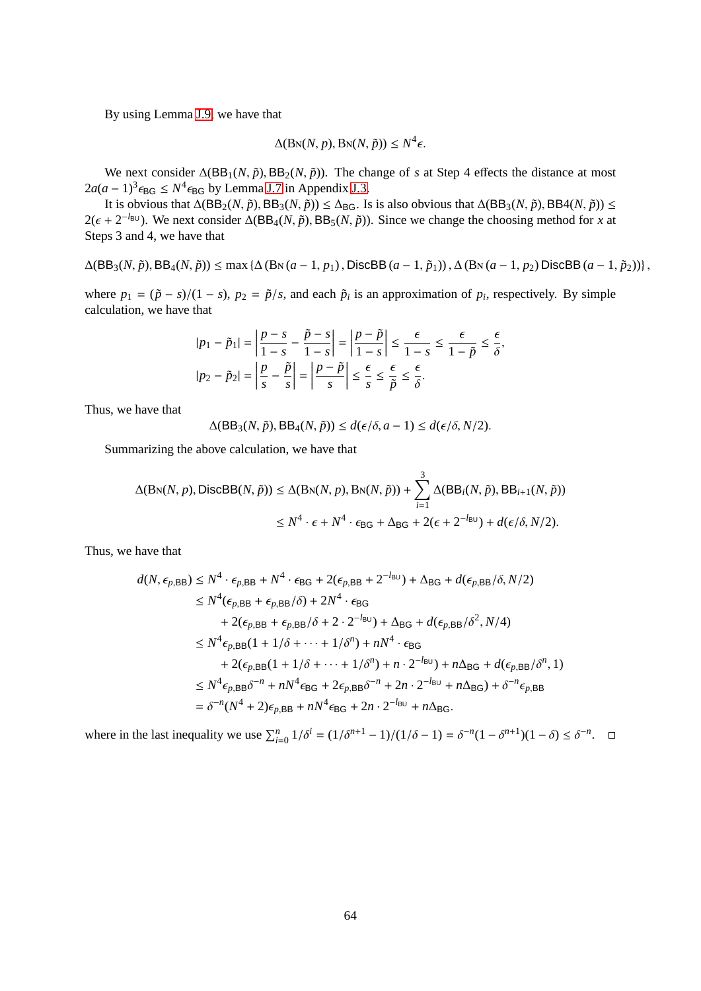By using Lemma J.9, we have that

$$
\Delta(\text{B}_N(N, p), \text{B}_N(N, \tilde{p})) \leq N^4 \epsilon.
$$

We next consider  $\Delta(BB_1(N, \tilde{p}), BB_2(N, \tilde{p}))$ . The change of *s* at Step 4 effects the distance at most  $2a(a-1)^3 \epsilon_{BG}$  ≤  $N^4 \epsilon_{BG}$  by Lemma J.7 in Appendix J.3.

It is obvious that  $\Delta(BB_2(N, \tilde{p}), BB_3(N, \tilde{p})) \leq \Delta_{BG}$ . Is is also obvious that  $\Delta(BB_3(N, \tilde{p}), BB4(N, \tilde{p})) \leq$ 2( $\epsilon$  + 2<sup> $-l$ <sub>BU</sub>). We next consider  $\Delta$ (BB<sub>4</sub>(*N*,  $\tilde{p}$ ), BB<sub>5</sub>(*N*,  $\tilde{p}$ )). Since we change the choosing method for *x* at</sup> Steps 3 and 4, we have that

 $\Delta$ (BB<sub>3</sub>(*N*,  $\tilde{p}$ ), BB<sub>4</sub>(*N*,  $\tilde{p}$ )) ≤ max { $\Delta$ (B<sub>N</sub>(*a* − 1, *p*<sub>1</sub>), DiscBB(*a* − 1,  $\tilde{p}$ <sub>1</sub>)),  $\Delta$ (B<sub>N</sub>(*a* − 1, *p*<sub>2</sub>)) DiscBB(*a* − 1,  $\tilde{p}$ <sub>2</sub>))},

where  $p_1 = (\tilde{p} - s)/(1 - s)$ ,  $p_2 = \tilde{p}/s$ , and each  $\tilde{p}_i$  is an approximation of  $p_i$ , respectively. By simple calculation, we have that

$$
|p_1 - \tilde{p}_1| = \left|\frac{p - s}{1 - s} - \frac{\tilde{p} - s}{1 - s}\right| = \left|\frac{p - \tilde{p}}{1 - s}\right| \le \frac{\epsilon}{1 - s} \le \frac{\epsilon}{1 - \tilde{p}} \le \frac{\epsilon}{\delta},
$$
  

$$
|p_2 - \tilde{p}_2| = \left|\frac{p}{s} - \frac{\tilde{p}}{s}\right| = \left|\frac{p - \tilde{p}}{s}\right| \le \frac{\epsilon}{s} \le \frac{\epsilon}{\tilde{p}} \le \frac{\epsilon}{\delta}.
$$

Thus, we have that

$$
\Delta(\mathsf{BB}_3(N,\tilde{p}), \mathsf{BB}_4(N,\tilde{p})) \leq d(\epsilon/\delta, a-1) \leq d(\epsilon/\delta, N/2).
$$

Summarizing the above calculation, we have that

$$
\Delta(\text{B}_N(N, p), \text{DiscBB}(N, \tilde{p})) \le \Delta(\text{B}_N(N, p), \text{B}_N(N, \tilde{p})) + \sum_{i=1}^3 \Delta(\text{BB}_i(N, \tilde{p}), \text{BB}_{i+1}(N, \tilde{p}))
$$
  

$$
\le N^4 \cdot \epsilon + N^4 \cdot \epsilon_{\text{BG}} + \Delta_{\text{BG}} + 2(\epsilon + 2^{-l_{\text{BU}}}) + d(\epsilon/\delta, N/2).
$$

Thus, we have that

$$
d(N, \epsilon_{p, BB}) \leq N^4 \cdot \epsilon_{p, BB} + N^4 \cdot \epsilon_{BG} + 2(\epsilon_{p, BB} + 2^{-l_{BU}}) + \Delta_{BG} + d(\epsilon_{p, BB}/\delta, N/2)
$$
  
\n
$$
\leq N^4(\epsilon_{p, BB} + \epsilon_{p, BB}/\delta) + 2N^4 \cdot \epsilon_{BG}
$$
  
\n
$$
+ 2(\epsilon_{p, BB} + \epsilon_{p, BB}/\delta + 2 \cdot 2^{-l_{BU}}) + \Delta_{BG} + d(\epsilon_{p, BB}/\delta^2, N/4)
$$
  
\n
$$
\leq N^4 \epsilon_{p, BB} (1 + 1/\delta + \dots + 1/\delta^n) + nN^4 \cdot \epsilon_{BG}
$$
  
\n
$$
+ 2(\epsilon_{p, BB} (1 + 1/\delta + \dots + 1/\delta^n) + n \cdot 2^{-l_{BU}}) + n\Delta_{BG} + d(\epsilon_{p, BB}/\delta^n, 1)
$$
  
\n
$$
\leq N^4 \epsilon_{p, BB}\delta^{-n} + nN^4 \epsilon_{BG} + 2\epsilon_{p, BB}\delta^{-n} + 2n \cdot 2^{-l_{BU}} + n\Delta_{BG}) + \delta^{-n} \epsilon_{p, BB}
$$
  
\n
$$
= \delta^{-n}(N^4 + 2)\epsilon_{p, BB} + nN^4 \epsilon_{BG} + 2n \cdot 2^{-l_{BU}} + n\Delta_{BG}.
$$

where in the last inequality we use  $\sum_{i=0}^{n} 1/\delta^{i} = (1/\delta^{n+1} - 1)/(1/\delta - 1) = \delta^{-n}(1 - \delta^{n+1})(1 - \delta) \le \delta^{-n}$ .  $\Box$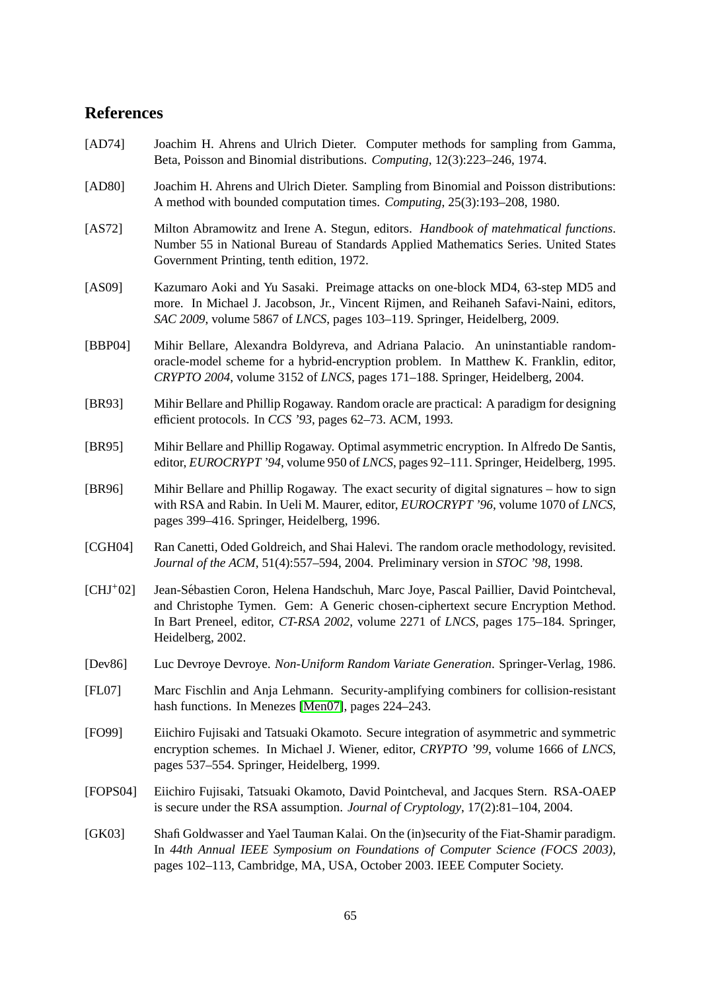# **References**

<span id="page-64-14"></span><span id="page-64-13"></span><span id="page-64-12"></span><span id="page-64-11"></span><span id="page-64-10"></span><span id="page-64-9"></span><span id="page-64-8"></span><span id="page-64-7"></span><span id="page-64-6"></span><span id="page-64-5"></span><span id="page-64-4"></span><span id="page-64-3"></span><span id="page-64-2"></span><span id="page-64-1"></span><span id="page-64-0"></span>

| $[AD74]$     | Joachim H. Ahrens and Ulrich Dieter. Computer methods for sampling from Gamma,<br>Beta, Poisson and Binomial distributions. Computing, 12(3):223-246, 1974.                                                                                                                            |
|--------------|----------------------------------------------------------------------------------------------------------------------------------------------------------------------------------------------------------------------------------------------------------------------------------------|
| [AD80]       | Joachim H. Ahrens and Ulrich Dieter. Sampling from Binomial and Poisson distributions:<br>A method with bounded computation times. Computing, 25(3):193-208, 1980.                                                                                                                     |
| $[AS72]$     | Milton Abramowitz and Irene A. Stegun, editors. Handbook of matehmatical functions.<br>Number 55 in National Bureau of Standards Applied Mathematics Series. United States<br>Government Printing, tenth edition, 1972.                                                                |
| $[AS09]$     | Kazumaro Aoki and Yu Sasaki. Preimage attacks on one-block MD4, 63-step MD5 and<br>more. In Michael J. Jacobson, Jr., Vincent Rijmen, and Reihaneh Safavi-Naini, editors,<br>SAC 2009, volume 5867 of LNCS, pages 103-119. Springer, Heidelberg, 2009.                                 |
| [BBP04]      | Mihir Bellare, Alexandra Boldyreva, and Adriana Palacio. An uninstantiable random-<br>oracle-model scheme for a hybrid-encryption problem. In Matthew K. Franklin, editor,<br>CRYPTO 2004, volume 3152 of LNCS, pages 171-188. Springer, Heidelberg, 2004.                             |
| [BR93]       | Mihir Bellare and Phillip Rogaway. Random oracle are practical: A paradigm for designing<br>efficient protocols. In CCS '93, pages 62–73. ACM, 1993.                                                                                                                                   |
| [BR95]       | Mihir Bellare and Phillip Rogaway. Optimal asymmetric encryption. In Alfredo De Santis,<br>editor, EUROCRYPT '94, volume 950 of LNCS, pages 92-111. Springer, Heidelberg, 1995.                                                                                                        |
| [BR96]       | Mihir Bellare and Phillip Rogaway. The exact security of digital signatures – how to sign<br>with RSA and Rabin. In Ueli M. Maurer, editor, EUROCRYPT '96, volume 1070 of LNCS,<br>pages 399–416. Springer, Heidelberg, 1996.                                                          |
| [CGH04]      | Ran Canetti, Oded Goldreich, and Shai Halevi. The random oracle methodology, revisited.<br>Journal of the ACM, 51(4):557–594, 2004. Preliminary version in STOC '98, 1998.                                                                                                             |
| $[CHJ^+02]$  | Jean-Sébastien Coron, Helena Handschuh, Marc Joye, Pascal Paillier, David Pointcheval,<br>and Christophe Tymen. Gem: A Generic chosen-ciphertext secure Encryption Method.<br>In Bart Preneel, editor, CT-RSA 2002, volume 2271 of LNCS, pages 175–184. Springer,<br>Heidelberg, 2002. |
| [ $Dev 86$ ] | Luc Devroye Devroye. Non-Uniform Random Variate Generation. Springer-Verlag, 1986.                                                                                                                                                                                                     |
| [FL07]       | Marc Fischlin and Anja Lehmann. Security-amplifying combiners for collision-resistant<br>hash functions. In Menezes [Men07], pages 224–243.                                                                                                                                            |
| [FO99]       | Eiichiro Fujisaki and Tatsuaki Okamoto. Secure integration of asymmetric and symmetric<br>encryption schemes. In Michael J. Wiener, editor, CRYPTO '99, volume 1666 of LNCS,<br>pages 537–554. Springer, Heidelberg, 1999.                                                             |
| [FOPS04]     | Eiichiro Fujisaki, Tatsuaki Okamoto, David Pointcheval, and Jacques Stern. RSA-OAEP<br>is secure under the RSA assumption. Journal of Cryptology, 17(2):81-104, 2004.                                                                                                                  |
| [GK03]       | Shafi Goldwasser and Yael Tauman Kalai. On the (in)security of the Fiat-Shamir paradigm.<br>In 44th Annual IEEE Symposium on Foundations of Computer Science (FOCS 2003),<br>pages 102-113, Cambridge, MA, USA, October 2003. IEEE Computer Society.                                   |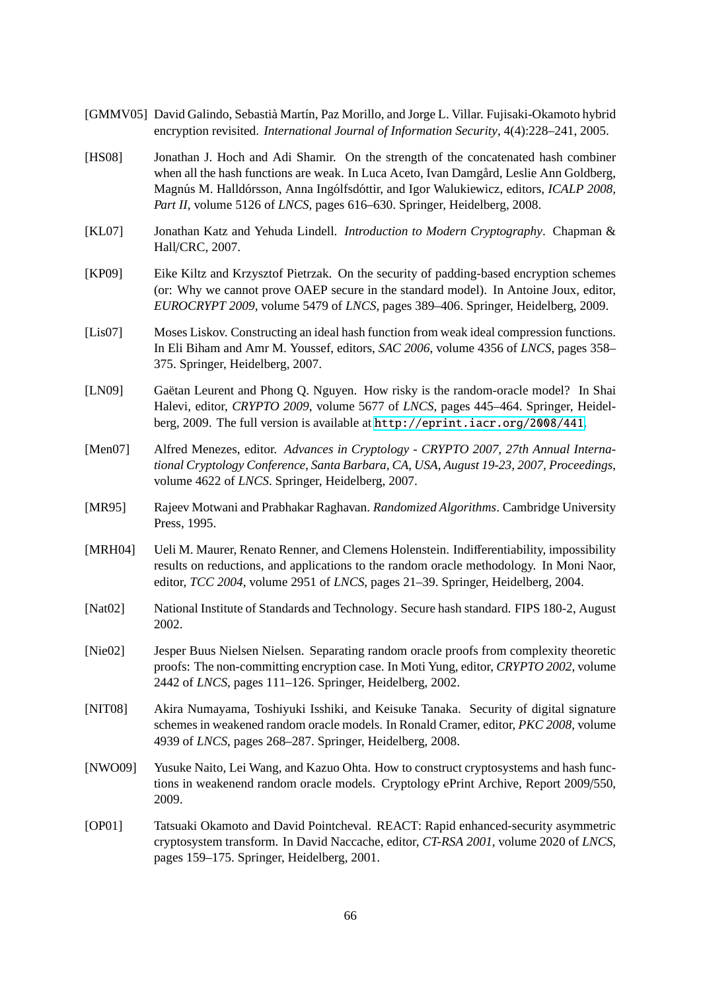- [GMMV05] David Galindo, Sebastià Martín, Paz Morillo, and Jorge L. Villar. Fujisaki-Okamoto hybrid encryption revisited. *International Journal of Information Security*, 4(4):228–241, 2005.
- <span id="page-65-11"></span>[HS08] Jonathan J. Hoch and Adi Shamir. On the strength of the concatenated hash combiner when all the hash functions are weak. In Luca Aceto, Ivan Damgård, Leslie Ann Goldberg, Magnús M. Halldórsson, Anna Ingólfsdóttir, and Igor Walukiewicz, editors, *ICALP 2008*, *Part II*, volume 5126 of *LNCS*, pages 616–630. Springer, Heidelberg, 2008.
- <span id="page-65-4"></span>[KL07] Jonathan Katz and Yehuda Lindell. *Introduction to Modern Cryptography*. Chapman & Hall/CRC, 2007.
- [KP09] Eike Kiltz and Krzysztof Pietrzak. On the security of padding-based encryption schemes (or: Why we cannot prove OAEP secure in the standard model). In Antoine Joux, editor, *EUROCRYPT 2009*, volume 5479 of *LNCS*, pages 389–406. Springer, Heidelberg, 2009.
- <span id="page-65-6"></span>[Lis07] Moses Liskov. Constructing an ideal hash function from weak ideal compression functions. In Eli Biham and Amr M. Youssef, editors, *SAC 2006*, volume 4356 of *LNCS*, pages 358– 375. Springer, Heidelberg, 2007.
- <span id="page-65-3"></span>[LN09] Gaëtan Leurent and Phong Q. Nguyen. How risky is the random-oracle model? In Shai Halevi, editor, *CRYPTO 2009*, volume 5677 of *LNCS*, pages 445–464. Springer, Heidelberg, 2009. The full version is available at http://eprint.iacr.org/2008/441.
- <span id="page-65-1"></span>[Men07] Alfred Menezes, editor. *Advances in Cryptology - CRYPTO 2007, 27th Annual International Cryptology Conference, Santa Barbara, CA, USA, August 19-23, 2007, Proceedings*, volume 4622 of *LNCS*. Springer, Heidelbe[rg, 2007.](http://eprint.iacr.org/2008/441)
- <span id="page-65-12"></span>[MR95] Rajeev Motwani and Prabhakar Raghavan. *Randomized Algorithms*. Cambridge University Press, 1995.
- <span id="page-65-7"></span>[MRH04] Ueli M. Maurer, Renato Renner, and Clemens Holenstein. Indifferentiability, impossibility results on reductions, and applications to the random oracle methodology. In Moni Naor, editor, *TCC 2004*, volume 2951 of *LNCS*, pages 21–39. Springer, Heidelberg, 2004.
- <span id="page-65-9"></span>[Nat02] National Institute of Standards and Technology. Secure hash standard. FIPS 180-2, August 2002.
- <span id="page-65-0"></span>[Nie02] Jesper Buus Nielsen Nielsen. Separating random oracle proofs from complexity theoretic proofs: The non-committing encryption case. In Moti Yung, editor, *CRYPTO 2002*, volume 2442 of *LNCS*, pages 111–126. Springer, Heidelberg, 2002.
- <span id="page-65-2"></span>[NIT08] Akira Numayama, Toshiyuki Isshiki, and Keisuke Tanaka. Security of digital signature schemes in weakened random oracle models. In Ronald Cramer, editor, *PKC 2008*, volume 4939 of *LNCS*, pages 268–287. Springer, Heidelberg, 2008.
- <span id="page-65-5"></span>[NWO09] Yusuke Naito, Lei Wang, and Kazuo Ohta. How to construct cryptosystems and hash functions in weakenend random oracle models. Cryptology ePrint Archive, Report 2009/550, 2009.
- <span id="page-65-10"></span><span id="page-65-8"></span>[OP01] Tatsuaki Okamoto and David Pointcheval. REACT: Rapid enhanced-security asymmetric cryptosystem transform. In David Naccache, editor, *CT-RSA 2001*, volume 2020 of *LNCS*, pages 159–175. Springer, Heidelberg, 2001.